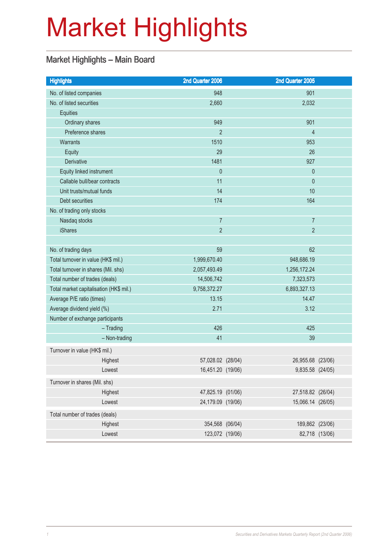# Market Highlights

## Market Highlights – Main Board

| <b>Highlights</b>                       | 2nd Quarter 2006  |            | 2nd Quarter 2005  |                |
|-----------------------------------------|-------------------|------------|-------------------|----------------|
| No. of listed companies                 | 948               |            | 901               |                |
| No. of listed securities                | 2,660             |            | 2,032             |                |
| Equities                                |                   |            |                   |                |
| Ordinary shares                         | 949               |            | 901               |                |
| Preference shares                       | $\overline{2}$    |            | $\overline{4}$    |                |
| <b>Warrants</b>                         | 1510              |            | 953               |                |
| Equity                                  | 29                |            | 26                |                |
| Derivative                              | 1481              |            | 927               |                |
| Equity linked instrument                | $\theta$          |            | $\theta$          |                |
| Callable bull/bear contracts            | 11                |            | $\theta$          |                |
| Unit trusts/mutual funds                | 14                |            | 10                |                |
| Debt securities                         | 174               |            | 164               |                |
| No. of trading only stocks              |                   |            |                   |                |
| Nasdaq stocks                           | $\overline{7}$    |            | $\overline{7}$    |                |
| <b>iShares</b>                          | $\overline{2}$    |            | $\overline{2}$    |                |
|                                         |                   |            | 62                |                |
| No. of trading days                     | 59                |            |                   |                |
| Total turnover in value (HK\$ mil.)     | 1,999,670.40      | 948,686.19 |                   |                |
| Total turnover in shares (Mil. shs)     | 2,057,493.49      |            | 1,256,172.24      |                |
| Total number of trades (deals)          | 14,506,742        |            | 7,323,573         |                |
| Total market capitalisation (HK\$ mil.) | 9,758,372.27      |            | 6,893,327.13      |                |
| Average P/E ratio (times)               | 13.15             |            | 14.47             |                |
| Average dividend yield (%)              | 2.71              |            | 3.12              |                |
| Number of exchange participants         |                   |            |                   |                |
| $-$ Trading                             | 426               |            | 425               |                |
| - Non-trading                           | 41                |            | 39                |                |
| Turnover in value (HK\$ mil.)           |                   |            |                   |                |
| Highest                                 | 57,028.02 (28/04) |            | 26,955.68 (23/06) |                |
| Lowest                                  | 16,451.20 (19/06) |            | 9,835.58 (24/05)  |                |
| Turnover in shares (Mil. shs)           |                   |            |                   |                |
| Highest                                 | 47,825.19 (01/06) |            | 27,518.82 (26/04) |                |
| Lowest                                  | 24,179.09 (19/06) |            | 15,066.14 (26/05) |                |
| Total number of trades (deals)          |                   |            |                   |                |
| Highest                                 | 354,568 (06/04)   |            | 189,862 (23/06)   |                |
| Lowest                                  | 123,072 (19/06)   |            |                   | 82,718 (13/06) |
|                                         |                   |            |                   |                |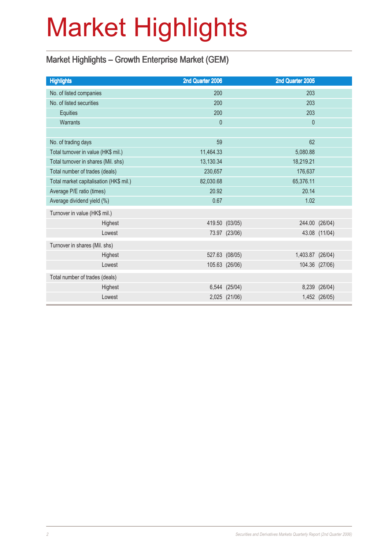# Market Highlights

## Market Highlights – Growth Enterprise Market (GEM)

| <b>Highlights</b>                       | 2nd Quarter 2006 |                | 2nd Quarter 2005 |                |
|-----------------------------------------|------------------|----------------|------------------|----------------|
| No. of listed companies                 | 200              |                | 203              |                |
| No. of listed securities                | 200              |                | 203              |                |
| Equities                                | 200              |                | 203              |                |
| <b>Warrants</b>                         | $\mathbf{0}$     |                | $\mathbf 0$      |                |
|                                         |                  |                |                  |                |
| No. of trading days                     | 59               |                | 62               |                |
| Total turnover in value (HK\$ mil.)     | 11,464.33        |                | 5,080.88         |                |
| Total turnover in shares (Mil. shs)     | 13,130.34        |                | 18,219.21        |                |
| Total number of trades (deals)          | 230,657          |                | 176,637          |                |
| Total market capitalisation (HK\$ mil.) | 82,030.68        |                | 65,376.11        |                |
| Average P/E ratio (times)               | 20.92            |                | 20.14            |                |
| Average dividend yield (%)              | 0.67             |                | 1.02             |                |
| Turnover in value (HK\$ mil.)           |                  |                |                  |                |
| Highest                                 |                  | 419.50 (03/05) |                  | 244.00 (26/04) |
| Lowest                                  |                  | 73.97 (23/06)  |                  | 43.08 (11/04)  |
| Turnover in shares (Mil. shs)           |                  |                |                  |                |
| Highest                                 |                  | 527.63 (08/05) | 1,403.87 (26/04) |                |
| Lowest                                  |                  | 105.63 (26/06) |                  | 104.36 (27/06) |
| Total number of trades (deals)          |                  |                |                  |                |
| Highest                                 |                  | 6,544 (25/04)  |                  | 8,239 (26/04)  |
| Lowest                                  |                  | 2,025 (21/06)  |                  | 1,452 (26/05)  |
|                                         |                  |                |                  |                |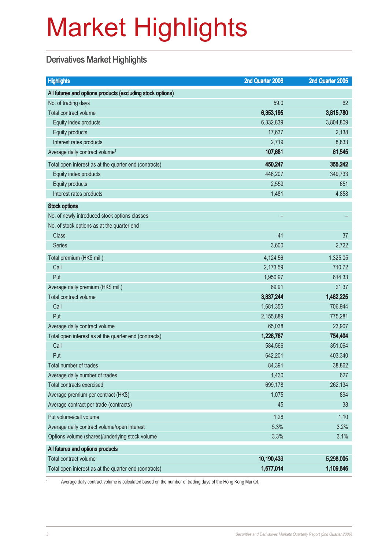# Market Highlights

## Derivatives Market Highlights

| <b>Highlights</b>                                          | 2nd Quarter 2006 | 2nd Quarter 2005 |
|------------------------------------------------------------|------------------|------------------|
| All futures and options products (excluding stock options) |                  |                  |
| No. of trading days                                        | 59.0             | 62               |
| Total contract volume                                      | 6,353,195        | 3,815,780        |
| Equity index products                                      | 6,332,839        | 3,804,809        |
| Equity products                                            | 17,637           | 2,138            |
| Interest rates products                                    | 2,719            | 8,833            |
| Average daily contract volume <sup>1</sup>                 | 107,681          | 61,545           |
| Total open interest as at the quarter end (contracts)      | 450,247          | 355,242          |
| Equity index products                                      | 446,207          | 349,733          |
| Equity products                                            | 2,559            | 651              |
| Interest rates products                                    | 1,481            | 4,858            |
| <b>Stock options</b>                                       |                  |                  |
| No. of newly introduced stock options classes              |                  |                  |
| No. of stock options as at the quarter end                 |                  |                  |
| <b>Class</b>                                               | 41               | 37               |
| <b>Series</b>                                              | 3,600            | 2,722            |
| Total premium (HK\$ mil.)                                  | 4,124.56         | 1,325.05         |
| Call                                                       | 2,173.59         | 710.72           |
| Put                                                        | 1,950.97         | 614.33           |
| Average daily premium (HK\$ mil.)                          | 69.91            | 21.37            |
| Total contract volume                                      | 3,837,244        | 1,482,225        |
| Call                                                       | 1,681,355        | 706,944          |
| Put                                                        | 2,155,889        | 775,281          |
| Average daily contract volume                              | 65,038           | 23,907           |
| Total open interest as at the quarter end (contracts)      | 1,226,767        | 754,404          |
| Call                                                       | 584,566          | 351,064          |
| Put                                                        | 642,201          | 403,340          |
| Total number of trades                                     | 84,391           | 38,862           |
| Average daily number of trades                             | 1,430            | 627              |
| <b>Total contracts exercised</b>                           | 699,178          | 262,134          |
| Average premium per contract (HK\$)                        | 1,075            | 894              |
| Average contract per trade (contracts)                     | 45               | 38               |
| Put volume/call volume                                     | 1.28             | 1.10             |
| Average daily contract volume/open interest                | 5.3%             | 3.2%             |
| Options volume (shares)/underlying stock volume            | 3.3%             | 3.1%             |
| All futures and options products                           |                  |                  |
| Total contract volume                                      | 10,190,439       | 5,298,005        |
| Total open interest as at the quarter end (contracts)      | 1,677,014        | 1,109,646        |

<sup>1</sup> Average daily contract volume is calculated based on the number of trading days of the Hong Kong Market.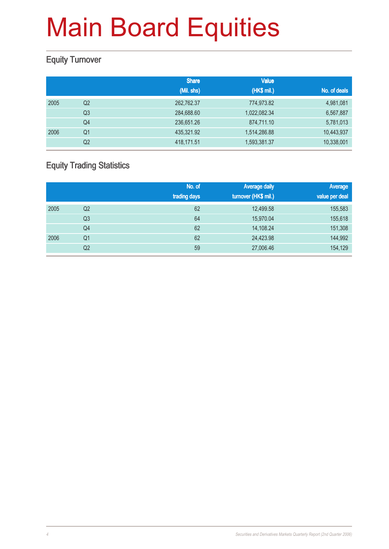### Equity Turnover

|      |                | <b>Share</b> | <b>Value</b> |              |
|------|----------------|--------------|--------------|--------------|
|      |                | (Mil. shs)   | (HK\$ mil.)  | No. of deals |
| 2005 | Q <sub>2</sub> | 262,762.37   | 774,973.82   | 4,981,081    |
|      | Q <sub>3</sub> | 284,688.60   | 1,022,082.34 | 6,567,887    |
|      | Q4             | 236,651.26   | 874,711.10   | 5,781,013    |
| 2006 | Q <sub>1</sub> | 435,321.92   | 1,514,286.88 | 10,443,937   |
|      | Q <sub>2</sub> | 418,171.51   | 1,593,381.37 | 10,338,001   |

### Equity Trading Statistics

|      |                | No. of<br>trading days | <b>Average daily</b><br>turnover (HK\$ mil.) | Average<br>value per deal |
|------|----------------|------------------------|----------------------------------------------|---------------------------|
| 2005 | Q <sub>2</sub> | 62                     | 12,499.58                                    | 155,583                   |
|      | Q <sub>3</sub> | 64                     | 15,970.04                                    | 155,618                   |
|      | Q4             | 62                     | 14,108.24                                    | 151,308                   |
| 2006 | Q <sub>1</sub> | 62                     | 24,423.98                                    | 144,992                   |
|      | Q <sub>2</sub> | 59                     | 27,006.46                                    | 154,129                   |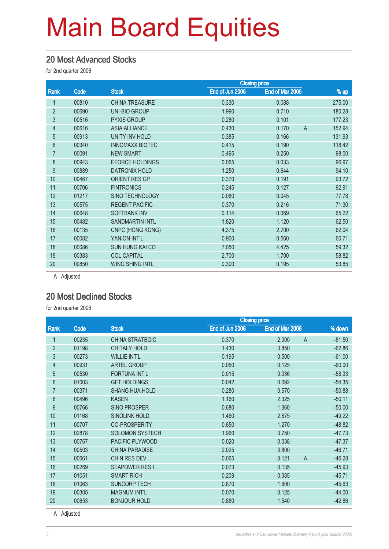#### 20 Most Advanced Stocks

for 2nd quarter 2006

|                |       |                        | <b>Closing price</b> |                         |        |
|----------------|-------|------------------------|----------------------|-------------------------|--------|
| Rank           | Code  | <b>Stock</b>           | End of Jun 2006      | End of Mar 2006         | % up   |
|                | 00810 | <b>CHINA TREASURE</b>  | 0.330                | 0.088                   | 275.00 |
| $\overline{2}$ | 00690 | <b>UNI-BIO GROUP</b>   | 1.990                | 0.710                   | 180.28 |
| 3              | 00516 | <b>PYXIS GROUP</b>     | 0.280                | 0.101                   | 177.23 |
| 4              | 00616 | <b>ASIA ALLIANCE</b>   | 0.430                | $\overline{A}$<br>0.170 | 152.94 |
| 5              | 00913 | <b>UNITY INV HOLD</b>  | 0.385                | 0.166                   | 131.93 |
| 6              | 00340 | <b>INNOMAXX BIOTEC</b> | 0.415                | 0.190                   | 118.42 |
| 7              | 00091 | <b>NEW SMART</b>       | 0.495                | 0.250                   | 98.00  |
| 8              | 00943 | <b>EFORCE HOLDINGS</b> | 0.065                | 0.033                   | 96.97  |
| 9              | 00889 | <b>DATRONIX HOLD</b>   | 1.250                | 0.644                   | 94.10  |
| 10             | 00467 | <b>ORIENT RES GP</b>   | 0.370                | 0.191                   | 93.72  |
| 11             | 00706 | <b>FINTRONICS</b>      | 0.245                | 0.127                   | 92.91  |
| 12             | 01217 | SINO TECHNOLOGY        | 0.080                | 0.045                   | 77.78  |
| 13             | 00575 | <b>REGENT PACIFIC</b>  | 0.370                | 0.216                   | 71.30  |
| 14             | 00648 | <b>SOFTBANK INV</b>    | 0.114                | 0.069                   | 65.22  |
| 15             | 00482 | <b>SANDMARTIN INTL</b> | 1.820                | 1.120                   | 62.50  |
| 16             | 00135 | CNPC (HONG KONG)       | 4.375                | 2.700                   | 62.04  |
| 17             | 00082 | YANION INT'L           | 0.900                | 0.560                   | 60.71  |
| 18             | 00086 | <b>SUN HUNG KAI CO</b> | 7.050                | 4.425                   | 59.32  |
| 19             | 00383 | <b>COL CAPITAL</b>     | 2.700                | 1.700                   | 58.82  |
| 20             | 00850 | <b>WING SHING INTL</b> | 0.300                | 0.195                   | 53.85  |
|                |       |                        |                      |                         |        |

A Adjusted

#### 20 Most Declined Stocks

for 2nd quarter 2006

|                |       |                        | <b>Closing price</b> |                         |          |  |
|----------------|-------|------------------------|----------------------|-------------------------|----------|--|
| Rank           | Code  | <b>Stock</b>           | End of Jun 2006      | End of Mar 2006         | % down   |  |
|                | 00235 | <b>CHINA STRATEGIC</b> | 0.370                | 2.000<br>$\overline{A}$ | $-81.50$ |  |
| $\overline{2}$ | 01198 | <b>CHITALY HOLD</b>    | 1.430                | 3.850                   | $-62.86$ |  |
| 3              | 00273 | <b>WILLIE INT'L</b>    | 0.195                | 0.500                   | $-61.00$ |  |
| 4              | 00931 | <b>ARTEL GROUP</b>     | 0.050                | 0.125                   | $-60.00$ |  |
| 5              | 00530 | <b>FORTUNA INT'L</b>   | 0.015                | 0.036                   | $-58.33$ |  |
| 6              | 01003 | <b>GFT HOLDINGS</b>    | 0.042                | 0.092                   | $-54.35$ |  |
| 7              | 00371 | <b>SHANG HUA HOLD</b>  | 0.280                | 0.570                   | $-50.88$ |  |
| 8              | 00496 | <b>KASEN</b>           | 1.160                | 2.325                   | $-50.11$ |  |
| 9              | 00766 | <b>SINO PROSPER</b>    | 0.680                | 1.360                   | $-50.00$ |  |
| 10             | 01168 | <b>SINOLINK HOLD</b>   | 1.460                | 2.875                   | $-49.22$ |  |
| 11             | 00707 | <b>CO-PROSPERITY</b>   | 0.650                | 1.270                   | $-48.82$ |  |
| 12             | 02878 | <b>SOLOMON SYSTECH</b> | 1.960                | 3.750                   | $-47.73$ |  |
| 13             | 00767 | <b>PACIFIC PLYWOOD</b> | 0.020                | 0.038                   | $-47.37$ |  |
| 14             | 00503 | <b>CHINA PARADISE</b>  | 2.025                | 3.800                   | $-46.71$ |  |
| 15             | 00661 | CHN RES DEV            | 0.065                | 0.121<br>$\overline{A}$ | $-46.28$ |  |
| 16             | 00269 | <b>SEAPOWER RESI</b>   | 0.073                | 0.135                   | $-45.93$ |  |
| 17             | 01051 | <b>SMART RICH</b>      | 0.209                | 0.385                   | $-45.71$ |  |
| 18             | 01063 | <b>SUNCORP TECH</b>    | 0.870                | 1.600                   | $-45.63$ |  |
| 19             | 00305 | <b>MAGNUM INT'L</b>    | 0.070                | 0.125                   | $-44.00$ |  |
| 20             | 00653 | <b>BONJOUR HOLD</b>    | 0.880                | 1.540                   | $-42.86$ |  |
|                |       |                        |                      |                         |          |  |

A Adjusted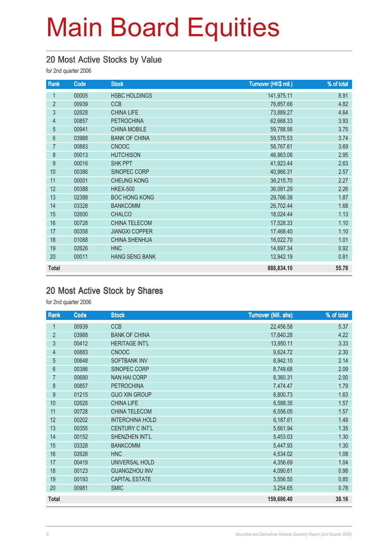## 20 Most Active Stocks by Value

for 2nd quarter 2006

| Rank           | Code  | <b>Stock</b>          | Turnover (HK\$ mil.) | % of total |
|----------------|-------|-----------------------|----------------------|------------|
| 1              | 00005 | <b>HSBC HOLDINGS</b>  | 141,975.11           | 8.91       |
| $\overline{2}$ | 00939 | <b>CCB</b>            | 76,857.66            | 4.82       |
| 3              | 02628 | <b>CHINA LIFE</b>     | 73,889.27            | 4.64       |
| 4              | 00857 | <b>PETROCHINA</b>     | 62,668.33            | 3.93       |
| 5              | 00941 | <b>CHINA MOBILE</b>   | 59,788.56            | 3.75       |
| 6              | 03988 | <b>BANK OF CHINA</b>  | 59,575.53            | 3.74       |
| $\overline{7}$ | 00883 | <b>CNOOC</b>          | 58,767.61            | 3.69       |
| 8              | 00013 | <b>HUTCHISON</b>      | 46,963.06            | 2.95       |
| $9\,$          | 00016 | <b>SHK PPT</b>        | 41,923.44            | 2.63       |
| 10             | 00386 | SINOPEC CORP          | 40,966.31            | 2.57       |
| 11             | 00001 | <b>CHEUNG KONG</b>    | 36,215.70            | 2.27       |
| 12             | 00388 | <b>HKEX-500</b>       | 36,091.29            | 2.26       |
| 13             | 02388 | <b>BOC HONG KONG</b>  | 29,766.38            | 1.87       |
| 14             | 03328 | <b>BANKCOMM</b>       | 26,702.44            | 1.68       |
| 15             | 02600 | <b>CHALCO</b>         | 18,024.44            | 1.13       |
| 16             | 00728 | <b>CHINA TELECOM</b>  | 17,528.33            | 1.10       |
| 17             | 00358 | <b>JIANGXI COPPER</b> | 17,468.40            | 1.10       |
| 18             | 01088 | <b>CHINA SHENHUA</b>  | 16,022.70            | 1.01       |
| 19             | 02626 | <b>HNC</b>            | 14,697.34            | 0.92       |
| 20             | 00011 | <b>HANG SENG BANK</b> | 12,942.19            | 0.81       |
| <b>Total</b>   |       |                       | 888,834.10           | 55.78      |

#### 20 Most Active Stock by Shares

| Rank           | Code  | <b>Stock</b>           | <b>Turnover (Mil. shs)</b> | % of total |
|----------------|-------|------------------------|----------------------------|------------|
| 1              | 00939 | <b>CCB</b>             | 22,456.58                  | 5.37       |
| $\overline{2}$ | 03988 | <b>BANK OF CHINA</b>   | 17,640.28                  | 4.22       |
| $\mathfrak{Z}$ | 00412 | <b>HERITAGE INT'L</b>  | 13,950.11                  | 3.33       |
| $\overline{4}$ | 00883 | <b>CNOOC</b>           | 9,624.72                   | 2.30       |
| $\overline{5}$ | 00648 | <b>SOFTBANK INV</b>    | 8,942.10                   | 2.14       |
| $6\phantom{a}$ | 00386 | SINOPEC CORP           | 8,749.68                   | 2.09       |
| $\overline{7}$ | 00680 | <b>NAN HAI CORP</b>    | 8,360.31                   | 2.00       |
| 8              | 00857 | <b>PETROCHINA</b>      | 7,474.47                   | 1.79       |
| 9              | 01215 | <b>GUO XIN GROUP</b>   | 6,800.73                   | 1.63       |
| 10             | 02628 | <b>CHINA LIFE</b>      | 6,588.35                   | 1.57       |
| 11             | 00728 | CHINA TELECOM          | 6,556.05                   | 1.57       |
| 12             | 00202 | <b>INTERCHINA HOLD</b> | 6,187.61                   | 1.48       |
| 13             | 00355 | <b>CENTURY C INT'L</b> | 5,661.94                   | 1.35       |
| 14             | 00152 | SHENZHEN INT'L         | 5,453.03                   | 1.30       |
| 15             | 03328 | <b>BANKCOMM</b>        | 5,447.93                   | 1.30       |
| 16             | 02626 | <b>HNC</b>             | 4,534.02                   | 1.08       |
| 17             | 00419 | UNIVERSAL HOLD         | 4,356.69                   | 1.04       |
| 18             | 00123 | <b>GUANGZHOU INV</b>   | 4,090.61                   | 0.98       |
| 19             | 00193 | <b>CAPITAL ESTATE</b>  | 3,556.55                   | 0.85       |
| 20             | 00981 | <b>SMIC</b>            | 3,254.65                   | 0.78       |
| <b>Total</b>   |       |                        | 159,686.40                 | 38.16      |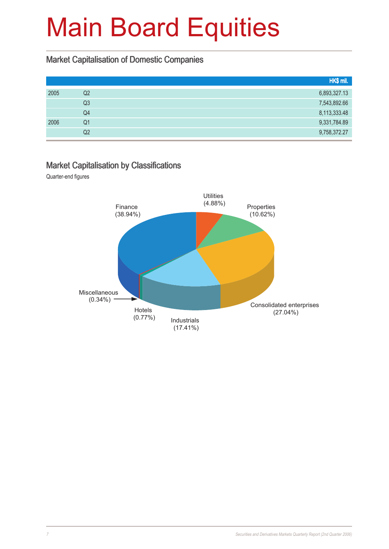#### Market Capitalisation of Domestic Companies

|      |                | HK\$ mil.    |
|------|----------------|--------------|
| 2005 | Q2             | 6,893,327.13 |
|      | Q <sub>3</sub> | 7,543,892.66 |
|      | Q4             | 8,113,333.48 |
| 2006 | Q1             | 9,331,784.89 |
|      | Q2             | 9,758,372.27 |

#### Market Capitalisation by Classifications

Quarter-end figures

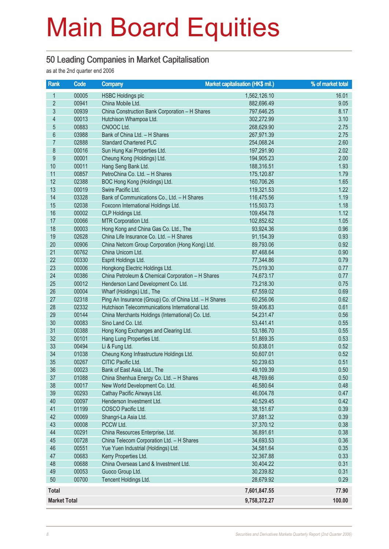#### 50 Leading Companies in Market Capitalisation

as at the 2nd quarter end 2006

| Rank                | Code  | <b>Company</b>                                         | Market capitalisation (HK\$ mil.) | % of market total |
|---------------------|-------|--------------------------------------------------------|-----------------------------------|-------------------|
| 1                   | 00005 | <b>HSBC Holdings plc</b>                               | 1,562,126.10                      | 16.01             |
| $\overline{2}$      | 00941 | China Mobile Ltd.                                      | 882,696.49                        | 9.05              |
| 3                   | 00939 | China Construction Bank Corporation - H Shares         | 797,646.25                        | 8.17              |
| $\overline{4}$      | 00013 | Hutchison Whampoa Ltd.                                 | 302,272.99                        | 3.10              |
| 5                   | 00883 | CNOOC Ltd.                                             | 268,629.90                        | 2.75              |
| $6\phantom{a}$      | 03988 | Bank of China Ltd. - H Shares                          | 267,971.39                        | 2.75              |
| $\overline{7}$      | 02888 | <b>Standard Chartered PLC</b>                          | 254,068.24                        | 2.60              |
| 8                   | 00016 | Sun Hung Kai Properties Ltd.                           | 197,291.90                        | 2.02              |
| 9                   | 00001 | Cheung Kong (Holdings) Ltd.                            | 194,905.23                        | 2.00              |
| 10                  | 00011 | Hang Seng Bank Ltd.                                    | 188,316.51                        | 1.93              |
| 11                  | 00857 | PetroChina Co. Ltd. - H Shares                         | 175,120.87                        | 1.79              |
| 12                  | 02388 | BOC Hong Kong (Holdings) Ltd.                          | 160,706.26                        | 1.65              |
| 13                  | 00019 | Swire Pacific Ltd.                                     | 119,321.53                        | 1.22              |
| 14                  | 03328 | Bank of Communications Co., Ltd. - H Shares            | 116,475.56                        | 1.19              |
| 15                  | 02038 | Foxconn International Holdings Ltd.                    | 115,503.73                        | 1.18              |
| 16                  | 00002 | CLP Holdings Ltd.                                      | 109,454.78                        | 1.12              |
| 17                  | 00066 | MTR Corporation Ltd.                                   | 102,852.62                        | 1.05              |
| 18                  | 00003 | Hong Kong and China Gas Co. Ltd., The                  | 93,924.36                         | 0.96              |
| 19                  | 02628 | China Life Insurance Co. Ltd. - H Shares               | 91,154.39                         | 0.93              |
| 20                  | 00906 | China Netcom Group Corporation (Hong Kong) Ltd.        | 89,793.06                         | 0.92              |
| 21                  | 00762 | China Unicom Ltd.                                      | 87,468.64                         | 0.90              |
| 22                  | 00330 | Esprit Holdings Ltd.                                   | 77,344.86                         | 0.79              |
| 23                  | 00006 | Hongkong Electric Holdings Ltd.                        | 75,019.30                         | 0.77              |
| 24                  | 00386 | China Petroleum & Chemical Corporation - H Shares      | 74,673.17                         | 0.77              |
| 25                  | 00012 | Henderson Land Development Co. Ltd.                    | 73,218.30                         | 0.75              |
| 26                  | 00004 | Wharf (Holdings) Ltd., The                             | 67,559.02                         | 0.69              |
| 27                  | 02318 | Ping An Insurance (Group) Co. of China Ltd. - H Shares | 60,256.06                         | 0.62              |
| 28                  | 02332 | Hutchison Telecommunications International Ltd.        | 59,406.83                         | 0.61              |
| 29                  | 00144 | China Merchants Holdings (International) Co. Ltd.      | 54,231.47                         | 0.56              |
| 30                  | 00083 | Sino Land Co. Ltd.                                     | 53,441.41                         | 0.55              |
| 31                  | 00388 | Hong Kong Exchanges and Clearing Ltd.                  | 53,186.70                         | 0.55              |
| 32                  | 00101 | Hang Lung Properties Ltd.                              | 51,869.35                         | 0.53              |
| 33                  | 00494 | Li & Fung Ltd.                                         | 50,838.01                         | 0.52              |
| 34                  | 01038 | Cheung Kong Infrastructure Holdings Ltd.               | 50,607.01                         | 0.52              |
| 35                  | 00267 | CITIC Pacific Ltd.                                     | 50,239.63                         | 0.51              |
| 36                  | 00023 | Bank of East Asia, Ltd., The                           | 49,109.39                         | 0.50              |
| 37                  | 01088 | China Shenhua Energy Co. Ltd. - H Shares               | 48,769.66                         | 0.50              |
| 38                  | 00017 | New World Development Co. Ltd.                         | 46,580.64                         | 0.48              |
| 39                  | 00293 | Cathay Pacific Airways Ltd.                            | 46,004.78                         | 0.47              |
| 40                  | 00097 | Henderson Investment Ltd.                              | 40,529.45                         | 0.42              |
| 41                  | 01199 | COSCO Pacific Ltd.                                     | 38,151.67                         | 0.39              |
| 42                  | 00069 | Shangri-La Asia Ltd.                                   | 37,881.32                         | 0.39              |
| 43                  | 00008 | PCCW Ltd.                                              | 37,370.12                         | 0.38              |
| 44                  | 00291 | China Resources Enterprise, Ltd.                       | 36,891.61                         | 0.38              |
| 45                  | 00728 | China Telecom Corporation Ltd. - H Shares              | 34,693.53                         | 0.36              |
| 46                  | 00551 | Yue Yuen Industrial (Holdings) Ltd.                    | 34,581.64                         | 0.35              |
| 47                  | 00683 | Kerry Properties Ltd.                                  | 32,367.88                         | 0.33              |
| 48                  | 00688 | China Overseas Land & Investment Ltd.                  | 30,404.22                         | 0.31              |
| 49                  | 00053 | Guoco Group Ltd.                                       | 30,239.82                         | 0.31              |
| 50                  | 00700 | Tencent Holdings Ltd.                                  | 28,679.92                         | 0.29              |
| <b>Total</b>        |       |                                                        | 7,601,847.55                      | 77.90             |
| <b>Market Total</b> |       |                                                        | 9,758,372.27                      | 100.00            |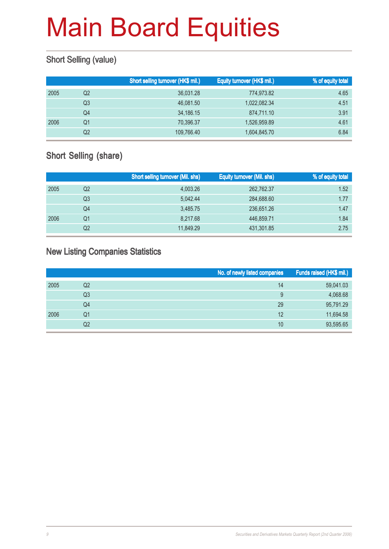### Short Selling (value)

|      |    | Short selling turnover (HK\$ mil.) | Equity turnover (HK\$ mil.) | % of equity total |
|------|----|------------------------------------|-----------------------------|-------------------|
| 2005 | Q2 | 36,031.28                          | 774,973.82                  | 4.65              |
|      | Q3 | 46.081.50                          | 1,022,082.34                | 4.51              |
|      | Q4 | 34,186.15                          | 874.711.10                  | 3.91              |
| 2006 | Q1 | 70,396.37                          | 1,526,959.89                | 4.61              |
|      | Q2 | 109,766.40                         | 1,604,845.70                | 6.84              |

### Short Selling (share)

|      |    | <b>Short selling turnover (Mil. shs)</b> | <b>Equity turnover (Mil. shs)</b> | % of equity total |
|------|----|------------------------------------------|-----------------------------------|-------------------|
| 2005 | Q2 | 4,003.26                                 | 262,762.37                        | 1.52              |
|      | Q3 | 5.042.44                                 | 284,688.60                        | 1.77              |
|      | Q4 | 3.485.75                                 | 236,651,26                        | 1.47              |
| 2006 | Q1 | 8,217.68                                 | 446,859.71                        | 1.84              |
|      | Q2 | 11,849.29                                | 431,301.85                        | 2.75              |

#### New Listing Companies Statistics

|      |                | No. of newly listed companies | Funds raised (HK\$ mil.) |
|------|----------------|-------------------------------|--------------------------|
| 2005 | Q <sub>2</sub> | 14                            | 59,041.03                |
|      | Q3             | 9                             | 4,068.68                 |
|      | Q4             | 29                            | 95,791.29                |
| 2006 | Q1             | 12                            | 11,694.58                |
|      | Q2             | 10                            | 93,595.65                |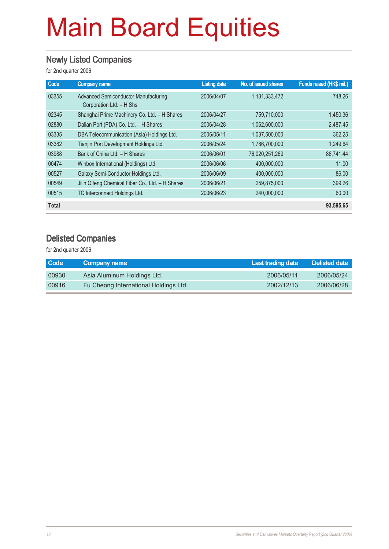#### Newly Listed Companies

for 2nd quarter 2006

| Code         | <b>Company name</b>                                                     | <b>Listing date</b> | No. of issued shares | Funds raised (HK\$ mil.) |
|--------------|-------------------------------------------------------------------------|---------------------|----------------------|--------------------------|
| 03355        | <b>Advanced Semiconductor Manufacturing</b><br>Corporation Ltd. - H Shs | 2006/04/07          | 1,131,333,472        | 748.26                   |
| 02345        | Shanghai Prime Machinery Co. Ltd. - H Shares                            | 2006/04/27          | 759,710,000          | 1,450.36                 |
| 02880        | Dalian Port (PDA) Co. Ltd. - H Shares                                   | 2006/04/28          | 1,062,600,000        | 2,487.45                 |
| 03335        | DBA Telecommunication (Asia) Holdings Ltd.                              | 2006/05/11          | 1.037.500.000        | 362.25                   |
| 03382        | Tianjin Port Development Holdings Ltd.                                  | 2006/05/24          | 1,786,700,000        | 1.249.64                 |
| 03988        | Bank of China Ltd. - H Shares                                           | 2006/06/01          | 76,020,251,269       | 86,741.44                |
| 00474        | Winbox International (Holdings) Ltd.                                    | 2006/06/06          | 400,000,000          | 11.00                    |
| 00527        | Galaxy Semi-Conductor Holdings Ltd.                                     | 2006/06/09          | 400,000,000          | 86,00                    |
| 00549        | Jilin Qifeng Chemical Fiber Co., Ltd. - H Shares                        | 2006/06/21          | 259,875,000          | 399.26                   |
| 00515        | TC Interconnect Holdings Ltd.                                           | 2006/06/23          | 240,000,000          | 60.00                    |
| <b>Total</b> |                                                                         |                     |                      | 93,595.65                |

#### Delisted Companies

| Code  | Company name                          | Last trading date | Delisted date |
|-------|---------------------------------------|-------------------|---------------|
| 00930 | Asia Aluminum Holdings Ltd.           | 2006/05/11        | 2006/05/24    |
| 00916 | Fu Cheong International Holdings Ltd. | 2002/12/13        | 2006/06/28    |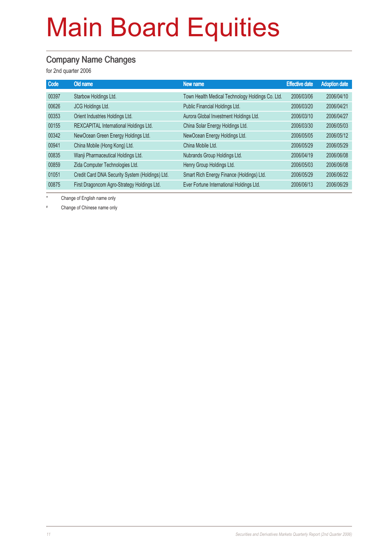#### Company Name Changes

for 2nd quarter 2006

| <b>Code</b> | Old name                                        | New name                                         | <b>Effective date</b> | <b>Adoption date</b> |
|-------------|-------------------------------------------------|--------------------------------------------------|-----------------------|----------------------|
| 00397       | Starbow Holdings Ltd.                           | Town Health Medical Technology Holdings Co. Ltd. | 2006/03/06            | 2006/04/10           |
| 00626       | JCG Holdings Ltd.                               | Public Financial Holdings Ltd.                   | 2006/03/20            | 2006/04/21           |
| 00353       | Orient Industries Holdings Ltd.                 | Aurora Global Investment Holdings Ltd.           | 2006/03/10            | 2006/04/27           |
| 00155       | REXCAPITAL International Holdings Ltd.          | China Solar Energy Holdings Ltd.                 | 2006/03/30            | 2006/05/03           |
| 00342       | NewOcean Green Energy Holdings Ltd.             | NewOcean Energy Holdings Ltd.                    | 2006/05/05            | 2006/05/12           |
| 00941       | China Mobile (Hong Kong) Ltd.                   | China Mobile Ltd.                                | 2006/05/29            | 2006/05/29           |
| 00835       | Wanji Pharmaceutical Holdings Ltd.              | Nubrands Group Holdings Ltd.                     | 2006/04/19            | 2006/06/08           |
| 00859       | Zida Computer Technologies Ltd.                 | Henry Group Holdings Ltd.                        | 2006/05/03            | 2006/06/08           |
| 01051       | Credit Card DNA Security System (Holdings) Ltd. | Smart Rich Energy Finance (Holdings) Ltd.        | 2006/05/29            | 2006/06/22           |
| 00875       | First Dragoncom Agro-Strategy Holdings Ltd.     | Ever Fortune International Holdings Ltd.         | 2006/06/13            | 2006/06/29           |

\* Change of English name only

# Change of Chinese name only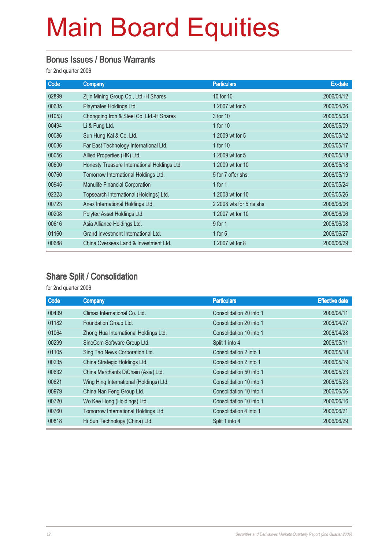#### Bonus Issues / Bonus Warrants

for 2nd quarter 2006

| Code  | <b>Company</b>                               | <b>Particulars</b>       | Ex-date    |
|-------|----------------------------------------------|--------------------------|------------|
| 02899 | Zijin Mining Group Co., Ltd.-H Shares        | 10 for 10                | 2006/04/12 |
| 00635 | Playmates Holdings Ltd.                      | 1 2007 wt for 5          | 2006/04/26 |
| 01053 | Chongqing Iron & Steel Co. Ltd.-H Shares     | 3 for 10                 | 2006/05/08 |
| 00494 | Li & Fung Ltd.                               | 1 for 10                 | 2006/05/09 |
| 00086 | Sun Hung Kai & Co. Ltd.                      | 1 2009 wt for 5          | 2006/05/12 |
| 00036 | Far East Technology International Ltd.       | 1 for 10                 | 2006/05/17 |
| 00056 | Allied Properties (HK) Ltd.                  | 1 2009 wt for 5          | 2006/05/18 |
| 00600 | Honesty Treasure International Holdings Ltd. | 1 2009 wt for 10         | 2006/05/18 |
| 00760 | Tomorrow International Holdings Ltd.         | 5 for 7 offer shs        | 2006/05/19 |
| 00945 | <b>Manulife Financial Corporation</b>        | 1 for $1$                | 2006/05/24 |
| 02323 | Topsearch International (Holdings) Ltd.      | 1 2008 wt for 10         | 2006/05/26 |
| 00723 | Anex International Holdings Ltd.             | 2 2008 wts for 5 rts shs | 2006/06/06 |
| 00208 | Polytec Asset Holdings Ltd.                  | 1 2007 wt for 10         | 2006/06/06 |
| 00616 | Asia Alliance Holdings Ltd.                  | 9 for 1                  | 2006/06/08 |
| 01160 | Grand Investment International Ltd.          | 1 for $5$                | 2006/06/27 |
| 00688 | China Overseas Land & Investment Ltd.        | 1 2007 wt for 8          | 2006/06/29 |

#### Share Split / Consolidation

| Code  | Company                                 | <b>Particulars</b>      | <b>Effective date</b> |
|-------|-----------------------------------------|-------------------------|-----------------------|
| 00439 | Climax International Co. Ltd.           | Consolidation 20 into 1 | 2006/04/11            |
| 01182 | Foundation Group Ltd.                   | Consolidation 20 into 1 | 2006/04/27            |
| 01064 | Zhong Hua International Holdings Ltd.   | Consolidation 10 into 1 | 2006/04/28            |
| 00299 | SinoCom Software Group Ltd.             | Split 1 into 4          | 2006/05/11            |
| 01105 | Sing Tao News Corporation Ltd.          | Consolidation 2 into 1  | 2006/05/18            |
| 00235 | China Strategic Holdings Ltd.           | Consolidation 2 into 1  | 2006/05/19            |
| 00632 | China Merchants DiChain (Asia) Ltd.     | Consolidation 50 into 1 | 2006/05/23            |
| 00621 | Wing Hing International (Holdings) Ltd. | Consolidation 10 into 1 | 2006/05/23            |
| 00979 | China Nan Feng Group Ltd.               | Consolidation 10 into 1 | 2006/06/06            |
| 00720 | Wo Kee Hong (Holdings) Ltd.             | Consolidation 10 into 1 | 2006/06/16            |
| 00760 | Tomorrow International Holdings Ltd     | Consolidation 4 into 1  | 2006/06/21            |
| 00818 | Hi Sun Technology (China) Ltd.          | Split 1 into 4          | 2006/06/29            |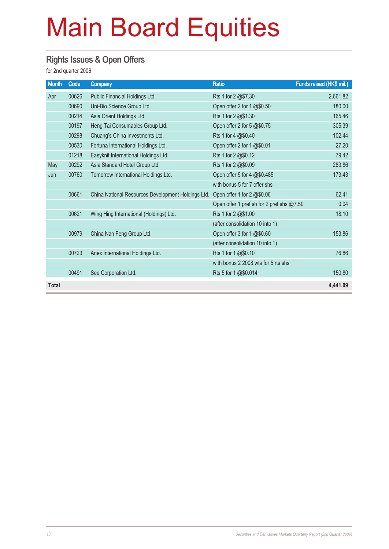#### Rights Issues & Open Offers

| <b>Month</b> | Code  | <b>Company</b>                                     | <b>Ratio</b>                              | <b>Funds raised (HK\$ mil.)</b> |
|--------------|-------|----------------------------------------------------|-------------------------------------------|---------------------------------|
| Apr          | 00626 | Public Financial Holdings Ltd.                     | Rts 1 for 2 @\$7.30                       | 2,661.82                        |
|              | 00690 | Uni-Bio Science Group Ltd.                         | Open offer 2 for 1 @\$0.50                | 180.00                          |
|              | 00214 | Asia Orient Holdings Ltd.                          | Rts 1 for 2 @\$1.30                       | 165.46                          |
|              | 00197 | Heng Tai Consumables Group Ltd.                    | Open offer 2 for 5 @\$0.75                | 305.39                          |
|              | 00298 | Chuang's China Investments Ltd.                    | Rts 1 for 4 @\$0.40                       | 102.44                          |
|              | 00530 | Fortuna International Holdings Ltd.                | Open offer 2 for 1 @\$0.01                | 27.20                           |
|              | 01218 | Easyknit International Holdings Ltd.               | Rts 1 for 2 @\$0.12                       | 79.42                           |
| May          | 00292 | Asia Standard Hotel Group Ltd.                     | Rts 1 for 2 @\$0.09                       | 283.86                          |
| Jun          | 00760 | Tomorrow International Holdings Ltd.               | Open offer 5 for 4 @\$0.485               | 173.43                          |
|              |       |                                                    | with bonus 5 for 7 offer shs              |                                 |
|              | 00661 | China National Resources Development Holdings Ltd. | Open offer 1 for 2 @\$0.06                | 62.41                           |
|              |       |                                                    | Open offer 1 pref sh for 2 pref shs @7.50 | 0.04                            |
|              | 00621 | Wing Hing International (Holdings) Ltd.            | Rts 1 for 2 @\$1.00                       | 18.10                           |
|              |       |                                                    | (after consolidation 10 into 1)           |                                 |
|              | 00979 | China Nan Feng Group Ltd.                          | Open offer 3 for 1 @\$0.60                | 153.86                          |
|              |       |                                                    | (after consolidation 10 into 1)           |                                 |
|              | 00723 | Anex International Holdings Ltd.                   | Rts 1 for 1 @\$0.10                       | 76.86                           |
|              |       |                                                    | with bonus 2 2008 wts for 5 rts shs       |                                 |
|              | 00491 | See Corporation Ltd.                               | Rts 5 for 1 @\$0.014                      | 150.80                          |
| <b>Total</b> |       |                                                    |                                           | 4.441.09                        |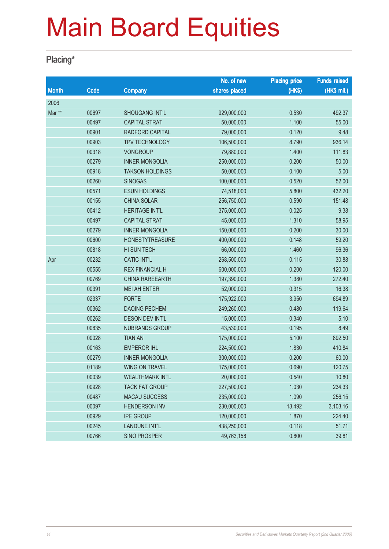### Placing\*

|              |       |                        | No. of new    | <b>Placing price</b> | <b>Funds raised</b> |
|--------------|-------|------------------------|---------------|----------------------|---------------------|
| <b>Month</b> | Code  | <b>Company</b>         | shares placed | (HK\$)               | (HK\$ mil.)         |
| 2006         |       |                        |               |                      |                     |
| Mar **       | 00697 | <b>SHOUGANG INT'L</b>  | 929,000,000   | 0.530                | 492.37              |
|              | 00497 | <b>CAPITAL STRAT</b>   | 50,000,000    | 1.100                | 55.00               |
|              | 00901 | RADFORD CAPITAL        | 79,000,000    | 0.120                | 9.48                |
|              | 00903 | TPV TECHNOLOGY         | 106,500,000   | 8.790                | 936.14              |
|              | 00318 | <b>VONGROUP</b>        | 79,880,000    | 1.400                | 111.83              |
|              | 00279 | <b>INNER MONGOLIA</b>  | 250,000,000   | 0.200                | 50.00               |
|              | 00918 | <b>TAKSON HOLDINGS</b> | 50,000,000    | 0.100                | 5.00                |
|              | 00260 | <b>SINOGAS</b>         | 100,000,000   | 0.520                | 52.00               |
|              | 00571 | <b>ESUN HOLDINGS</b>   | 74,518,000    | 5.800                | 432.20              |
|              | 00155 | <b>CHINA SOLAR</b>     | 256,750,000   | 0.590                | 151.48              |
|              | 00412 | <b>HERITAGE INT'L</b>  | 375,000,000   | 0.025                | 9.38                |
|              | 00497 | <b>CAPITAL STRAT</b>   | 45,000,000    | 1.310                | 58.95               |
|              | 00279 | <b>INNER MONGOLIA</b>  | 150,000,000   | 0.200                | 30.00               |
|              | 00600 | <b>HONESTYTREASURE</b> | 400,000,000   | 0.148                | 59.20               |
|              | 00818 | HI SUN TECH            | 66,000,000    | 1.460                | 96.36               |
| Apr          | 00232 | <b>CATIC INT'L</b>     | 268,500,000   | 0.115                | 30.88               |
|              | 00555 | <b>REX FINANCIAL H</b> | 600,000,000   | 0.200                | 120.00              |
|              | 00769 | <b>CHINA RAREEARTH</b> | 197,390,000   | 1.380                | 272.40              |
|              | 00391 | <b>MEI AH ENTER</b>    | 52,000,000    | 0.315                | 16.38               |
|              | 02337 | <b>FORTE</b>           | 175,922,000   | 3.950                | 694.89              |
|              | 00362 | <b>DAQING PECHEM</b>   | 249,260,000   | 0.480                | 119.64              |
|              | 00262 | <b>DESON DEV INT'L</b> | 15,000,000    | 0.340                | 5.10                |
|              | 00835 | <b>NUBRANDS GROUP</b>  | 43,530,000    | 0.195                | 8.49                |
|              | 00028 | <b>TIAN AN</b>         | 175,000,000   | 5.100                | 892.50              |
|              | 00163 | <b>EMPEROR IHL</b>     | 224,500,000   | 1.830                | 410.84              |
|              | 00279 | <b>INNER MONGOLIA</b>  | 300,000,000   | 0.200                | 60.00               |
|              | 01189 | <b>WING ON TRAVEL</b>  | 175,000,000   | 0.690                | 120.75              |
|              | 00039 | <b>WEALTHMARK INTL</b> | 20,000,000    | 0.540                | 10.80               |
|              | 00928 | <b>TACK FAT GROUP</b>  | 227,500,000   | 1.030                | 234.33              |
|              | 00487 | <b>MACAU SUCCESS</b>   | 235,000,000   | 1.090                | 256.15              |
|              | 00097 | <b>HENDERSON INV</b>   | 230,000,000   | 13.492               | 3,103.16            |
|              | 00929 | <b>IPE GROUP</b>       | 120,000,000   | 1.870                | 224.40              |
|              | 00245 | <b>LANDUNE INT'L</b>   | 438,250,000   | 0.118                | 51.71               |
|              | 00766 | <b>SINO PROSPER</b>    | 49,763,158    | 0.800                | 39.81               |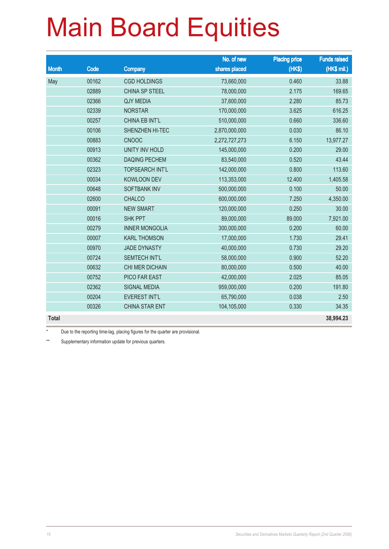|              |       |                        | No. of new    | <b>Placing price</b> | <b>Funds raised</b> |
|--------------|-------|------------------------|---------------|----------------------|---------------------|
| <b>Month</b> | Code  | <b>Company</b>         | shares placed | (HK\$)               | (HK\$ mil.)         |
| May          | 00162 | <b>CGD HOLDINGS</b>    | 73,660,000    | 0.460                | 33.88               |
|              | 02889 | <b>CHINA SP STEEL</b>  | 78,000,000    | 2.175                | 169.65              |
|              | 02366 | <b>QJY MEDIA</b>       | 37,600,000    | 2.280                | 85.73               |
|              | 02339 | <b>NORSTAR</b>         | 170,000,000   | 3.625                | 616.25              |
|              | 00257 | <b>CHINA EB INT'L</b>  | 510,000,000   | 0.660                | 336.60              |
|              | 00106 | SHENZHEN HI-TEC        | 2,870,000,000 | 0.030                | 86.10               |
|              | 00883 | <b>CNOOC</b>           | 2,272,727,273 | 6.150                | 13,977.27           |
|              | 00913 | <b>UNITY INV HOLD</b>  | 145,000,000   | 0.200                | 29.00               |
|              | 00362 | <b>DAQING PECHEM</b>   | 83,540,000    | 0.520                | 43.44               |
|              | 02323 | <b>TOPSEARCH INT'L</b> | 142,000,000   | 0.800                | 113.60              |
|              | 00034 | <b>KOWLOON DEV</b>     | 113,353,000   | 12.400               | 1,405.58            |
|              | 00648 | <b>SOFTBANK INV</b>    | 500,000,000   | 0.100                | 50.00               |
|              | 02600 | <b>CHALCO</b>          | 600,000,000   | 7.250                | 4,350.00            |
|              | 00091 | <b>NEW SMART</b>       | 120,000,000   | 0.250                | 30.00               |
|              | 00016 | <b>SHK PPT</b>         | 89,000,000    | 89.000               | 7,921.00            |
|              | 00279 | <b>INNER MONGOLIA</b>  | 300,000,000   | 0.200                | 60.00               |
|              | 00007 | <b>KARL THOMSON</b>    | 17,000,000    | 1.730                | 29.41               |
|              | 00970 | <b>JADE DYNASTY</b>    | 40,000,000    | 0.730                | 29.20               |
|              | 00724 | <b>SEMTECH INT'L</b>   | 58,000,000    | 0.900                | 52.20               |
|              | 00632 | CHI MER DICHAIN        | 80,000,000    | 0.500                | 40.00               |
|              | 00752 | PICO FAR EAST          | 42,000,000    | 2.025                | 85.05               |
|              | 02362 | <b>SIGNAL MEDIA</b>    | 959,000,000   | 0.200                | 191.80              |
|              | 00204 | <b>EVEREST INT'L</b>   | 65,790,000    | 0.038                | 2.50                |
|              | 00326 | <b>CHINA STAR ENT</b>  | 104,105,000   | 0.330                | 34.35               |
| <b>Total</b> |       |                        |               |                      | 38,994.23           |

\* Due to the reporting time-lag, placing figures for the quarter are provisional.

\*\* Supplementary information update for previous quarters.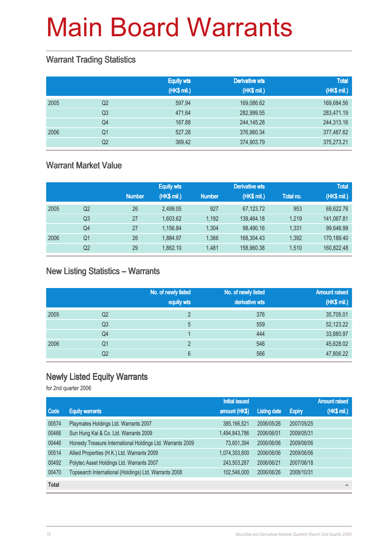#### Warrant Trading Statistics

|      |                | <b>Equity wts</b><br>(HK\$ mil.) | <b>Derivative wts</b><br>(HK\$ mil.) | <b>Total</b><br>(HK\$ mil.) |
|------|----------------|----------------------------------|--------------------------------------|-----------------------------|
| 2005 | Q <sub>2</sub> | 597.94                           | 169,086.62                           | 169,684.56                  |
|      | Q <sub>3</sub> | 471.64                           | 282,999.55                           | 283,471.19                  |
|      | Q <sub>4</sub> | 167.88                           | 244,145.28                           | 244,313.16                  |
| 2006 | Q1             | 527.28                           | 376,960.34                           | 377,487.62                  |
|      | Q2             | 369.42                           | 374,903.79                           | 375,273.21                  |

#### Warrant Market Value

|      |                |               | <b>Equity wts</b> |               | <b>Derivative wts</b> |           | <b>Total</b> |
|------|----------------|---------------|-------------------|---------------|-----------------------|-----------|--------------|
|      |                | <b>Number</b> | (HK\$ mil.)       | <b>Number</b> | (HK\$ mil.)           | Total no. | (HK\$ mil.)  |
| 2005 | Q <sub>2</sub> | 26            | 2,499.05          | 927           | 67,123.72             | 953       | 69,622.76    |
|      | Q <sub>3</sub> | 27            | 1,603.62          | 1.192         | 139,464.18            | 1.219     | 141,067.81   |
|      | Q4             | 27            | 1,156.84          | 1.304         | 98,490.16             | 1.331     | 99,646.99    |
| 2006 | Q1             | 26            | 1,884.97          | 1.366         | 168,304.43            | 1,392     | 170,189.40   |
|      | Q <sub>2</sub> | 29            | 1,862.10          | 1.481         | 158,960.38            | 1,510     | 160,822.48   |

#### New Listing Statistics – Warrants

|      |    | No. of newly listed<br>equity wts | No. of newly listed<br>derivative wts | <b>Amount raised</b><br>(HK\$ mil.) |
|------|----|-----------------------------------|---------------------------------------|-------------------------------------|
| 2005 | Q2 | $\mathcal{D}$                     | 376                                   | 35,705.01                           |
|      | Q3 | 5                                 | 559                                   | 52,123.22                           |
|      | Q4 |                                   | 444                                   | 33,880.97                           |
| 2006 | Q1 | C                                 | 546                                   | 45,628.02                           |
|      | Q2 | 6                                 | 566                                   | 47,806.22                           |

#### Newly Listed Equity Warrants

|              |                                                            | <b>Initial issued</b> |                     |               | <b>Amount raised</b> |
|--------------|------------------------------------------------------------|-----------------------|---------------------|---------------|----------------------|
| Code         | <b>Equity warrants</b>                                     | amount (HK\$)         | <b>Listing date</b> | <b>Expiry</b> | (HK\$ mil.)          |
| 00574        | Playmates Holdings Ltd. Warrants 2007                      | 385, 166, 521         | 2006/05/26          | 2007/05/25    |                      |
| 00466        | Sun Hung Kai & Co. Ltd. Warrants 2009                      | 1,494,843,786         | 2006/06/01          | 2009/05/31    |                      |
| 00446        | Honesty Treasure International Holdings Ltd. Warrants 2009 | 73,601,394            | 2006/06/06          | 2009/06/06    |                      |
| 00514        | Allied Properties (H.K.) Ltd. Warrants 2009                | 1,074,303,800         | 2006/06/06          | 2009/06/06    |                      |
| 00492        | Polytec Asset Holdings Ltd. Warrants 2007                  | 243,503,267           | 2006/06/21          | 2007/06/18    |                      |
| 00470        | Topsearch International (Holdings) Ltd. Warrants 2008      | 102,546,000           | 2006/06/26          | 2008/10/31    |                      |
| <b>Total</b> |                                                            |                       |                     |               |                      |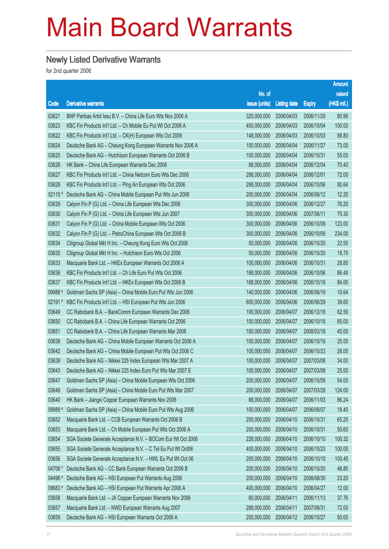#### Newly Listed Derivative Warrants

|           |                                                              |               |                     |               | <b>Amount</b> |
|-----------|--------------------------------------------------------------|---------------|---------------------|---------------|---------------|
|           |                                                              | No. of        |                     |               | raised        |
| Code      | <b>Derivative warrants</b>                                   | issue (units) | <b>Listing date</b> | <b>Expiry</b> | (HK\$ mil.)   |
| 03621     | BNP Paribas Arbit Issu B.V. - China Life Euro Wts Nov 2006 A | 320,000,000   | 2006/04/03          | 2006/11/29    | 80.96         |
| 03623     | KBC Fin Products Int'l Ltd. - Ch Mobile Eu Put Wt Oct 2006 A | 400,000,000   | 2006/04/03          | 2006/10/04    | 100.00        |
| 03622     | KBC Fin Products Int'l Ltd. - CK(H) European Wts Oct 2006    | 148,000,000   | 2006/04/03          | 2006/10/03    | 88.80         |
| 03624     | Deutsche Bank AG - Cheung Kong European Warrants Nov 2006 A  | 100,000,000   | 2006/04/04          | 2006/11/27    | 73.00         |
| 03625     | Deutsche Bank AG - Hutchison European Warrants Oct 2006 B    | 100,000,000   | 2006/04/04          | 2006/10/31    | 55.00         |
| 03626     | HK Bank - China Life European Warrants Dec 2006              | 88,000,000    | 2006/04/04          | 2006/12/04    | 70.40         |
| 03627     | KBC Fin Products Int'l Ltd. - China Netcom Euro Wts Dec 2006 | 288,000,000   | 2006/04/04          | 2006/12/01    | 72.00         |
| 03628     | KBC Fin Products Int'l Ltd. - Ping An European Wts Oct 2006  | 288,000,000   | 2006/04/04          | 2006/10/06    | 80.64         |
| 02115 #   | Deutsche Bank AG - China Mobile European Put Wts Jun 2006    | 200,000,000   | 2006/04/04          | 2006/06/12    | 12.20         |
| 03629     | Calyon Fin P (G) Ltd. - China Life European Wts Dec 2006     | 300,000,000   | 2006/04/06          | 2006/12/27    | 76.20         |
| 03630     | Calyon Fin P (G) Ltd. - China Life European Wts Jun 2007     | 300,000,000   | 2006/04/06          | 2007/06/11    | 75.30         |
| 03631     | Calyon Fin P (G) Ltd. - China Mobile European Wts Oct 2006   | 300,000,000   | 2006/04/06          | 2006/10/09    | 123.00        |
| 03632     | Calyon Fin P (G) Ltd. - PetroChina European Wts Oct 2006 B   | 300,000,000   | 2006/04/06          | 2006/10/09    | 234.00        |
| 03634     | Citigroup Global Mkt H Inc. - Cheung Kong Euro Wts Oct 2006  | 50,000,000    | 2006/04/06          | 2006/10/20    | 22.50         |
| 03635     | Citigroup Global Mkt H Inc. - Hutchison Euro Wts Oct 2006    | 50,000,000    | 2006/04/06          | 2006/10/20    | 18.75         |
| 03633     | Macquarie Bank Ltd. - HKEx European Warrants Oct 2006 A      | 100,000,000   | 2006/04/06          | 2006/10/31    | 28.80         |
| 03636     | KBC Fin Products Int'l Ltd. - Ch Life Euro Put Wts Oct 2006  | 188,000,000   | 2006/04/06          | 2006/10/06    | 86.48         |
| 03637     | KBC Fin Products Int'l Ltd. - HKEx European Wts Oct 2006 B   | 168,000,000   | 2006/04/06          | 2006/10/16    | 84.00         |
| 09988 #   | Goldman Sachs SP (Asia) – China Mobile Euro Put Wts Jun 2006 | 140,000,000   | 2006/04/06          | 2006/06/19    | 10.64         |
| $02191$ # | KBC Fin Products Int'l Ltd. - HSI European Put Wts Jun 2006  | 600,000,000   | 2006/04/06          | 2006/06/29    | 39.60         |
| 03649     | CC Rabobank B.A. - BankComm European Warrants Dec 2006       | 100,000,000   | 2006/04/07          | 2006/12/18    | 62.50         |
| 03650     | CC Rabobank B.A. - China Life European Warrants Oct 2006     | 100,000,000   | 2006/04/07          | 2006/10/18    | 85.00         |
| 03651     | CC Rabobank B.A. - China Life European Warrants Mar 2008     | 180,000,000   | 2006/04/07          | 2008/03/18    | 45.00         |
| 03638     | Deutsche Bank AG - China Mobile European Warrants Oct 2006 A | 100,000,000   | 2006/04/07          | 2006/10/16    | 25.00         |
| 03642     | Deutsche Bank AG - China Mobile European Put Wts Oct 2006 C  | 100,000,000   | 2006/04/07          | 2006/10/23    | 26.00         |
| 03639     | Deutsche Bank AG - Nikkei 225 Index European Wts Mar 2007 A  | 100,000,000   | 2006/04/07          | 2007/03/08    | 34.00         |
| 03643     | Deutsche Bank AG - Nikkei 225 Index Euro Put Wts Mar 2007 E  | 100,000,000   | 2006/04/07          | 2007/03/08    | 25.00         |
| 03647     | Goldman Sachs SP (Asia) - China Mobile European Wts Oct 2006 | 200,000,000   | 2006/04/07          | 2006/10/09    | 54.00         |
| 03648     | Goldman Sachs SP (Asia) - China Mobile Euro Put Wts Mar 2007 | 200,000,000   | 2006/04/07          | 2007/03/28    | 124.00        |
| 03640     | HK Bank - Jiangxi Copper European Warrants Nov 2006          | 88,000,000    | 2006/04/07          | 2006/11/03    | 86.24         |
| 09989 #   | Goldman Sachs SP (Asia) - China Mobile Euro Put Wts Aug 2006 | 100,000,000   | 2006/04/07          | 2006/08/07    | 18.40         |
| 03652     | Macquarie Bank Ltd. - CCB European Warrants Oct 2006 B       | 250,000,000   | 2006/04/10          | 2006/10/31    | 65.25         |
| 03653     | Macquarie Bank Ltd. - Ch Mobile European Put Wts Oct 2006 A  | 200,000,000   | 2006/04/10          | 2006/10/31    | 50.60         |
| 03654     | SGA Societe Generale Acceptance N.V. - BOCom Eur Wt Oct 2006 | 228,000,000   | 2006/04/10          | 2006/10/10    | 100.32        |
| 03655     | SGA Societe Generale Acceptance N.V. - C Tel Eu Put Wt Oct06 | 400,000,000   | 2006/04/10          | 2006/10/23    | 100.00        |
| 03656     | SGA Societe Generale Acceptance N.V. - HWL Eu Put Wt Oct 06  | 205,000,000   | 2006/04/10          | 2006/10/10    | 100.45        |
| 04706 #   | Deutsche Bank AG - CC Bank European Warrants Oct 2006 B      | 200,000,000   | 2006/04/10          | 2006/10/20    | 48.80         |
| 04498 #   | Deutsche Bank AG - HSI European Put Warrants Aug 2006        | 200,000,000   | 2006/04/10          | 2006/08/30    | 23.20         |
| 09683 #   | Deutsche Bank AG - HSI European Put Warrants Apr 2006 A      | 400,000,000   | 2006/04/10          | 2006/04/27    | 12.00         |
| 03658     | Macquarie Bank Ltd. - JX Copper European Warrants Nov 2006   | 80,000,000    | 2006/04/11          | 2006/11/13    | 37.76         |
| 03657     | Macquarie Bank Ltd. - NWD European Warrants Aug 2007         | 288,000,000   | 2006/04/11          | 2007/08/31    | 72.00         |
| 03659     | Deutsche Bank AG - HSI European Warrants Oct 2006 A          | 200,000,000   | 2006/04/12          | 2006/10/27    | 50.00         |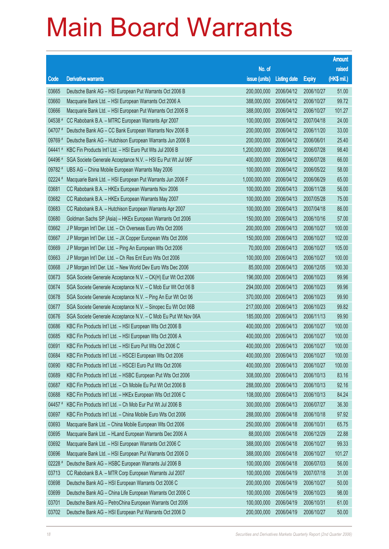|         |                                                                |                        |                     |               | <b>Amount</b> |
|---------|----------------------------------------------------------------|------------------------|---------------------|---------------|---------------|
|         |                                                                | No. of                 |                     |               | raised        |
| Code    | <b>Derivative warrants</b>                                     | issue (units)          | <b>Listing date</b> | <b>Expiry</b> | (HK\$ mil.)   |
| 03665   | Deutsche Bank AG - HSI European Put Warrants Oct 2006 B        | 200,000,000            | 2006/04/12          | 2006/10/27    | 51.00         |
| 03660   | Macquarie Bank Ltd. - HSI European Warrants Oct 2006 A         | 388,000,000            | 2006/04/12          | 2006/10/27    | 99.72         |
| 03666   | Macquarie Bank Ltd. - HSI European Put Warrants Oct 2006 B     | 388,000,000            | 2006/04/12          | 2006/10/27    | 101.27        |
| 04538 # | CC Rabobank B.A. - MTRC European Warrants Apr 2007             | 100,000,000            | 2006/04/12          | 2007/04/18    | 24.00         |
| 04707 # | Deutsche Bank AG - CC Bank European Warrants Nov 2006 B        | 200,000,000            | 2006/04/12          | 2006/11/20    | 33.00         |
| 09769 # | Deutsche Bank AG - Hutchison European Warrants Jun 2006 B      | 200,000,000            | 2006/04/12          | 2006/06/01    | 25.40         |
| 04441#  | KBC Fin Products Int'l Ltd. - HSI Euro Put Wts Jul 2006 B      | 1,200,000,000          | 2006/04/12          | 2006/07/28    | 98.40         |
| 04496 # | SGA Societe Generale Acceptance N.V. - HSI Eu Put Wt Jul 06F   | 400,000,000            | 2006/04/12          | 2006/07/28    | 66.00         |
| 09782 # | UBS AG - China Mobile European Warrants May 2006               | 100,000,000            | 2006/04/12          | 2006/05/22    | 58.00         |
| 02224 # | Macquarie Bank Ltd. - HSI European Put Warrants Jun 2006 F     | 1,000,000,000          | 2006/04/12          | 2006/06/29    | 65.00         |
| 03681   | CC Rabobank B.A. - HKEx European Warrants Nov 2006             | 100,000,000            | 2006/04/13          | 2006/11/28    | 56.00         |
| 03682   | CC Rabobank B.A. - HKEx European Warrants May 2007             | 100,000,000            | 2006/04/13          | 2007/05/28    | 75.00         |
| 03683   | CC Rabobank B.A. - Hutchison European Warrants Apr 2007        | 100,000,000            | 2006/04/13          | 2007/04/18    | 86.00         |
| 03680   | Goldman Sachs SP (Asia) - HKEx European Warrants Oct 2006      | 150,000,000            | 2006/04/13          | 2006/10/16    | 57.00         |
| 03662   | J P Morgan Int'l Der. Ltd. - Ch Overseas Euro Wts Oct 2006     | 200,000,000            | 2006/04/13          | 2006/10/27    | 100.00        |
| 03667   | J P Morgan Int'l Der. Ltd. - JX Copper European Wts Oct 2006   | 150,000,000            | 2006/04/13          | 2006/10/27    | 102.00        |
| 03669   | J P Morgan Int'l Der. Ltd. - Ping An European Wts Oct 2006     | 70,000,000             | 2006/04/13          | 2006/10/27    | 105.00        |
| 03663   | J P Morgan Int'l Der. Ltd. - Ch Res Ent Euro Wts Oct 2006      | 100,000,000            | 2006/04/13          | 2006/10/27    | 100.00        |
| 03668   | J P Morgan Int'l Der. Ltd. - New World Dev Euro Wts Dec 2006   | 85,000,000             | 2006/04/13          | 2006/12/05    | 100.30        |
| 03673   | SGA Societe Generale Acceptance N.V. - CK(H) Eur Wt Oct 2006   | 196,000,000            | 2006/04/13          | 2006/10/23    | 99.96         |
| 03674   | SGA Societe Generale Acceptance N.V. - C Mob Eur Wt Oct 06 B   | 294,000,000            | 2006/04/13          | 2006/10/23    | 99.96         |
| 03678   | SGA Societe Generale Acceptance N.V. - Ping An Eur Wt Oct 06   | 370,000,000            | 2006/04/13          | 2006/10/23    | 99.90         |
| 03677   | SGA Societe Generale Acceptance N.V. - Sinopec Eu Wt Oct 06B   | 217,000,000            | 2006/04/13          | 2006/10/23    | 99.82         |
| 03676   | SGA Societe Generale Acceptance N.V. - C Mob Eu Put Wt Nov 06A | 185,000,000            | 2006/04/13          | 2006/11/13    | 99.90         |
| 03686   | KBC Fin Products Int'l Ltd. - HSI European Wts Oct 2006 B      | 400,000,000            | 2006/04/13          | 2006/10/27    | 100.00        |
| 03685   | KBC Fin Products Int'l Ltd. - HSI European Wts Oct 2006 A      | 400,000,000            | 2006/04/13          | 2006/10/27    | 100.00        |
| 03691   | KBC Fin Products Int'l Ltd. - HSI Euro Put Wts Oct 2006 C      | 400,000,000 2006/04/13 |                     | 2006/10/27    | 100.00        |
| 03684   | KBC Fin Products Int'l Ltd. - HSCEI European Wts Oct 2006      | 400,000,000            | 2006/04/13          | 2006/10/27    | 100.00        |
| 03690   | KBC Fin Products Int'l Ltd. - HSCEI Euro Put Wts Oct 2006      | 400,000,000            | 2006/04/13          | 2006/10/27    | 100.00        |
| 03689   | KBC Fin Products Int'l Ltd. - HSBC European Put Wts Oct 2006   | 308,000,000            | 2006/04/13          | 2006/10/13    | 83.16         |
| 03687   | KBC Fin Products Int'l Ltd. - Ch Mobile Eu Put Wt Oct 2006 B   | 288,000,000            | 2006/04/13          | 2006/10/13    | 92.16         |
| 03688   | KBC Fin Products Int'l Ltd. - HKEx European Wts Oct 2006 C     | 108,000,000            | 2006/04/13          | 2006/10/13    | 84.24         |
| 04457 # | KBC Fin Products Int'l Ltd. - Ch Mob Eur Put Wt Jul 2006 B     | 300,000,000            | 2006/04/13          | 2006/07/27    | 36.30         |
| 03697   | KBC Fin Products Int'l Ltd. - China Mobile Euro Wts Oct 2006   | 288,000,000            | 2006/04/18          | 2006/10/18    | 97.92         |
| 03693   | Macquarie Bank Ltd. - China Mobile European Wts Oct 2006       | 250,000,000            | 2006/04/18          | 2006/10/31    | 65.75         |
| 03695   | Macquarie Bank Ltd. - HLand European Warrants Dec 2006 A       | 88,000,000             | 2006/04/18          | 2006/12/29    | 22.88         |
| 03692   | Macquarie Bank Ltd. - HSI European Warrants Oct 2006 C         | 388,000,000            | 2006/04/18          | 2006/10/27    | 99.33         |
| 03696   | Macquarie Bank Ltd. - HSI European Put Warrants Oct 2006 D     | 388,000,000            | 2006/04/18          | 2006/10/27    | 101.27        |
| 02228 # | Deutsche Bank AG - HSBC European Warrants Jul 2006 B           | 100,000,000            | 2006/04/18          | 2006/07/03    | 56.00         |
| 03713   | CC Rabobank B.A. - MTR Corp European Warrants Jul 2007         | 100,000,000            | 2006/04/19          | 2007/07/18    | 31.00         |
| 03698   | Deutsche Bank AG - HSI European Warrants Oct 2006 C            | 200,000,000            | 2006/04/19          | 2006/10/27    | 50.00         |
| 03699   | Deutsche Bank AG - China Life European Warrants Oct 2006 C     | 100,000,000            | 2006/04/19          | 2006/10/23    | 98.00         |
| 03701   | Deutsche Bank AG - PetroChina European Warrants Oct 2006       | 100,000,000            | 2006/04/19          | 2006/10/31    | 61.00         |
| 03702   | Deutsche Bank AG - HSI European Put Warrants Oct 2006 D        | 200,000,000            | 2006/04/19          | 2006/10/27    | 50.00         |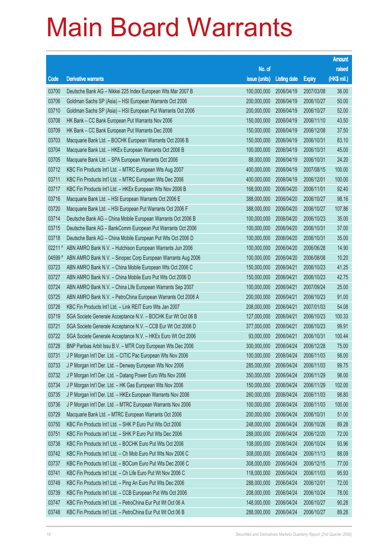|         |                                                              |               |                     |               | <b>Amount</b> |
|---------|--------------------------------------------------------------|---------------|---------------------|---------------|---------------|
|         |                                                              | No. of        |                     |               | raised        |
| Code    | <b>Derivative warrants</b>                                   | issue (units) | <b>Listing date</b> | <b>Expiry</b> | (HK\$ mil.)   |
| 03700   | Deutsche Bank AG - Nikkei 225 Index European Wts Mar 2007 B  | 100,000,000   | 2006/04/19          | 2007/03/08    | 36.00         |
| 03706   | Goldman Sachs SP (Asia) - HSI European Warrants Oct 2006     | 200,000,000   | 2006/04/19          | 2006/10/27    | 50.00         |
| 03710   | Goldman Sachs SP (Asia) - HSI European Put Warrants Oct 2006 | 200,000,000   | 2006/04/19          | 2006/10/27    | 52.00         |
| 03708   | HK Bank - CC Bank European Put Warrants Nov 2006             | 150,000,000   | 2006/04/19          | 2006/11/10    | 43.50         |
| 03709   | HK Bank - CC Bank European Put Warrants Dec 2006             | 150,000,000   | 2006/04/19          | 2006/12/08    | 37.50         |
| 03703   | Macquarie Bank Ltd. - BOCHK European Warrants Oct 2006 B     | 150,000,000   | 2006/04/19          | 2006/10/31    | 83.10         |
| 03704   | Macquarie Bank Ltd. - HKEx European Warrants Oct 2006 B      | 100,000,000   | 2006/04/19          | 2006/10/31    | 45.00         |
| 03705   | Macquarie Bank Ltd. - SPA European Warrants Oct 2006         | 88,000,000    | 2006/04/19          | 2006/10/31    | 24.20         |
| 03712   | KBC Fin Products Int'l Ltd. - MTRC European Wts Aug 2007     | 400,000,000   | 2006/04/19          | 2007/08/15    | 100.00        |
| 03711   | KBC Fin Products Int'l Ltd. - MTRC European Wts Dec 2006     | 400,000,000   | 2006/04/19          | 2006/12/01    | 100.00        |
| 03717   | KBC Fin Products Int'l Ltd. - HKEx European Wts Nov 2006 B   | 168,000,000   | 2006/04/20          | 2006/11/01    | 92.40         |
| 03716   | Macquarie Bank Ltd. - HSI European Warrants Oct 2006 E       | 388,000,000   | 2006/04/20          | 2006/10/27    | 98.16         |
| 03720   | Macquarie Bank Ltd. - HSI European Put Warrants Oct 2006 F   | 388,000,000   | 2006/04/20          | 2006/10/27    | 107.86        |
| 03714   | Deutsche Bank AG - China Mobile European Warrants Oct 2006 B | 100,000,000   | 2006/04/20          | 2006/10/23    | 35.00         |
| 03715   | Deutsche Bank AG - BankComm European Put Warrants Oct 2006   | 100,000,000   | 2006/04/20          | 2006/10/31    | 37.00         |
| 03718   | Deutsche Bank AG - China Mobile European Put Wts Oct 2006 D  | 100,000,000   | 2006/04/20          | 2006/10/31    | 35.00         |
| 02211#  | ABN AMRO Bank N.V. - Hutchison European Warrants Jun 2006    | 100,000,000   | 2006/04/20          | 2006/06/28    | 14.90         |
| 04599 # | ABN AMRO Bank N.V. - Sinopec Corp European Warrants Aug 2006 | 100,000,000   | 2006/04/20          | 2006/08/08    | 10.20         |
| 03723   | ABN AMRO Bank N.V. - China Mobile European Wts Oct 2006 C    | 150,000,000   | 2006/04/21          | 2006/10/23    | 41.25         |
| 03727   | ABN AMRO Bank N.V. - China Mobile Euro Put Wts Oct 2006 D    | 150,000,000   | 2006/04/21          | 2006/10/23    | 42.75         |
| 03724   | ABN AMRO Bank N.V. - China Life European Warrants Sep 2007   | 100,000,000   | 2006/04/21          | 2007/09/24    | 25.00         |
| 03725   | ABN AMRO Bank N.V. - PetroChina European Warrants Oct 2006 A | 200,000,000   | 2006/04/21          | 2006/10/23    | 91.00         |
| 03726   | KBC Fin Products Int'l Ltd. - Link REIT Euro Wts Jan 2007    | 208,000,000   | 2006/04/21          | 2007/01/03    | 54.08         |
| 03719   | SGA Societe Generale Acceptance N.V. - BOCHK Eur Wt Oct 06 B | 127,000,000   | 2006/04/21          | 2006/10/23    | 100.33        |
| 03721   | SGA Societe Generale Acceptance N.V. - CCB Eur Wt Oct 2006 D | 377,000,000   | 2006/04/21          | 2006/10/23    | 99.91         |
| 03722   | SGA Societe Generale Acceptance N.V. - HKEx Euro Wt Oct 2006 | 93,000,000    | 2006/04/21          | 2006/10/31    | 100.44        |
| 03728   | BNP Paribas Arbit Issu B.V. - MTR Corp European Wts Dec 2006 | 300,000,000   | 2006/04/24          | 2006/12/28    | 75.00         |
| 03731   | J P Morgan Int'l Der. Ltd. - CITIC Pac European Wts Nov 2006 | 100,000,000   | 2006/04/24          | 2006/11/03    | 98.00         |
| 03733   | J P Morgan Int'l Der. Ltd. - Denway European Wts Nov 2006    | 285,000,000   | 2006/04/24          | 2006/11/03    | 99.75         |
| 03732   | J P Morgan Int'l Der. Ltd. - Datang Power Euro Wts Nov 2006  | 350,000,000   | 2006/04/24          | 2006/11/29    | 98.00         |
| 03734   | J P Morgan Int'l Der. Ltd. - HK Gas European Wts Nov 2006    | 150,000,000   | 2006/04/24          | 2006/11/29    | 102.00        |
| 03735   | J P Morgan Int'l Der. Ltd. - HKEx European Warrants Nov 2006 | 260,000,000   | 2006/04/24          | 2006/11/03    | 98.80         |
| 03736   | J P Morgan Int'l Der. Ltd. - MTRC European Warrants Nov 2006 | 100,000,000   | 2006/04/24          | 2006/11/03    | 100.00        |
| 03729   | Macquarie Bank Ltd. - MTRC European Warrants Oct 2006        | 200,000,000   | 2006/04/24          | 2006/10/31    | 51.00         |
| 03750   | KBC Fin Products Int'l Ltd. - SHK P Euro Put Wts Oct 2006    | 248,000,000   | 2006/04/24          | 2006/10/26    | 89.28         |
| 03751   | KBC Fin Products Int'l Ltd. - SHK P Euro Put Wts Dec 2006    | 288,000,000   | 2006/04/24          | 2006/12/20    | 72.00         |
| 03738   | KBC Fin Products Int'l Ltd. - BOCHK Euro Put Wts Oct 2006    | 108,000,000   | 2006/04/24          | 2006/10/24    | 93.96         |
| 03742   | KBC Fin Products Int'l Ltd. - Ch Mob Euro Put Wts Nov 2006 C | 308,000,000   | 2006/04/24          | 2006/11/13    | 88.09         |
| 03737   | KBC Fin Products Int'l Ltd. - BOCom Euro Put Wts Dec 2006 C  | 308,000,000   | 2006/04/24          | 2006/12/15    | 77.00         |
| 03741   | KBC Fin Products Int'l Ltd. - Ch Life Euro Put Wt Nov 2006 C | 118,000,000   | 2006/04/24          | 2006/11/03    | 95.93         |
| 03749   | KBC Fin Products Int'l Ltd. - Ping An Euro Put Wts Dec 2006  | 288,000,000   | 2006/04/24          | 2006/12/01    | 72.00         |
| 03739   | KBC Fin Products Int'l Ltd. - CCB European Put Wts Oct 2006  | 208,000,000   | 2006/04/24          | 2006/10/24    | 78.00         |
| 03747   | KBC Fin Products Int'l Ltd. - PetroChina Eur Put Wt Oct 06 A | 148,000,000   | 2006/04/24          | 2006/10/27    | 90.28         |
| 03748   | KBC Fin Products Int'l Ltd. - PetroChina Eur Put Wt Oct 06 B | 288,000,000   | 2006/04/24          | 2006/10/27    | 89.28         |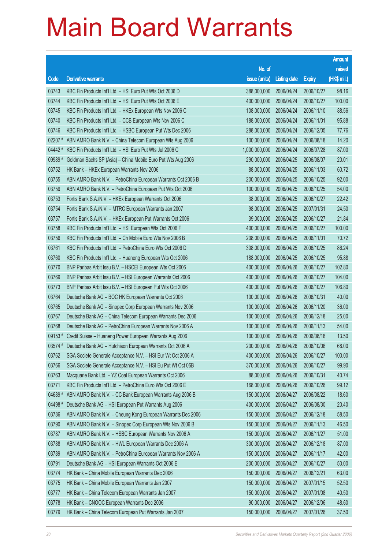|             |                                                                   |                        |                     |               | <b>Amount</b> |
|-------------|-------------------------------------------------------------------|------------------------|---------------------|---------------|---------------|
|             |                                                                   | No. of                 |                     |               | raised        |
| Code        | <b>Derivative warrants</b>                                        | issue (units)          | <b>Listing date</b> | <b>Expiry</b> | $(HK$$ mil.)  |
| 03743       | KBC Fin Products Int'l Ltd. - HSI Euro Put Wts Oct 2006 D         | 388,000,000            | 2006/04/24          | 2006/10/27    | 98.16         |
| 03744       | KBC Fin Products Int'l Ltd. - HSI Euro Put Wts Oct 2006 E         | 400,000,000            | 2006/04/24          | 2006/10/27    | 100.00        |
| 03745       | KBC Fin Products Int'l Ltd. - HKEx European Wts Nov 2006 C        | 108,000,000            | 2006/04/24          | 2006/11/10    | 88.56         |
| 03740       | KBC Fin Products Int'l Ltd. - CCB European Wts Nov 2006 C         | 188,000,000            | 2006/04/24          | 2006/11/01    | 95.88         |
| 03746       | KBC Fin Products Int'l Ltd. - HSBC European Put Wts Dec 2006      | 288,000,000            | 2006/04/24          | 2006/12/05    | 77.76         |
| $02207$ $*$ | ABN AMRO Bank N.V. - China Telecom European Wts Aug 2006          | 100,000,000            | 2006/04/24          | 2006/08/18    | 14.20         |
| 04442#      | KBC Fin Products Int'l Ltd. - HSI Euro Put Wts Jul 2006 C         | 1,000,000,000          | 2006/04/24          | 2006/07/28    | 87.00         |
| 09989 #     | Goldman Sachs SP (Asia) - China Mobile Euro Put Wts Aug 2006      | 290,000,000            | 2006/04/25          | 2006/08/07    | 20.01         |
| 03752       | HK Bank - HKEx European Warrants Nov 2006                         | 88,000,000             | 2006/04/25          | 2006/11/03    | 60.72         |
| 03755       | ABN AMRO Bank N.V. - PetroChina European Warrants Oct 2006 B      | 200,000,000            | 2006/04/25          | 2006/10/25    | 92.00         |
| 03759       | ABN AMRO Bank N.V. - PetroChina European Put Wts Oct 2006         | 100,000,000            | 2006/04/25          | 2006/10/25    | 54.00         |
| 03753       | Fortis Bank S.A./N.V. - HKEx European Warrants Oct 2006           | 38,000,000             | 2006/04/25          | 2006/10/27    | 22.42         |
| 03754       | Fortis Bank S.A./N.V. - MTRC European Warrants Jan 2007           | 98,000,000             | 2006/04/25          | 2007/01/31    | 24.50         |
| 03757       | Fortis Bank S.A./N.V. - HKEx European Put Warrants Oct 2006       | 39,000,000             | 2006/04/25          | 2006/10/27    | 21.84         |
| 03758       | KBC Fin Products Int'l Ltd. - HSI European Wts Oct 2006 F         | 400,000,000            | 2006/04/25          | 2006/10/27    | 100.00        |
| 03756       | KBC Fin Products Int'l Ltd. - Ch Mobile Euro Wts Nov 2006 B       | 208,000,000            | 2006/04/25          | 2006/11/01    | 70.72         |
| 03761       | KBC Fin Products Int'l Ltd. - PetroChina Euro Wts Oct 2006 D      | 308,000,000            | 2006/04/25          | 2006/10/25    | 86.24         |
| 03760       | KBC Fin Products Int'l Ltd. - Huaneng European Wts Oct 2006       | 188,000,000            | 2006/04/25          | 2006/10/25    | 95.88         |
| 03770       | BNP Paribas Arbit Issu B.V. - HSCEI European Wts Oct 2006         | 400,000,000            | 2006/04/26          | 2006/10/27    | 102.80        |
| 03769       | BNP Paribas Arbit Issu B.V. - HSI European Warrants Oct 2006      | 400,000,000            | 2006/04/26          | 2006/10/27    | 104.00        |
| 03773       | BNP Paribas Arbit Issu B.V. - HSI European Put Wts Oct 2006       | 400,000,000            | 2006/04/26          | 2006/10/27    | 106.80        |
| 03764       | Deutsche Bank AG - BOC HK European Warrants Oct 2006              | 100,000,000            | 2006/04/26          | 2006/10/31    | 40.00         |
| 03765       | Deutsche Bank AG - Sinopec Corp European Warrants Nov 2006        | 100,000,000            | 2006/04/26          | 2006/11/20    | 36.00         |
| 03767       | Deutsche Bank AG - China Telecom European Warrants Dec 2006       | 100,000,000            | 2006/04/26          | 2006/12/18    | 25.00         |
| 03768       | Deutsche Bank AG - PetroChina European Warrants Nov 2006 A        | 100,000,000            | 2006/04/26          | 2006/11/13    | 54.00         |
| 09153#      | Credit Suisse - Huaneng Power European Warrants Aug 2006          | 100,000,000            | 2006/04/26          | 2006/08/18    | 13.50         |
|             | 03574 # Deutsche Bank AG - Hutchison European Warrants Oct 2006 A | 200,000,000 2006/04/26 |                     | 2006/10/06    | 68.00         |
| 03762       | SGA Societe Generale Acceptance N.V. - HSI Eur Wt Oct 2006 A      | 400,000,000            | 2006/04/26          | 2006/10/27    | 100.00        |
| 03766       | SGA Societe Generale Acceptance N.V. - HSI Eu Put Wt Oct 06B      | 370,000,000            | 2006/04/26          | 2006/10/27    | 99.90         |
| 03763       | Macquarie Bank Ltd. - YZ Coal European Warrants Oct 2006          | 88,000,000             | 2006/04/26          | 2006/10/31    | 40.74         |
| 03771       | KBC Fin Products Int'l Ltd. - PetroChina Euro Wts Oct 2006 E      | 168,000,000            | 2006/04/26          | 2006/10/26    | 99.12         |
| 04689 #     | ABN AMRO Bank N.V. - CC Bank European Warrants Aug 2006 B         | 150,000,000            | 2006/04/27          | 2006/08/22    | 18.60         |
| 04498 #     | Deutsche Bank AG - HSI European Put Warrants Aug 2006             | 400,000,000            | 2006/04/27          | 2006/08/30    | 20.40         |
| 03786       | ABN AMRO Bank N.V. - Cheung Kong European Warrants Dec 2006       | 150,000,000            | 2006/04/27          | 2006/12/18    | 58.50         |
| 03790       | ABN AMRO Bank N.V. - Sinopec Corp European Wts Nov 2006 B         | 150,000,000            | 2006/04/27          | 2006/11/13    | 46.50         |
| 03787       | ABN AMRO Bank N.V. - HSBC European Warrants Nov 2006 A            | 150,000,000            | 2006/04/27          | 2006/11/27    | 51.00         |
| 03788       | ABN AMRO Bank N.V. - HWL European Warrants Dec 2006 A             | 300,000,000            | 2006/04/27          | 2006/12/18    | 87.00         |
| 03789       | ABN AMRO Bank N.V. - PetroChina European Warrants Nov 2006 A      | 150,000,000            | 2006/04/27          | 2006/11/17    | 42.00         |
| 03791       | Deutsche Bank AG - HSI European Warrants Oct 2006 E               | 200,000,000            | 2006/04/27          | 2006/10/27    | 50.00         |
| 03774       | HK Bank - China Mobile European Warrants Dec 2006                 | 150,000,000            | 2006/04/27          | 2006/12/21    | 63.00         |
| 03775       | HK Bank - China Mobile European Warrants Jan 2007                 | 150,000,000            | 2006/04/27          | 2007/01/15    | 52.50         |
| 03777       | HK Bank - China Telecom European Warrants Jan 2007                | 150,000,000            | 2006/04/27          | 2007/01/08    | 40.50         |
| 03778       | HK Bank - CNOOC European Warrants Dec 2006                        | 90,000,000             | 2006/04/27          | 2006/12/06    | 48.60         |
| 03779       | HK Bank - China Telecom European Put Warrants Jan 2007            | 150,000,000            | 2006/04/27          | 2007/01/26    | 37.50         |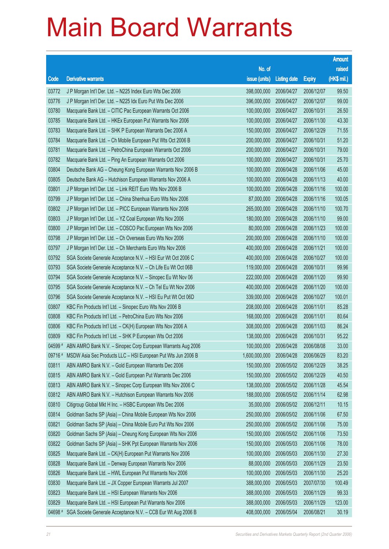|         |                                                              |                        |                     |               | <b>Amount</b> |
|---------|--------------------------------------------------------------|------------------------|---------------------|---------------|---------------|
|         |                                                              | No. of                 |                     |               | raised        |
| Code    | <b>Derivative warrants</b>                                   | issue (units)          | <b>Listing date</b> | <b>Expiry</b> | (HK\$ mil.)   |
| 03772   | J P Morgan Int'l Der. Ltd. - N225 Index Euro Wts Dec 2006    | 398,000,000            | 2006/04/27          | 2006/12/07    | 99.50         |
| 03776   | J P Morgan Int'l Der. Ltd. - N225 Idx Euro Put Wts Dec 2006  | 396,000,000            | 2006/04/27          | 2006/12/07    | 99.00         |
| 03780   | Macquarie Bank Ltd. - CITIC Pac European Warrants Oct 2006   | 100,000,000            | 2006/04/27          | 2006/10/31    | 26.50         |
| 03785   | Macquarie Bank Ltd. - HKEx European Put Warrants Nov 2006    | 100,000,000            | 2006/04/27          | 2006/11/30    | 43.30         |
| 03783   | Macquarie Bank Ltd. - SHK P European Warrants Dec 2006 A     | 150,000,000            | 2006/04/27          | 2006/12/29    | 71.55         |
| 03784   | Macquarie Bank Ltd. - Ch Mobile European Put Wts Oct 2006 B  | 200,000,000            | 2006/04/27          | 2006/10/31    | 51.20         |
| 03781   | Macquarie Bank Ltd. - PetroChina European Warrants Oct 2006  | 200,000,000            | 2006/04/27          | 2006/10/31    | 79.00         |
| 03782   | Macquarie Bank Ltd. - Ping An European Warrants Oct 2006     | 100,000,000            | 2006/04/27          | 2006/10/31    | 25.70         |
| 03804   | Deutsche Bank AG - Cheung Kong European Warrants Nov 2006 B  | 100,000,000            | 2006/04/28          | 2006/11/06    | 45.00         |
| 03805   | Deutsche Bank AG - Hutchison European Warrants Nov 2006 A    | 100,000,000            | 2006/04/28          | 2006/11/13    | 40.00         |
| 03801   | J P Morgan Int'l Der. Ltd. - Link REIT Euro Wts Nov 2006 B   | 100,000,000            | 2006/04/28          | 2006/11/16    | 100.00        |
| 03799   | J P Morgan Int'l Der. Ltd. - China Shenhua Euro Wts Nov 2006 | 87,000,000             | 2006/04/28          | 2006/11/16    | 100.05        |
| 03802   | J P Morgan Int'l Der. Ltd. - PICC European Warrants Nov 2006 | 265,000,000            | 2006/04/28          | 2006/11/10    | 100.70        |
| 03803   | J P Morgan Int'l Der. Ltd. - YZ Coal European Wts Nov 2006   | 180,000,000            | 2006/04/28          | 2006/11/10    | 99.00         |
| 03800   | J P Morgan Int'l Der. Ltd. - COSCO Pac European Wts Nov 2006 | 80,000,000             | 2006/04/28          | 2006/11/23    | 100.00        |
| 03798   | J P Morgan Int'l Der. Ltd. - Ch Overseas Euro Wts Nov 2006   | 200,000,000            | 2006/04/28          | 2006/11/10    | 100.00        |
| 03797   | J P Morgan Int'l Der. Ltd. - Ch Merchants Euro Wts Nov 2006  | 400,000,000            | 2006/04/28          | 2006/11/21    | 100.00        |
| 03792   | SGA Societe Generale Acceptance N.V. - HSI Eur Wt Oct 2006 C | 400,000,000            | 2006/04/28          | 2006/10/27    | 100.00        |
| 03793   | SGA Societe Generale Acceptance N.V. - Ch Life Eu Wt Oct 06B | 119,000,000            | 2006/04/28          | 2006/10/31    | 99.96         |
| 03794   | SGA Societe Generale Acceptance N.V. - Sinopec Eu Wt Nov 06  | 222,000,000            | 2006/04/28          | 2006/11/20    | 99.90         |
| 03795   | SGA Societe Generale Acceptance N.V. - Ch Tel Eu Wt Nov 2006 | 400,000,000            | 2006/04/28          | 2006/11/20    | 100.00        |
| 03796   | SGA Societe Generale Acceptance N.V. - HSI Eu Put Wt Oct 06D | 339,000,000            | 2006/04/28          | 2006/10/27    | 100.01        |
| 03807   | KBC Fin Products Int'l Ltd. - Sinopec Euro Wts Nov 2006 B    | 208,000,000            | 2006/04/28          | 2006/11/01    | 85.28         |
| 03808   | KBC Fin Products Int'l Ltd. - PetroChina Euro Wts Nov 2006   | 168,000,000            | 2006/04/28          | 2006/11/01    | 80.64         |
| 03806   | KBC Fin Products Int'l Ltd. - CK(H) European Wts Nov 2006 A  | 308,000,000            | 2006/04/28          | 2006/11/03    | 86.24         |
| 03809   | KBC Fin Products Int'l Ltd. - SHK P European Wts Oct 2006    | 138,000,000            | 2006/04/28          | 2006/10/31    | 95.22         |
| 04599 # | ABN AMRO Bank N.V. - Sinopec Corp European Warrants Aug 2006 | 100,000,000 2006/04/28 |                     | 2006/08/08    | 33.00         |
| 09716 # | MSDW Asia Sec Products LLC - HSI European Put Wts Jun 2006 B | 1,600,000,000          | 2006/04/28          | 2006/06/29    | 83.20         |
| 03811   | ABN AMRO Bank N.V. - Gold European Warrants Dec 2006         | 150,000,000            | 2006/05/02          | 2006/12/29    | 38.25         |
| 03815   | ABN AMRO Bank N.V. - Gold European Put Warrants Dec 2006     | 150,000,000            | 2006/05/02          | 2006/12/29    | 40.50         |
| 03813   | ABN AMRO Bank N.V. - Sinopec Corp European Wts Nov 2006 C    | 138,000,000            | 2006/05/02          | 2006/11/28    | 45.54         |
| 03812   | ABN AMRO Bank N.V. - Hutchison European Warrants Nov 2006    | 188,000,000            | 2006/05/02          | 2006/11/14    | 62.98         |
| 03810   | Citigroup Global Mkt H Inc. - HSBC European Wts Dec 2006     | 35,000,000             | 2006/05/02          | 2006/12/11    | 10.15         |
| 03814   | Goldman Sachs SP (Asia) - China Mobile European Wts Nov 2006 | 250,000,000            | 2006/05/02          | 2006/11/06    | 67.50         |
| 03821   | Goldman Sachs SP (Asia) - China Mobile Euro Put Wts Nov 2006 | 250,000,000            | 2006/05/02          | 2006/11/06    | 75.00         |
| 03820   | Goldman Sachs SP (Asia) - Cheung Kong European Wts Nov 2006  | 150,000,000            | 2006/05/02          | 2006/11/06    | 73.50         |
| 03822   | Goldman Sachs SP (Asia) - SHK Ppt European Warrants Nov 2006 | 150,000,000            | 2006/05/03          | 2006/11/06    | 78.00         |
| 03825   | Macquarie Bank Ltd. - CK(H) European Put Warrants Nov 2006   | 100,000,000            | 2006/05/03          | 2006/11/30    | 27.30         |
| 03828   | Macquarie Bank Ltd. - Denway European Warrants Nov 2006      | 88,000,000             | 2006/05/03          | 2006/11/29    | 23.50         |
| 03826   | Macquarie Bank Ltd. - HWL European Put Warrants Nov 2006     | 100,000,000            | 2006/05/03          | 2006/11/30    | 25.20         |
| 03830   | Macquarie Bank Ltd. - JX Copper European Warrants Jul 2007   | 388,000,000            | 2006/05/03          | 2007/07/30    | 100.49        |
| 03823   | Macquarie Bank Ltd. - HSI European Warrants Nov 2006         | 388,000,000            | 2006/05/03          | 2006/11/29    | 99.33         |
| 03829   | Macquarie Bank Ltd. - HSI European Put Warrants Nov 2006     | 388,000,000            | 2006/05/03          | 2006/11/29    | 123.00        |
| 04698 # | SGA Societe Generale Acceptance N.V. - CCB Eur Wt Aug 2006 B | 408,000,000            | 2006/05/04          | 2006/08/21    | 30.19         |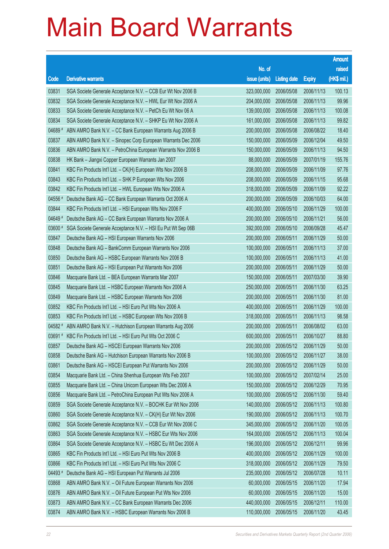|         |                                                              |                        |                     |               | <b>Amount</b> |
|---------|--------------------------------------------------------------|------------------------|---------------------|---------------|---------------|
|         |                                                              | No. of                 |                     |               | raised        |
| Code    | <b>Derivative warrants</b>                                   | issue (units)          | <b>Listing date</b> | <b>Expiry</b> | (HK\$ mil.)   |
| 03831   | SGA Societe Generale Acceptance N.V. - CCB Eur Wt Nov 2006 B | 323,000,000            | 2006/05/08          | 2006/11/13    | 100.13        |
| 03832   | SGA Societe Generale Acceptance N.V. - HWL Eur Wt Nov 2006 A | 204,000,000            | 2006/05/08          | 2006/11/13    | 99.96         |
| 03833   | SGA Societe Generale Acceptance N.V. - PetCh Eu Wt Nov 06 A  | 139,000,000            | 2006/05/08          | 2006/11/13    | 100.08        |
| 03834   | SGA Societe Generale Acceptance N.V. - SHKP Eu Wt Nov 2006 A | 161,000,000            | 2006/05/08          | 2006/11/13    | 99.82         |
| 04689 # | ABN AMRO Bank N.V. - CC Bank European Warrants Aug 2006 B    | 200,000,000            | 2006/05/08          | 2006/08/22    | 18.40         |
| 03837   | ABN AMRO Bank N.V. - Sinopec Corp European Warrants Dec 2006 | 150,000,000            | 2006/05/09          | 2006/12/04    | 49.50         |
| 03836   | ABN AMRO Bank N.V. - PetroChina European Warrants Nov 2006 B | 150,000,000            | 2006/05/09          | 2006/11/13    | 94.50         |
| 03838   | HK Bank - Jiangxi Copper European Warrants Jan 2007          | 88,000,000             | 2006/05/09          | 2007/01/19    | 155.76        |
| 03841   | KBC Fin Products Int'l Ltd. - CK(H) European Wts Nov 2006 B  | 208,000,000            | 2006/05/09          | 2006/11/09    | 97.76         |
| 03843   | KBC Fin Products Int'l Ltd. - SHK P European Wts Nov 2006    | 208,000,000            | 2006/05/09          | 2006/11/15    | 95.68         |
| 03842   | KBC Fin Products Int'l Ltd. - HWL European Wts Nov 2006 A    | 318,000,000            | 2006/05/09          | 2006/11/09    | 92.22         |
| 04556 # | Deutsche Bank AG - CC Bank European Warrants Oct 2006 A      | 200,000,000            | 2006/05/09          | 2006/10/03    | 64.00         |
| 03844   | KBC Fin Products Int'l Ltd. - HSI European Wts Nov 2006 F    | 400,000,000            | 2006/05/10          | 2006/11/29    | 100.00        |
| 04649#  | Deutsche Bank AG - CC Bank European Warrants Nov 2006 A      | 200,000,000            | 2006/05/10          | 2006/11/21    | 56.00         |
| 03600 # | SGA Societe Generale Acceptance N.V. - HSI Eu Put Wt Sep 06B | 392,000,000            | 2006/05/10          | 2006/09/28    | 45.47         |
| 03847   | Deutsche Bank AG - HSI European Warrants Nov 2006            | 200,000,000            | 2006/05/11          | 2006/11/29    | 50.00         |
| 03848   | Deutsche Bank AG - BankComm European Warrants Nov 2006       | 100,000,000            | 2006/05/11          | 2006/11/13    | 37.00         |
| 03850   | Deutsche Bank AG - HSBC European Warrants Nov 2006 B         | 100,000,000            | 2006/05/11          | 2006/11/13    | 41.00         |
| 03851   | Deutsche Bank AG - HSI European Put Warrants Nov 2006        | 200,000,000            | 2006/05/11          | 2006/11/29    | 50.00         |
| 03846   | Macquarie Bank Ltd. - BEA European Warrants Mar 2007         | 150,000,000            | 2006/05/11          | 2007/03/30    | 39.90         |
| 03845   | Macquarie Bank Ltd. - HSBC European Warrants Nov 2006 A      | 250,000,000            | 2006/05/11          | 2006/11/30    | 63.25         |
| 03849   | Macquarie Bank Ltd. - HSBC European Warrants Nov 2006        | 200,000,000            | 2006/05/11          | 2006/11/30    | 81.00         |
| 03852   | KBC Fin Products Int'l Ltd. - HSI Euro Put Wts Nov 2006 A    | 400,000,000            | 2006/05/11          | 2006/11/29    | 100.00        |
| 03853   | KBC Fin Products Int'l Ltd. - HSBC European Wts Nov 2006 B   | 318,000,000            | 2006/05/11          | 2006/11/13    | 98.58         |
| 04582 # | ABN AMRO Bank N.V. - Hutchison European Warrants Aug 2006    | 200,000,000            | 2006/05/11          | 2006/08/02    | 63.00         |
| 03691 # | KBC Fin Products Int'l Ltd. - HSI Euro Put Wts Oct 2006 C    | 600,000,000            | 2006/05/11          | 2006/10/27    | 88.80         |
| 03857   | Deutsche Bank AG - HSCEI European Warrants Nov 2006          | 200,000,000 2006/05/12 |                     | 2006/11/29    | 50.00         |
| 03858   | Deutsche Bank AG - Hutchison European Warrants Nov 2006 B    | 100,000,000            | 2006/05/12          | 2006/11/27    | 38.00         |
| 03861   | Deutsche Bank AG - HSCEI European Put Warrants Nov 2006      | 200,000,000            | 2006/05/12          | 2006/11/29    | 50.00         |
| 03854   | Macquarie Bank Ltd. - China Shenhua European Wts Feb 2007    | 100,000,000            | 2006/05/12          | 2007/02/14    | 25.00         |
| 03855   | Macquarie Bank Ltd. - China Unicom European Wts Dec 2006 A   | 150,000,000            | 2006/05/12          | 2006/12/29    | 70.95         |
| 03856   | Macquarie Bank Ltd. - PetroChina European Put Wts Nov 2006 A | 100,000,000            | 2006/05/12          | 2006/11/30    | 59.40         |
| 03859   | SGA Societe Generale Acceptance N.V. - BOCHK Eur Wt Nov 2006 | 140,000,000            | 2006/05/12          | 2006/11/13    | 100.80        |
| 03860   | SGA Societe Generale Acceptance N.V. - CK(H) Eur Wt Nov 2006 | 190,000,000            | 2006/05/12          | 2006/11/13    | 100.70        |
| 03862   | SGA Societe Generale Acceptance N.V. - CCB Eur Wt Nov 2006 C | 345,000,000            | 2006/05/12          | 2006/11/20    | 100.05        |
| 03863   | SGA Societe Generale Acceptance N.V. - HSBC Eur Wts Nov 2006 | 164,000,000            | 2006/05/12          | 2006/11/13    | 100.04        |
| 03864   | SGA Societe Generale Acceptance N.V. - HSBC Eu Wt Dec 2006 A | 196,000,000            | 2006/05/12          | 2006/12/11    | 99.96         |
| 03865   | KBC Fin Products Int'l Ltd. - HSI Euro Put Wts Nov 2006 B    | 400,000,000            | 2006/05/12          | 2006/11/29    | 100.00        |
| 03866   | KBC Fin Products Int'l Ltd. - HSI Euro Put Wts Nov 2006 C    | 318,000,000            | 2006/05/12          | 2006/11/29    | 79.50         |
| 04493 # | Deutsche Bank AG - HSI European Put Warrants Jul 2006        | 235,000,000            | 2006/05/12          | 2006/07/28    | 10.11         |
| 03868   | ABN AMRO Bank N.V. - Oil Future European Warrants Nov 2006   | 60,000,000             | 2006/05/15          | 2006/11/20    | 17.94         |
| 03876   | ABN AMRO Bank N.V. - Oil Future European Put Wts Nov 2006    | 60,000,000             | 2006/05/15          | 2006/11/20    | 15.00         |
| 03873   | ABN AMRO Bank N.V. - CC Bank European Warrants Dec 2006      | 440,000,000            | 2006/05/15          | 2006/12/11    | 110.00        |
| 03874   | ABN AMRO Bank N.V. - HSBC European Warrants Nov 2006 B       | 110,000,000            | 2006/05/15          | 2006/11/20    | 43.45         |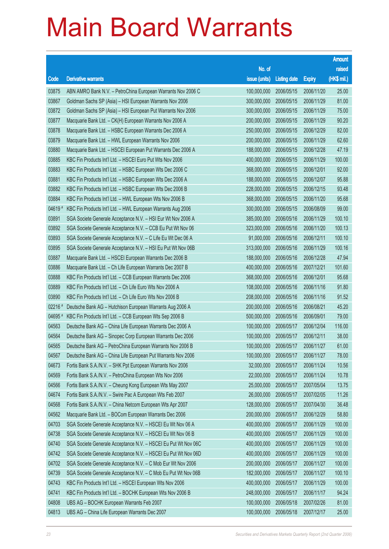|         |                                                                |                        |                     |               | <b>Amount</b> |
|---------|----------------------------------------------------------------|------------------------|---------------------|---------------|---------------|
|         |                                                                | No. of                 |                     |               | raised        |
| Code    | <b>Derivative warrants</b>                                     | issue (units)          | <b>Listing date</b> | <b>Expiry</b> | (HK\$ mil.)   |
| 03875   | ABN AMRO Bank N.V. - PetroChina European Warrants Nov 2006 C   | 100,000,000            | 2006/05/15          | 2006/11/20    | 25.00         |
| 03867   | Goldman Sachs SP (Asia) - HSI European Warrants Nov 2006       | 300,000,000            | 2006/05/15          | 2006/11/29    | 81.00         |
| 03872   | Goldman Sachs SP (Asia) - HSI European Put Warrants Nov 2006   | 300,000,000            | 2006/05/15          | 2006/11/29    | 75.00         |
| 03877   | Macquarie Bank Ltd. - CK(H) European Warrants Nov 2006 A       | 200,000,000            | 2006/05/15          | 2006/11/29    | 90.20         |
| 03878   | Macquarie Bank Ltd. - HSBC European Warrants Dec 2006 A        | 250,000,000            | 2006/05/15          | 2006/12/29    | 82.00         |
| 03879   | Macquarie Bank Ltd. - HWL European Warrants Nov 2006           | 200,000,000            | 2006/05/15          | 2006/11/29    | 62.60         |
| 03880   | Macquarie Bank Ltd. - HSCEI European Put Warrants Dec 2006 A   | 188,000,000            | 2006/05/15          | 2006/12/28    | 47.19         |
| 03885   | KBC Fin Products Int'l Ltd. - HSCEI Euro Put Wts Nov 2006      | 400,000,000            | 2006/05/15          | 2006/11/29    | 100.00        |
| 03883   | KBC Fin Products Int'l Ltd. - HSBC European Wts Dec 2006 C     | 368,000,000            | 2006/05/15          | 2006/12/01    | 92.00         |
| 03881   | KBC Fin Products Int'l Ltd. - HSBC European Wts Dec 2006 A     | 188,000,000            | 2006/05/15          | 2006/12/07    | 95.88         |
| 03882   | KBC Fin Products Int'l Ltd. - HSBC European Wts Dec 2006 B     | 228,000,000            | 2006/05/15          | 2006/12/15    | 93.48         |
| 03884   | KBC Fin Products Int'l Ltd. - HWL European Wts Nov 2006 B      | 368,000,000            | 2006/05/15          | 2006/11/20    | 95.68         |
| 04619#  | KBC Fin Products Int'l Ltd. - HWL European Warrants Aug 2006   | 300,000,000            | 2006/05/15          | 2006/08/09    | 99.00         |
| 03891   | SGA Societe Generale Acceptance N.V. - HSI Eur Wt Nov 2006 A   | 385,000,000            | 2006/05/16          | 2006/11/29    | 100.10        |
| 03892   | SGA Societe Generale Acceptance N.V. - CCB Eu Put Wt Nov 06    | 323,000,000            | 2006/05/16          | 2006/11/20    | 100.13        |
| 03893   | SGA Societe Generale Acceptance N.V. - C Life Eu Wt Dec 06 A   | 91,000,000             | 2006/05/16          | 2006/12/11    | 100.10        |
| 03895   | SGA Societe Generale Acceptance N.V. - HSI Eu Put Wt Nov 06B   | 313,000,000            | 2006/05/16          | 2006/11/29    | 100.16        |
| 03887   | Macquarie Bank Ltd. - HSCEI European Warrants Dec 2006 B       | 188,000,000            | 2006/05/16          | 2006/12/28    | 47.94         |
| 03886   | Macquarie Bank Ltd. - Ch Life European Warrants Dec 2007 B     | 400,000,000            | 2006/05/16          | 2007/12/21    | 101.60        |
| 03888   | KBC Fin Products Int'l Ltd. - CCB European Warrants Dec 2006   | 368,000,000            | 2006/05/16          | 2006/12/01    | 95.68         |
| 03889   | KBC Fin Products Int'l Ltd. - Ch Life Euro Wts Nov 2006 A      | 108,000,000            | 2006/05/16          | 2006/11/16    | 91.80         |
| 03890   | KBC Fin Products Int'l Ltd. - Ch Life Euro Wts Nov 2006 B      | 208,000,000            | 2006/05/16          | 2006/11/16    | 91.52         |
| 02216 # | Deutsche Bank AG - Hutchison European Warrants Aug 2006 A      | 200,000,000            | 2006/05/16          | 2006/08/21    | 45.20         |
| 04695 # | KBC Fin Products Int'l Ltd. - CCB European Wts Sep 2006 B      | 500,000,000            | 2006/05/16          | 2006/09/01    | 79.00         |
| 04563   | Deutsche Bank AG - China Life European Warrants Dec 2006 A     | 100,000,000            | 2006/05/17          | 2006/12/04    | 116.00        |
| 04564   | Deutsche Bank AG - Sinopec Corp European Warrants Dec 2006     | 100,000,000            | 2006/05/17          | 2006/12/11    | 38.00         |
| 04565   | Deutsche Bank AG - PetroChina European Warrants Nov 2006 B     | 100,000,000 2006/05/17 |                     | 2006/11/27    | 61.00         |
| 04567   | Deutsche Bank AG - China Life European Put Warrants Nov 2006   | 100,000,000            | 2006/05/17          | 2006/11/27    | 78.00         |
| 04673   | Fortis Bank S.A./N.V. - SHK Ppt European Warrants Nov 2006     | 32,000,000             | 2006/05/17          | 2006/11/24    | 10.56         |
| 04569   | Fortis Bank S.A./N.V. - PetroChina European Wts Nov 2006       | 22,000,000             | 2006/05/17          | 2006/11/24    | 10.78         |
| 04566   | Fortis Bank S.A./N.V. - Cheung Kong European Wts May 2007      | 25,000,000             | 2006/05/17          | 2007/05/04    | 13.75         |
| 04674   | Fortis Bank S.A./N.V. - Swire Pac A European Wts Feb 2007      | 26,000,000             | 2006/05/17          | 2007/02/05    | 11.26         |
| 04568   | Fortis Bank S.A./N.V. - China Netcom European Wts Apr 2007     | 128,000,000            | 2006/05/17          | 2007/04/30    | 36.48         |
| 04562   | Macquarie Bank Ltd. - BOCom European Warrants Dec 2006         | 200,000,000            | 2006/05/17          | 2006/12/29    | 58.80         |
| 04703   | SGA Societe Generale Acceptance N.V. - HSCEI Eu Wt Nov 06 A    | 400,000,000            | 2006/05/17          | 2006/11/29    | 100.00        |
| 04738   | SGA Societe Generale Acceptance N.V. - HSCEI Eu Wt Nov 06 B    | 400,000,000            | 2006/05/17          | 2006/11/29    | 100.00        |
| 04740   | SGA Societe Generale Acceptance N.V. - HSCEI Eu Put Wt Nov 06C | 400,000,000            | 2006/05/17          | 2006/11/29    | 100.00        |
| 04742   | SGA Societe Generale Acceptance N.V. - HSCEI Eu Put Wt Nov 06D | 400,000,000            | 2006/05/17          | 2006/11/29    | 100.00        |
| 04702   | SGA Societe Generale Acceptance N.V. - C Mob Eur Wt Nov 2006   | 200,000,000            | 2006/05/17          | 2006/11/27    | 100.00        |
| 04739   | SGA Societe Generale Acceptance N.V. - C Mob Eu Put Wt Nov 06B | 182,000,000            | 2006/05/17          | 2006/11/27    | 100.10        |
| 04743   | KBC Fin Products Int'l Ltd. - HSCEI European Wts Nov 2006      | 400,000,000            | 2006/05/17          | 2006/11/29    | 100.00        |
| 04741   | KBC Fin Products Int'l Ltd. - BOCHK European Wts Nov 2006 B    | 248,000,000            | 2006/05/17          | 2006/11/17    | 94.24         |
| 04808   | UBS AG - BOCHK European Warrants Feb 2007                      | 100,000,000            | 2006/05/18          | 2007/02/26    | 81.00         |
| 04813   | UBS AG - China Life European Warrants Dec 2007                 | 100,000,000            | 2006/05/18          | 2007/12/17    | 25.00         |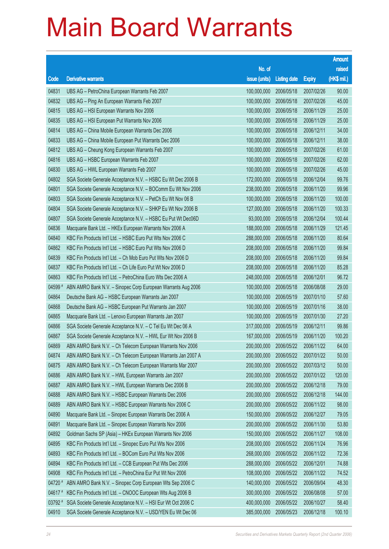|           |                                                              |                        |                     |               | <b>Amount</b> |
|-----------|--------------------------------------------------------------|------------------------|---------------------|---------------|---------------|
|           |                                                              | No. of                 |                     |               | raised        |
| Code      | <b>Derivative warrants</b>                                   | issue (units)          | <b>Listing date</b> | <b>Expiry</b> | (HK\$ mil.)   |
| 04831     | UBS AG - PetroChina European Warrants Feb 2007               | 100,000,000            | 2006/05/18          | 2007/02/26    | 90.00         |
| 04832     | UBS AG - Ping An European Warrants Feb 2007                  | 100,000,000            | 2006/05/18          | 2007/02/26    | 45.00         |
| 04815     | UBS AG - HSI European Warrants Nov 2006                      | 100,000,000            | 2006/05/18          | 2006/11/29    | 25.00         |
| 04835     | UBS AG - HSI European Put Warrants Nov 2006                  | 100,000,000            | 2006/05/18          | 2006/11/29    | 25.00         |
| 04814     | UBS AG - China Mobile European Warrants Dec 2006             | 100,000,000            | 2006/05/18          | 2006/12/11    | 34.00         |
| 04833     | UBS AG - China Mobile European Put Warrants Dec 2006         | 100,000,000            | 2006/05/18          | 2006/12/11    | 38.00         |
| 04812     | UBS AG - Cheung Kong European Warrants Feb 2007              | 100,000,000            | 2006/05/18          | 2007/02/26    | 61.00         |
| 04816     | UBS AG - HSBC European Warrants Feb 2007                     | 100,000,000            | 2006/05/18          | 2007/02/26    | 62.00         |
| 04830     | UBS AG - HWL European Warrants Feb 2007                      | 100,000,000            | 2006/05/18          | 2007/02/26    | 45.00         |
| 04802     | SGA Societe Generale Acceptance N.V. - HSBC Eu Wt Dec 2006 B | 172,000,000            | 2006/05/18          | 2006/12/04    | 99.76         |
| 04801     | SGA Societe Generale Acceptance N.V. - BOComm Eu Wt Nov 2006 | 238,000,000            | 2006/05/18          | 2006/11/20    | 99.96         |
| 04803     | SGA Societe Generale Acceptance N.V. - PetCh Eu Wt Nov 06 B  | 100,000,000            | 2006/05/18          | 2006/11/20    | 100.00        |
| 04804     | SGA Societe Generale Acceptance N.V. - SHKP Eu Wt Nov 2006 B | 127,000,000            | 2006/05/18          | 2006/11/20    | 100.33        |
| 04807     | SGA Societe Generale Acceptance N.V. - HSBC Eu Put Wt Dec06D | 93,000,000             | 2006/05/18          | 2006/12/04    | 100.44        |
| 04836     | Macquarie Bank Ltd. - HKEx European Warrants Nov 2006 A      | 188,000,000            | 2006/05/18          | 2006/11/29    | 121.45        |
| 04840     | KBC Fin Products Int'l Ltd. - HSBC Euro Put Wts Nov 2006 C   | 288,000,000            | 2006/05/18          | 2006/11/20    | 80.64         |
| 04862     | KBC Fin Products Int'l Ltd. - HSBC Euro Put Wts Nov 2006 D   | 208,000,000            | 2006/05/18          | 2006/11/20    | 99.84         |
| 04839     | KBC Fin Products Int'l Ltd. - Ch Mob Euro Put Wts Nov 2006 D | 208,000,000            | 2006/05/18          | 2006/11/20    | 99.84         |
| 04837     | KBC Fin Products Int'l Ltd. - Ch Life Euro Put Wt Nov 2006 D | 208,000,000            | 2006/05/18          | 2006/11/20    | 85.28         |
| 04863     | KBC Fin Products Int'l Ltd. - PetroChina Euro Wts Dec 2006 A | 248,000,000            | 2006/05/18          | 2006/12/01    | 96.72         |
| 04599     | ABN AMRO Bank N.V. - Sinopec Corp European Warrants Aug 2006 | 100,000,000            | 2006/05/18          | 2006/08/08    | 29.00         |
| 04864     | Deutsche Bank AG - HSBC European Warrants Jan 2007           | 100,000,000            | 2006/05/19          | 2007/01/10    | 57.60         |
| 04868     | Deutsche Bank AG - HSBC European Put Warrants Jan 2007       | 100,000,000            | 2006/05/19          | 2007/01/16    | 38.00         |
| 04865     | Macquarie Bank Ltd. - Lenovo European Warrants Jan 2007      | 100,000,000            | 2006/05/19          | 2007/01/30    | 27.20         |
| 04866     | SGA Societe Generale Acceptance N.V. - C Tel Eu Wt Dec 06 A  | 317,000,000            | 2006/05/19          | 2006/12/11    | 99.86         |
| 04867     | SGA Societe Generale Acceptance N.V. - HWL Eur Wt Nov 2006 B | 167,000,000            | 2006/05/19          | 2006/11/20    | 100.20        |
| 04869     | ABN AMRO Bank N.V. - Ch Telecom European Warrants Nov 2006   | 200,000,000 2006/05/22 |                     | 2006/11/22    | 64.00         |
| 04874     | ABN AMRO Bank N.V. - Ch Telecom European Warrants Jan 2007 A | 200,000,000            | 2006/05/22          | 2007/01/22    | 50.00         |
| 04875     | ABN AMRO Bank N.V. - Ch Telecom European Warrants Mar 2007   | 200,000,000            | 2006/05/22          | 2007/03/12    | 50.00         |
| 04886     | ABN AMRO Bank N.V. - HWL European Warrants Jan 2007          | 200,000,000            | 2006/05/22          | 2007/01/22    | 120.00        |
| 04887     | ABN AMRO Bank N.V. - HWL European Warrants Dec 2006 B        | 200,000,000            | 2006/05/22          | 2006/12/18    | 79.00         |
| 04888     | ABN AMRO Bank N.V. - HSBC European Warrants Dec 2006         | 200,000,000            | 2006/05/22          | 2006/12/18    | 144.00        |
| 04889     | ABN AMRO Bank N.V. - HSBC European Warrants Nov 2006 C       | 200,000,000            | 2006/05/22          | 2006/11/22    | 98.00         |
| 04890     | Macquarie Bank Ltd. - Sinopec European Warrants Dec 2006 A   | 150,000,000            | 2006/05/22          | 2006/12/27    | 79.05         |
| 04891     | Macquarie Bank Ltd. - Sinopec European Warrants Nov 2006     | 200,000,000            | 2006/05/22          | 2006/11/30    | 53.80         |
| 04892     | Goldman Sachs SP (Asia) - HKEx European Warrants Nov 2006    | 150,000,000            | 2006/05/22          | 2006/11/27    | 108.00        |
| 04895     | KBC Fin Products Int'l Ltd. - Sinopec Euro Put Wts Nov 2006  | 208,000,000            | 2006/05/22          | 2006/11/24    | 76.96         |
| 04893     | KBC Fin Products Int'l Ltd. - BOCom Euro Put Wts Nov 2006    | 268,000,000            | 2006/05/22          | 2006/11/22    | 72.36         |
| 04894     | KBC Fin Products Int'l Ltd. - CCB European Put Wts Dec 2006  | 288,000,000            | 2006/05/22          | 2006/12/01    | 74.88         |
| 04908     | KBC Fin Products Int'l Ltd. - PetroChina Eur Put Wt Nov 2006 | 108,000,000            | 2006/05/22          | 2006/11/22    | 74.52         |
| $04720$ # | ABN AMRO Bank N.V. - Sinopec Corp European Wts Sep 2006 C    | 140,000,000            | 2006/05/22          | 2006/09/04    | 48.30         |
| 04617#    | KBC Fin Products Int'l Ltd. - CNOOC European Wts Aug 2006 B  | 300,000,000            | 2006/05/22          | 2006/08/08    | 57.00         |
| 03792 #   | SGA Societe Generale Acceptance N.V. - HSI Eur Wt Oct 2006 C | 400,000,000            | 2006/05/22          | 2006/10/27    | 58.40         |
| 04910     | SGA Societe Generale Acceptance N.V. - USD/YEN Eu Wt Dec 06  | 385,000,000            | 2006/05/23          | 2006/12/18    | 100.10        |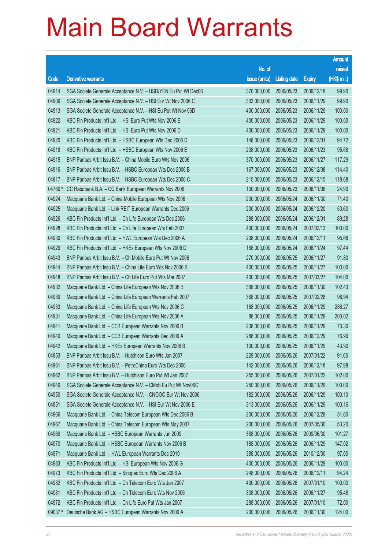|           |                                                                |                        |                     |               | <b>Amount</b> |
|-----------|----------------------------------------------------------------|------------------------|---------------------|---------------|---------------|
|           |                                                                | No. of                 |                     |               | raised        |
| Code      | <b>Derivative warrants</b>                                     | issue (units)          | <b>Listing date</b> | <b>Expiry</b> | (HK\$ mil.)   |
| 04914     | SGA Societe Generale Acceptance N.V. - USD/YEN Eu Put Wt Dec06 | 370,000,000            | 2006/05/23          | 2006/12/18    | 99.90         |
| 04909     | SGA Societe Generale Acceptance N.V. - HSI Eur Wt Nov 2006 C   | 333,000,000            | 2006/05/23          | 2006/11/29    | 99.90         |
| 04913     | SGA Societe Generale Acceptance N.V. - HSI Eu Put Wt Nov 06D   | 400,000,000            | 2006/05/23          | 2006/11/29    | 100.00        |
| 04922     | KBC Fin Products Int'l Ltd. - HSI Euro Put Wts Nov 2006 E      | 400,000,000            | 2006/05/23          | 2006/11/29    | 100.00        |
| 04921     | KBC Fin Products Int'l Ltd. - HSI Euro Put Wts Nov 2006 D      | 400,000,000            | 2006/05/23          | 2006/11/29    | 100.00        |
| 04920     | KBC Fin Products Int'l Ltd. - HSBC European Wts Dec 2006 D     | 148,000,000            | 2006/05/23          | 2006/12/01    | 94.72         |
| 04918     | KBC Fin Products Int'l Ltd. - HSBC European Wts Nov 2006 E     | 208,000,000            | 2006/05/23          | 2006/11/23    | 95.68         |
| 04915     | BNP Paribas Arbit Issu B.V. - China Mobile Euro Wts Nov 2006   | 370,000,000            | 2006/05/23          | 2006/11/27    | 117.29        |
| 04916     | BNP Paribas Arbit Issu B.V. - HSBC European Wts Dec 2006 B     | 167,000,000            | 2006/05/23          | 2006/12/08    | 114.40        |
| 04917     | BNP Paribas Arbit Issu B.V. - HSBC European Wts Dec 2006 C     | 215,000,000            | 2006/05/23          | 2006/12/15    | 118.68        |
| 04760 #   | CC Rabobank B.A. - CC Bank European Warrants Nov 2006          | 100,000,000            | 2006/05/23          | 2006/11/08    | 24.90         |
| 04924     | Macquarie Bank Ltd. - China Mobile European Wts Nov 2006       | 200,000,000            | 2006/05/24          | 2006/11/30    | 71.40         |
| 04925     | Macquarie Bank Ltd. - Link REIT European Warrants Dec 2006     | 200,000,000            | 2006/05/24          | 2006/12/20    | 50.60         |
| 04926     | KBC Fin Products Int'l Ltd. - Ch Life European Wts Dec 2006    | 288,000,000            | 2006/05/24          | 2006/12/01    | 89.28         |
| 04928     | KBC Fin Products Int'l Ltd. - Ch Life European Wts Feb 2007    | 400,000,000            | 2006/05/24          | 2007/02/13    | 100.00        |
| 04930     | KBC Fin Products Int'l Ltd. - HWL European Wts Dec 2006 A      | 208,000,000            | 2006/05/24          | 2006/12/11    | 95.68         |
| 04929     | KBC Fin Products Int'l Ltd. - HKEx European Wts Nov 2006 D     | 168,000,000            | 2006/05/24          | 2006/11/24    | 97.44         |
| 04943     | BNP Paribas Arbit Issu B.V. - Ch Mobile Euro Put Wt Nov 2006   | 270,000,000            | 2006/05/25          | 2006/11/27    | 91.80         |
| 04944     | BNP Paribas Arbit Issu B.V. - China Life Euro Wts Nov 2006 B   | 400,000,000            | 2006/05/25          | 2006/11/27    | 100.00        |
| 04948     | BNP Paribas Arbit Issu B.V. - Ch Life Euro Put Wts Mar 2007    | 400,000,000            | 2006/05/25          | 2007/03/27    | 104.00        |
| 04932     | Macquarie Bank Ltd. - China Life European Wts Nov 2006 B       | 388,000,000            | 2006/05/25          | 2006/11/30    | 102.43        |
| 04939     | Macquarie Bank Ltd. - China Life European Warrants Feb 2007    | 388,000,000            | 2006/05/25          | 2007/02/28    | 98.94         |
| 04933     | Macquarie Bank Ltd. - China Life European Wts Nov 2006 C       | 168,000,000            | 2006/05/25          | 2006/11/29    | 286.27        |
| 04931     | Macquarie Bank Ltd. - China Life European Wts Nov 2006 A       | 88,000,000             | 2006/05/25          | 2006/11/29    | 203.02        |
| 04941     | Macquarie Bank Ltd. - CCB European Warrants Nov 2006 B         | 238,000,000            | 2006/05/25          | 2006/11/29    | 73.30         |
| 04940     | Macquarie Bank Ltd. - CCB European Warrants Dec 2006 A         | 288,000,000            | 2006/05/25          | 2006/12/29    | 76.90         |
| 04942     | Macquarie Bank Ltd. - HKEx European Warrants Nov 2006 B        | 100,000,000 2006/05/25 |                     | 2006/11/29    | 43.90         |
| 04953     | BNP Paribas Arbit Issu B.V. - Hutchison Euro Wts Jan 2007      | 229,000,000            | 2006/05/26          | 2007/01/22    | 91.60         |
| 04961     | BNP Paribas Arbit Issu B.V. - PetroChina Euro Wts Dec 2006     | 142,000,000            | 2006/05/26          | 2006/12/18    | 97.98         |
| 04962     | BNP Paribas Arbit Issu B.V. - Hutchison Euro Put Wt Jan 2007   | 255,000,000            | 2006/05/26          | 2007/01/22    | 102.00        |
| 04949     | SGA Societe Generale Acceptance N.V. - CMob Eu Put Wt Nov06C   | 250,000,000            | 2006/05/26          | 2006/11/29    | 100.00        |
| 04950     | SGA Societe Generale Acceptance N.V. - CNOOC Eur Wt Nov 2006   | 182,000,000            | 2006/05/26          | 2006/11/29    | 100.10        |
| 04951     | SGA Societe Generale Acceptance N.V. - HSI Eur Wt Nov 2006 E   | 313,000,000            | 2006/05/26          | 2006/11/29    | 100.16        |
| 04966     | Macquarie Bank Ltd. - China Telecom European Wts Dec 2006 B    | 200,000,000            | 2006/05/26          | 2006/12/29    | 51.60         |
| 04967     | Macquarie Bank Ltd. - China Telecom European Wts May 2007      | 200,000,000            | 2006/05/26          | 2007/05/30    | 53.20         |
| 04969     | Macquarie Bank Ltd. - HSBC European Warrants Jun 2009          | 388,000,000            | 2006/05/26          | 2009/06/30    | 101.27        |
| 04970     | Macquarie Bank Ltd. - HSBC European Warrants Nov 2006 B        | 188,000,000            | 2006/05/26          | 2006/11/29    | 147.02        |
| 04971     | Macquarie Bank Ltd. - HWL European Warrants Dec 2010           | 388,000,000            | 2006/05/26          | 2010/12/30    | 97.00         |
| 04983     | KBC Fin Products Int'l Ltd. - HSI European Wts Nov 2006 G      | 400,000,000            | 2006/05/26          | 2006/11/29    | 100.00        |
| 04973     | KBC Fin Products Int'l Ltd. - Sinopec Euro Wts Dec 2006 A      | 248,000,000            | 2006/05/26          | 2006/12/11    | 94.24         |
| 04982     | KBC Fin Products Int'l Ltd. - Ch Telecom Euro Wts Jan 2007     | 400,000,000            | 2006/05/26          | 2007/01/10    | 100.00        |
| 04981     | KBC Fin Products Int'l Ltd. - Ch Telecom Euro Wts Nov 2006     | 308,000,000            | 2006/05/26          | 2006/11/27    | 95.48         |
| 04972     | KBC Fin Products Int'l Ltd. - Ch Life Euro Put Wts Jan 2007    | 288,000,000            | 2006/05/26          | 2007/01/10    | 72.00         |
| $09037$ # | Deutsche Bank AG - HSBC European Warrants Nov 2006 A           | 200,000,000            | 2006/05/26          | 2006/11/30    | 124.00        |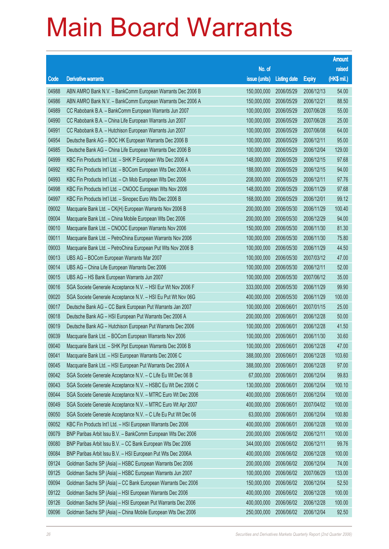|       |                                                                |                        |                     |               | <b>Amount</b> |
|-------|----------------------------------------------------------------|------------------------|---------------------|---------------|---------------|
|       |                                                                | No. of                 |                     |               | raised        |
| Code  | <b>Derivative warrants</b>                                     | issue (units)          | <b>Listing date</b> | <b>Expiry</b> | (HK\$ mil.)   |
| 04988 | ABN AMRO Bank N.V. - BankComm European Warrants Dec 2006 B     | 150,000,000            | 2006/05/29          | 2006/12/13    | 54.00         |
| 04986 | ABN AMRO Bank N.V. - BankComm European Warrants Dec 2006 A     | 150,000,000            | 2006/05/29          | 2006/12/21    | 88.50         |
| 04989 | CC Rabobank B.A. - BankComm European Warrants Jun 2007         | 100,000,000            | 2006/05/29          | 2007/06/28    | 55.00         |
| 04990 | CC Rabobank B.A. - China Life European Warrants Jun 2007       | 100,000,000            | 2006/05/29          | 2007/06/28    | 25.00         |
| 04991 | CC Rabobank B.A. - Hutchison European Warrants Jun 2007        | 100,000,000            | 2006/05/29          | 2007/06/08    | 64.00         |
| 04954 | Deutsche Bank AG - BOC HK European Warrants Dec 2006 B         | 100,000,000            | 2006/05/29          | 2006/12/11    | 95.00         |
| 04985 | Deutsche Bank AG - China Life European Warrants Dec 2006 B     | 100,000,000            | 2006/05/29          | 2006/12/04    | 129.00        |
| 04999 | KBC Fin Products Int'l Ltd. - SHK P European Wts Dec 2006 A    | 148,000,000            | 2006/05/29          | 2006/12/15    | 97.68         |
| 04992 | KBC Fin Products Int'l Ltd. - BOCom European Wts Dec 2006 A    | 188,000,000            | 2006/05/29          | 2006/12/15    | 94.00         |
| 04993 | KBC Fin Products Int'l Ltd. - Ch Mob European Wts Dec 2006     | 208,000,000            | 2006/05/29          | 2006/12/11    | 97.76         |
| 04998 | KBC Fin Products Int'l Ltd. - CNOOC European Wts Nov 2006      | 148,000,000            | 2006/05/29          | 2006/11/29    | 97.68         |
| 04997 | KBC Fin Products Int'l Ltd. - Sinopec Euro Wts Dec 2006 B      | 168,000,000            | 2006/05/29          | 2006/12/01    | 99.12         |
| 09002 | Macquarie Bank Ltd. - CK(H) European Warrants Nov 2006 B       | 200,000,000            | 2006/05/30          | 2006/11/29    | 100.40        |
| 09004 | Macquarie Bank Ltd. - China Mobile European Wts Dec 2006       | 200,000,000            | 2006/05/30          | 2006/12/29    | 94.00         |
| 09010 | Macquarie Bank Ltd. - CNOOC European Warrants Nov 2006         | 150,000,000            | 2006/05/30          | 2006/11/30    | 81.30         |
| 09011 | Macquarie Bank Ltd. - PetroChina European Warrants Nov 2006    | 100,000,000            | 2006/05/30          | 2006/11/30    | 75.80         |
| 09003 | Macquarie Bank Ltd. - PetroChina European Put Wts Nov 2006 B   | 100,000,000            | 2006/05/30          | 2006/11/29    | 44.50         |
| 09013 | UBS AG - BOCom European Warrants Mar 2007                      | 100,000,000            | 2006/05/30          | 2007/03/12    | 47.00         |
| 09014 | UBS AG - China Life European Warrants Dec 2006                 | 100,000,000            | 2006/05/30          | 2006/12/11    | 52.00         |
| 09015 | UBS AG - HS Bank European Warrants Jun 2007                    | 100,000,000            | 2006/05/30          | 2007/06/12    | 35.00         |
| 09016 | SGA Societe Generale Acceptance N.V. - HSI Eur Wt Nov 2006 F   | 333,000,000            | 2006/05/30          | 2006/11/29    | 99.90         |
| 09020 | SGA Societe Generale Acceptance N.V. - HSI Eu Put Wt Nov 06G   | 400,000,000            | 2006/05/30          | 2006/11/29    | 100.00        |
| 09017 | Deutsche Bank AG - CC Bank European Put Warrants Jan 2007      | 100,000,000            | 2006/06/01          | 2007/01/15    | 25.00         |
| 09018 | Deutsche Bank AG - HSI European Put Warrants Dec 2006 A        | 200,000,000            | 2006/06/01          | 2006/12/28    | 50.00         |
| 09019 | Deutsche Bank AG - Hutchison European Put Warrants Dec 2006    | 100,000,000            | 2006/06/01          | 2006/12/28    | 41.50         |
| 09039 | Macquarie Bank Ltd. - BOCom European Warrants Nov 2006         | 100,000,000            | 2006/06/01          | 2006/11/30    | 30.60         |
| 09040 | Macquarie Bank Ltd. - SHK Ppt European Warrants Dec 2006 B     | 100,000,000 2006/06/01 |                     | 2006/12/28    | 47.00         |
| 09041 | Macquarie Bank Ltd. - HSI European Warrants Dec 2006 C         | 388,000,000            | 2006/06/01          | 2006/12/28    | 103.60        |
| 09045 | Macquarie Bank Ltd. - HSI European Put Warrants Dec 2006 A     | 388,000,000            | 2006/06/01          | 2006/12/28    | 97.00         |
| 09042 | SGA Societe Generale Acceptance N.V. - C Life Eu Wt Dec 06 B   | 67,000,000             | 2006/06/01          | 2006/12/04    | 99.83         |
| 09043 | SGA Societe Generale Acceptance N.V. - HSBC Eu Wt Dec 2006 C   | 130,000,000            | 2006/06/01          | 2006/12/04    | 100.10        |
| 09044 | SGA Societe Generale Acceptance N.V. - MTRC Euro Wt Dec 2006   | 400,000,000            | 2006/06/01          | 2006/12/04    | 100.00        |
| 09049 | SGA Societe Generale Acceptance N.V. - MTRC Euro Wt Apr 2007   | 400,000,000            | 2006/06/01          | 2007/04/02    | 100.00        |
| 09050 | SGA Societe Generale Acceptance N.V. - C Life Eu Put Wt Dec 06 | 63,000,000             | 2006/06/01          | 2006/12/04    | 100.80        |
| 09052 | KBC Fin Products Int'l Ltd. - HSI European Warrants Dec 2006   | 400,000,000            | 2006/06/01          | 2006/12/28    | 100.00        |
| 09079 | BNP Paribas Arbit Issu B.V. - BankComm European Wts Dec 2006   | 200,000,000            | 2006/06/02          | 2006/12/11    | 100.00        |
| 09080 | BNP Paribas Arbit Issu B.V. - CC Bank European Wts Dec 2006    | 344,000,000            | 2006/06/02          | 2006/12/11    | 99.76         |
| 09084 | BNP Paribas Arbit Issu B.V. - HSI European Put Wts Dec 2006A   | 400,000,000            | 2006/06/02          | 2006/12/28    | 100.00        |
| 09124 | Goldman Sachs SP (Asia) - HSBC European Warrants Dec 2006      | 200,000,000            | 2006/06/02          | 2006/12/04    | 74.00         |
| 09125 | Goldman Sachs SP (Asia) - HSBC European Warrants Jun 2007      | 100,000,000            | 2006/06/02          | 2007/06/29    | 133.00        |
| 09094 | Goldman Sachs SP (Asia) - CC Bank European Warrants Dec 2006   | 150,000,000            | 2006/06/02          | 2006/12/04    | 52.50         |
| 09122 | Goldman Sachs SP (Asia) - HSI European Warrants Dec 2006       | 400,000,000            | 2006/06/02          | 2006/12/28    | 100.00        |
| 09126 | Goldman Sachs SP (Asia) - HSI European Put Warrants Dec 2006   | 400,000,000            | 2006/06/02          | 2006/12/28    | 100.00        |
| 09096 | Goldman Sachs SP (Asia) - China Mobile European Wts Dec 2006   | 250,000,000            | 2006/06/02          | 2006/12/04    | 92.50         |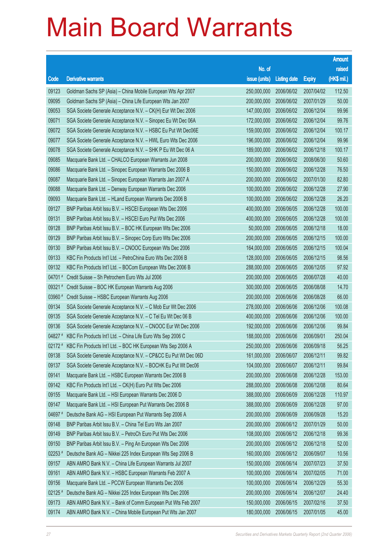|           |                                                                      |               |                     |               | <b>Amount</b> |
|-----------|----------------------------------------------------------------------|---------------|---------------------|---------------|---------------|
|           |                                                                      | No. of        |                     |               | raised        |
| Code      | <b>Derivative warrants</b>                                           | issue (units) | <b>Listing date</b> | <b>Expiry</b> | (HK\$ mil.)   |
| 09123     | Goldman Sachs SP (Asia) - China Mobile European Wts Apr 2007         | 250,000,000   | 2006/06/02          | 2007/04/02    | 112.50        |
| 09095     | Goldman Sachs SP (Asia) - China Life European Wts Jan 2007           | 200,000,000   | 2006/06/02          | 2007/01/29    | 50.00         |
| 09053     | SGA Societe Generale Acceptance N.V. - CK(H) Eur Wt Dec 2006         | 147,000,000   | 2006/06/02          | 2006/12/04    | 99.96         |
| 09071     | SGA Societe Generale Acceptance N.V. - Sinopec Eu Wt Dec 06A         | 172,000,000   | 2006/06/02          | 2006/12/04    | 99.76         |
| 09072     | SGA Societe Generale Acceptance N.V. - HSBC Eu Put Wt Dec06E         | 159,000,000   | 2006/06/02          | 2006/12/04    | 100.17        |
| 09077     | SGA Societe Generale Acceptance N.V. - HWL Euro Wts Dec 2006         | 196,000,000   | 2006/06/02          | 2006/12/04    | 99.96         |
| 09078     | SGA Societe Generale Acceptance N.V. - SHK P Eu Wt Dec 06 A          | 189,000,000   | 2006/06/02          | 2006/12/18    | 100.17        |
| 09085     | Macquarie Bank Ltd. - CHALCO European Warrants Jun 2008              | 200,000,000   | 2006/06/02          | 2008/06/30    | 50.60         |
| 09086     | Macquarie Bank Ltd. - Sinopec European Warrants Dec 2006 B           | 150,000,000   | 2006/06/02          | 2006/12/28    | 76.50         |
| 09087     | Macquarie Bank Ltd. - Sinopec European Warrants Jan 2007 A           | 200,000,000   | 2006/06/02          | 2007/01/30    | 82.80         |
| 09088     | Macquarie Bank Ltd. - Denway European Warrants Dec 2006              | 100,000,000   | 2006/06/02          | 2006/12/28    | 27.90         |
| 09093     | Macquarie Bank Ltd. - HLand European Warrants Dec 2006 B             | 100,000,000   | 2006/06/02          | 2006/12/28    | 26.20         |
| 09127     | BNP Paribas Arbit Issu B.V. - HSCEI European Wts Dec 2006            | 400,000,000   | 2006/06/05          | 2006/12/28    | 100.00        |
| 09131     | BNP Paribas Arbit Issu B.V. - HSCEI Euro Put Wts Dec 2006            | 400,000,000   | 2006/06/05          | 2006/12/28    | 100.00        |
| 09128     | BNP Paribas Arbit Issu B.V. - BOC HK European Wts Dec 2006           | 50,000,000    | 2006/06/05          | 2006/12/18    | 18.00         |
| 09129     | BNP Paribas Arbit Issu B.V. - Sinopec Corp Euro Wts Dec 2006         | 200,000,000   | 2006/06/05          | 2006/12/15    | 100.00        |
| 09130     | BNP Paribas Arbit Issu B.V. - CNOOC European Wts Dec 2006            | 164,000,000   | 2006/06/05          | 2006/12/15    | 100.04        |
| 09133     | KBC Fin Products Int'l Ltd. - PetroChina Euro Wts Dec 2006 B         | 128,000,000   | 2006/06/05          | 2006/12/15    | 98.56         |
| 09132     | KBC Fin Products Int'l Ltd. - BOCom European Wts Dec 2006 B          | 288,000,000   | 2006/06/05          | 2006/12/05    | 97.92         |
| 04701#    | Credit Suisse - Sh Petrochem Euro Wts Jul 2006                       | 200,000,000   | 2006/06/05          | 2006/07/28    | 40.00         |
| 09321#    | Credit Suisse - BOC HK European Warrants Aug 2006                    | 300,000,000   | 2006/06/05          | 2006/08/08    | 14.70         |
| 03960 #   | Credit Suisse - HSBC European Warrants Aug 2006                      | 200,000,000   | 2006/06/06          | 2006/08/28    | 66.00         |
| 09134     | SGA Societe Generale Acceptance N.V. - C Mob Eur Wt Dec 2006         | 278,000,000   | 2006/06/06          | 2006/12/06    | 100.08        |
| 09135     | SGA Societe Generale Acceptance N.V. - C Tel Eu Wt Dec 06 B          | 400,000,000   | 2006/06/06          | 2006/12/06    | 100.00        |
| 09136     | SGA Societe Generale Acceptance N.V. - CNOOC Eur Wt Dec 2006         | 192,000,000   | 2006/06/06          | 2006/12/06    | 99.84         |
| 04827 #   | KBC Fin Products Int'l Ltd. - China Life Euro Wts Sep 2006 C         | 188,000,000   | 2006/06/06          | 2006/09/01    | 250.04        |
|           | 02172 # KBC Fin Products Int'l Ltd. - BOC HK European Wts Sep 2006 A | 250,000,000   | 2006/06/06          | 2006/09/18    | 56.25         |
| 09138     | SGA Societe Generale Acceptance N.V. - CP&CC Eu Put Wt Dec 06D       | 161,000,000   | 2006/06/07          | 2006/12/11    | 99.82         |
| 09137     | SGA Societe Generale Acceptance N.V. - BOCHK Eu Put Wt Dec06         | 104,000,000   | 2006/06/07          | 2006/12/11    | 99.84         |
| 09141     | Macquarie Bank Ltd. - HSBC European Warrants Dec 2006 B              | 200,000,000   | 2006/06/08          | 2006/12/28    | 153.00        |
| 09142     | KBC Fin Products Int'l Ltd. - CK(H) Euro Put Wts Dec 2006            | 288,000,000   | 2006/06/08          | 2006/12/08    | 80.64         |
| 09155     | Macquarie Bank Ltd. - HSI European Warrants Dec 2006 D               | 388,000,000   | 2006/06/09          | 2006/12/28    | 110.97        |
| 09147     | Macquarie Bank Ltd. - HSI European Put Warrants Dec 2006 B           | 388,000,000   | 2006/06/09          | 2006/12/28    | 97.00         |
| 04697 #   | Deutsche Bank AG - HSI European Put Warrants Sep 2006 A              | 200,000,000   | 2006/06/09          | 2006/09/28    | 15.20         |
| 09148     | BNP Paribas Arbit Issu B.V. - China Tel Euro Wts Jan 2007            | 200,000,000   | 2006/06/12          | 2007/01/29    | 50.00         |
| 09149     | BNP Paribas Arbit Issu B.V. - PetroCh Euro Put Wts Dec 2006          | 108,000,000   | 2006/06/12          | 2006/12/18    | 99.36         |
| 09150     | BNP Paribas Arbit Issu B.V. - Ping An European Wts Dec 2006          | 200,000,000   | 2006/06/12          | 2006/12/18    | 52.00         |
| $02253$ # | Deutsche Bank AG - Nikkei 225 Index European Wts Sep 2006 B          | 160,000,000   | 2006/06/12          | 2006/09/07    | 10.56         |
| 09157     | ABN AMRO Bank N.V. - China Life European Warrants Jul 2007           | 150,000,000   | 2006/06/14          | 2007/07/23    | 37.50         |
| 09161     | ABN AMRO Bank N.V. - HSBC European Warrants Feb 2007 A               | 100,000,000   | 2006/06/14          | 2007/02/05    | 71.00         |
| 09156     | Macquarie Bank Ltd. - PCCW European Warrants Dec 2006                | 100,000,000   | 2006/06/14          | 2006/12/29    | 55.30         |
| $02125$ # | Deutsche Bank AG - Nikkei 225 Index European Wts Dec 2006            | 200,000,000   | 2006/06/14          | 2006/12/07    | 24.40         |
| 09173     | ABN AMRO Bank N.V. - Bank of Comm European Put Wts Feb 2007          | 150,000,000   | 2006/06/15          | 2007/02/16    | 37.50         |
| 09174     | ABN AMRO Bank N.V. - China Mobile European Put Wts Jan 2007          | 180,000,000   | 2006/06/15          | 2007/01/05    | 45.00         |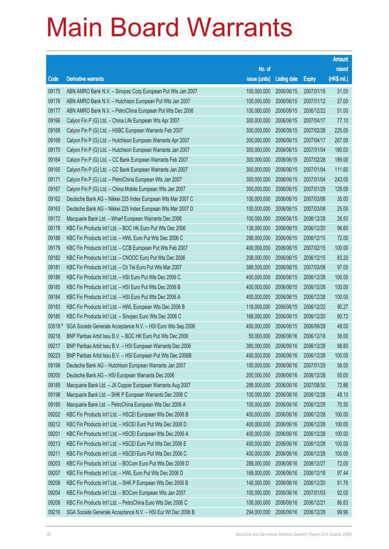|        |                                                              |                        |                     |               | <b>Amount</b> |
|--------|--------------------------------------------------------------|------------------------|---------------------|---------------|---------------|
|        |                                                              | No. of                 |                     |               | raised        |
| Code   | <b>Derivative warrants</b>                                   | issue (units)          | <b>Listing date</b> | <b>Expiry</b> | (HK\$ mil.)   |
| 09175  | ABN AMRO Bank N.V. - Sinopec Corp European Put Wts Jan 2007  | 100,000,000            | 2006/06/15          | 2007/01/18    | 31.00         |
| 09176  | ABN AMRO Bank N.V. - Hutchison European Put Wts Jan 2007     | 100,000,000            | 2006/06/15          | 2007/01/12    | 27.00         |
| 09177  | ABN AMRO Bank N.V. - PetroChina European Put Wts Dec 2006    | 100,000,000            | 2006/06/15          | 2006/12/22    | 51.00         |
| 09166  | Calyon Fin P (G) Ltd. - China Life European Wts Apr 2007     | 300,000,000            | 2006/06/15          | 2007/04/17    | 77.10         |
| 09168  | Calyon Fin P (G) Ltd. - HSBC European Warrants Feb 2007      | 300,000,000            | 2006/06/15          | 2007/02/28    | 225.00        |
| 09169  | Calyon Fin P (G) Ltd. - Hutchison European Warrants Apr 2007 | 300,000,000            | 2006/06/15          | 2007/04/17    | 267.00        |
| 09170  | Calyon Fin P (G) Ltd. - Hutchison European Warrants Jan 2007 | 300,000,000            | 2006/06/15          | 2007/01/04    | 180.00        |
| 09164  | Calyon Fin P (G) Ltd. - CC Bank European Warrants Feb 2007   | 300,000,000            | 2006/06/15          | 2007/02/28    | 189.00        |
| 09165  | Calyon Fin P (G) Ltd. - CC Bank European Warrants Jan 2007   | 300,000,000            | 2006/06/15          | 2007/01/04    | 111.60        |
| 09171  | Calyon Fin P (G) Ltd. - PetroChina European Wts Jan 2007     | 300,000,000            | 2006/06/15          | 2007/01/04    | 243.00        |
| 09167  | Calyon Fin P (G) Ltd. - China Mobile European Wts Jan 2007   | 300,000,000            | 2006/06/15          | 2007/01/29    | 129.00        |
| 09162  | Deutsche Bank AG - Nikkei 225 Index European Wts Mar 2007 C  | 100,000,000            | 2006/06/15          | 2007/03/08    | 35.00         |
| 09163  | Deutsche Bank AG - Nikkei 225 Index European Wts Mar 2007 D  | 100,000,000            | 2006/06/15          | 2007/03/08    | 25.00         |
| 09172  | Macquarie Bank Ltd. - Wharf European Warrants Dec 2006       | 100,000,000            | 2006/06/15          | 2006/12/28    | 26.50         |
| 09178  | KBC Fin Products Int'l Ltd. - BOC HK Euro Put Wts Dec 2006   | 138,000,000            | 2006/06/15          | 2006/12/20    | 96.60         |
| 09188  | KBC Fin Products Int'l Ltd. - HWL Euro Put Wts Dec 2006 C    | 288,000,000            | 2006/06/15          | 2006/12/15    | 72.00         |
| 09179  | KBC Fin Products Int'l Ltd. - CCB European Put Wts Feb 2007  | 400,000,000            | 2006/06/15          | 2007/02/15    | 100.00        |
| 09182  | KBC Fin Products Int'l Ltd. - CNOOC Euro Put Wts Dec 2006    | 208,000,000            | 2006/06/15          | 2006/12/15    | 83.20         |
| 09181  | KBC Fin Products Int'l Ltd. - Ch Tel Euro Put Wts Mar 2007   | 388,000,000            | 2006/06/15          | 2007/03/08    | 97.00         |
| 09186  | KBC Fin Products Int'l Ltd. - HSI Euro Put Wts Dec 2006 C    | 400,000,000            | 2006/06/15          | 2006/12/28    | 100.00        |
| 09185  | KBC Fin Products Int'l Ltd. - HSI Euro Put Wts Dec 2006 B    | 400,000,000            | 2006/06/15          | 2006/12/28    | 100.00        |
| 09184  | KBC Fin Products Int'l Ltd. - HSI Euro Put Wts Dec 2006 A    | 400,000,000            | 2006/06/15          | 2006/12/28    | 100.00        |
| 09183  | KBC Fin Products Int'l Ltd. - HWL European Wts Dec 2006 B    | 118,000,000            | 2006/06/15          | 2006/12/22    | 90.27         |
| 09180  | KBC Fin Products Int'l Ltd. - Sinopec Euro Wts Dec 2006 C    | 168,000,000            | 2006/06/15          | 2006/12/20    | 90.72         |
| 03518# | SGA Societe Generale Acceptance N.V. - HSI Euro Wts Sep 2006 | 400,000,000            | 2006/06/15          | 2006/09/28    | 48.00         |
| 09218  | BNP Paribas Arbit Issu B.V. - BOC HK Euro Put Wts Dec 2006   | 50,000,000             | 2006/06/16          | 2006/12/18    | 36.00         |
| 09217  | BNP Paribas Arbit Issu B.V. - HSI European Warrants Dec 2006 | 380,000,000 2006/06/16 |                     | 2006/12/28    | 98.80         |
| 09223  | BNP Paribas Arbit Issu B.V. - HSI European Put Wts Dec 2006B | 400,000,000            | 2006/06/16          | 2006/12/28    | 100.00        |
| 09199  | Deutsche Bank AG - Hutchison European Warrants Jan 2007      | 100,000,000            | 2006/06/16          | 2007/01/29    | 58.00         |
| 09200  | Deutsche Bank AG - HSI European Warrants Dec 2006            | 200,000,000            | 2006/06/16          | 2006/12/28    | 50.00         |
| 09189  | Macquarie Bank Ltd. - JX Copper European Warrants Aug 2007   | 288,000,000            | 2006/06/16          | 2007/08/30    | 72.86         |
| 09198  | Macquarie Bank Ltd. - SHK P European Warrants Dec 2006 C     | 100,000,000            | 2006/06/16          | 2006/12/28    | 48.10         |
| 09190  | Macquarie Bank Ltd. - PetroChina European Wts Dec 2006 A     | 100,000,000            | 2006/06/16          | 2006/12/29    | 70.50         |
| 09202  | KBC Fin Products Int'l Ltd. - HSCEI European Wts Dec 2006 B  | 400,000,000            | 2006/06/16          | 2006/12/28    | 100.00        |
| 09212  | KBC Fin Products Int'l Ltd. - HSCEI Euro Put Wts Dec 2006 D  | 400,000,000            | 2006/06/16          | 2006/12/28    | 100.00        |
| 09201  | KBC Fin Products Int'l Ltd. - HSCEI European Wts Dec 2006 A  | 400,000,000            | 2006/06/16          | 2006/12/28    | 100.00        |
| 09213  | KBC Fin Products Int'l Ltd. - HSCEI Euro Put Wts Dec 2006 E  | 400,000,000            | 2006/06/16          | 2006/12/28    | 100.00        |
| 09211  | KBC Fin Products Int'l Ltd. - HSCEI Euro Put Wts Dec 2006 C  | 400,000,000            | 2006/06/16          | 2006/12/28    | 100.00        |
| 09203  | KBC Fin Products Int'l Ltd. - BOCom Euro Put Wts Dec 2006 D  | 288,000,000            | 2006/06/16          | 2006/12/27    | 72.00         |
| 09207  | KBC Fin Products Int'l Ltd. - HWL Euro Put Wts Dec 2006 D    | 168,000,000            | 2006/06/16          | 2006/12/18    | 97.44         |
| 09209  | KBC Fin Products Int'l Ltd. - SHK P European Wts Dec 2006 B  | 148,000,000            | 2006/06/16          | 2006/12/20    | 91.76         |
| 09204  | KBC Fin Products Int'l Ltd. - BOCom European Wts Jan 2007    | 100,000,000            | 2006/06/16          | 2007/01/03    | 92.00         |
| 09208  | KBC Fin Products Int'l Ltd. - PetroChina Euro Wts Dec 2006 C | 108,000,000            | 2006/06/16          | 2006/12/21    | 86.83         |
| 09216  | SGA Societe Generale Acceptance N.V. - HSI Eur Wt Dec 2006 B | 294,000,000            | 2006/06/16          | 2006/12/28    | 99.96         |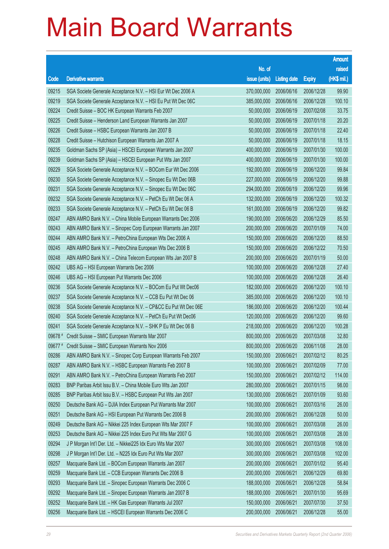|         |                                                                |                        |                     |               | <b>Amount</b> |
|---------|----------------------------------------------------------------|------------------------|---------------------|---------------|---------------|
|         |                                                                | No. of                 |                     |               | raised        |
| Code    | <b>Derivative warrants</b>                                     | issue (units)          | <b>Listing date</b> | <b>Expiry</b> | (HK\$ mil.)   |
| 09215   | SGA Societe Generale Acceptance N.V. - HSI Eur Wt Dec 2006 A   | 370,000,000            | 2006/06/16          | 2006/12/28    | 99.90         |
| 09219   | SGA Societe Generale Acceptance N.V. - HSI Eu Put Wt Dec 06C   | 385,000,000            | 2006/06/16          | 2006/12/28    | 100.10        |
| 09224   | Credit Suisse - BOC HK European Warrants Feb 2007              | 50,000,000             | 2006/06/19          | 2007/02/08    | 33.75         |
| 09225   | Credit Suisse – Henderson Land European Warrants Jan 2007      | 50,000,000             | 2006/06/19          | 2007/01/18    | 20.20         |
| 09226   | Credit Suisse - HSBC European Warrants Jan 2007 B              | 50,000,000             | 2006/06/19          | 2007/01/18    | 22.40         |
| 09228   | Credit Suisse - Hutchison European Warrants Jan 2007 A         | 50,000,000             | 2006/06/19          | 2007/01/18    | 18.15         |
| 09235   | Goldman Sachs SP (Asia) – HSCEI European Warrants Jan 2007     | 400,000,000            | 2006/06/19          | 2007/01/30    | 100.00        |
| 09239   | Goldman Sachs SP (Asia) - HSCEI European Put Wts Jan 2007      | 400,000,000            | 2006/06/19          | 2007/01/30    | 100.00        |
| 09229   | SGA Societe Generale Acceptance N.V. - BOCom Eur Wt Dec 2006   | 192,000,000            | 2006/06/19          | 2006/12/20    | 99.84         |
| 09230   | SGA Societe Generale Acceptance N.V. - Sinopec Eu Wt Dec 06B   | 227,000,000            | 2006/06/19          | 2006/12/20    | 99.88         |
| 09231   | SGA Societe Generale Acceptance N.V. - Sinopec Eu Wt Dec 06C   | 294,000,000            | 2006/06/19          | 2006/12/20    | 99.96         |
| 09232   | SGA Societe Generale Acceptance N.V. - PetCh Eu Wt Dec 06 A    | 132,000,000            | 2006/06/19          | 2006/12/20    | 100.32        |
| 09233   | SGA Societe Generale Acceptance N.V. - PetCh Eu Wt Dec 06 B    | 161,000,000            | 2006/06/19          | 2006/12/20    | 99.82         |
| 09247   | ABN AMRO Bank N.V. - China Mobile European Warrants Dec 2006   | 190,000,000            | 2006/06/20          | 2006/12/29    | 85.50         |
| 09243   | ABN AMRO Bank N.V. - Sinopec Corp European Warrants Jan 2007   | 200,000,000            | 2006/06/20          | 2007/01/09    | 74.00         |
| 09244   | ABN AMRO Bank N.V. - PetroChina European Wts Dec 2006 A        | 150,000,000            | 2006/06/20          | 2006/12/20    | 88.50         |
| 09245   | ABN AMRO Bank N.V. - PetroChina European Wts Dec 2006 B        | 150,000,000            | 2006/06/20          | 2006/12/22    | 70.50         |
| 09248   | ABN AMRO Bank N.V. - China Telecom European Wts Jan 2007 B     | 200,000,000            | 2006/06/20          | 2007/01/19    | 50.00         |
| 09242   | UBS AG - HSI European Warrants Dec 2006                        | 100,000,000            | 2006/06/20          | 2006/12/28    | 27.40         |
| 09246   | UBS AG - HSI European Put Warrants Dec 2006                    | 100,000,000            | 2006/06/20          | 2006/12/28    | 26.40         |
| 09236   | SGA Societe Generale Acceptance N.V. - BOCom Eu Put Wt Dec06   | 182,000,000            | 2006/06/20          | 2006/12/20    | 100.10        |
| 09237   | SGA Societe Generale Acceptance N.V. - CCB Eu Put Wt Dec 06    | 385,000,000            | 2006/06/20          | 2006/12/20    | 100.10        |
| 09238   | SGA Societe Generale Acceptance N.V. - CP&CC Eu Put Wt Dec 06E | 186,000,000            | 2006/06/20          | 2006/12/20    | 100.44        |
| 09240   | SGA Societe Generale Acceptance N.V. - PetCh Eu Put Wt Dec06   | 120,000,000            | 2006/06/20          | 2006/12/20    | 99.60         |
| 09241   | SGA Societe Generale Acceptance N.V. - SHK P Eu Wt Dec 06 B    | 218,000,000            | 2006/06/20          | 2006/12/20    | 100.28        |
| 09678 # | Credit Suisse - SMIC European Warrants Mar 2007                | 800,000,000            | 2006/06/20          | 2007/03/08    | 32.80         |
|         | 09677 # Credit Suisse - SMIC European Warrants Nov 2006        | 800,000,000 2006/06/20 |                     | 2006/11/08    | 28.00         |
| 09286   | ABN AMRO Bank N.V. - Sinopec Corp European Warrants Feb 2007   | 150,000,000            | 2006/06/21          | 2007/02/12    | 80.25         |
| 09287   | ABN AMRO Bank N.V. - HSBC European Warrants Feb 2007 B         | 100,000,000            | 2006/06/21          | 2007/02/09    | 77.00         |
| 09291   | ABN AMRO Bank N.V. - PetroChina European Warrants Feb 2007     | 150,000,000            | 2006/06/21          | 2007/02/12    | 114.00        |
| 09283   | BNP Paribas Arbit Issu B.V. - China Mobile Euro Wts Jan 2007   | 280,000,000            | 2006/06/21          | 2007/01/15    | 98.00         |
| 09285   | BNP Paribas Arbit Issu B.V. - HSBC European Put Wts Jan 2007   | 130,000,000            | 2006/06/21          | 2007/01/09    | 93.60         |
| 09250   | Deutsche Bank AG - DJIA Index European Put Warrants Mar 2007   | 100,000,000            | 2006/06/21          | 2007/03/16    | 26.00         |
| 09251   | Deutsche Bank AG - HSI European Put Warrants Dec 2006 B        | 200,000,000            | 2006/06/21          | 2006/12/28    | 50.00         |
| 09249   | Deutsche Bank AG - Nikkei 225 Index European Wts Mar 2007 F    | 100,000,000            | 2006/06/21          | 2007/03/08    | 26.00         |
| 09253   | Deutsche Bank AG - Nikkei 225 Index Euro Put Wts Mar 2007 G    | 100,000,000            | 2006/06/21          | 2007/03/08    | 28.00         |
| 09294   | J P Morgan Int'l Der. Ltd. - Nikkei 225 Idx Euro Wts Mar 2007  | 300,000,000            | 2006/06/21          | 2007/03/08    | 108.00        |
| 09298   | J P Morgan Int'l Der. Ltd. - N225 Idx Euro Put Wts Mar 2007    | 300,000,000            | 2006/06/21          | 2007/03/08    | 102.00        |
| 09257   | Macquarie Bank Ltd. - BOCom European Warrants Jan 2007         | 200,000,000            | 2006/06/21          | 2007/01/02    | 95.40         |
| 09259   | Macquarie Bank Ltd. - CCB European Warrants Dec 2006 B         | 200,000,000            | 2006/06/21          | 2006/12/29    | 69.80         |
| 09293   | Macquarie Bank Ltd. - Sinopec European Warrants Dec 2006 C     | 188,000,000            | 2006/06/21          | 2006/12/28    | 58.84         |
| 09292   | Macquarie Bank Ltd. - Sinopec European Warrants Jan 2007 B     | 188,000,000            | 2006/06/21          | 2007/01/30    | 95.69         |
| 09252   | Macquarie Bank Ltd. - HK Gas European Warrants Jul 2007        | 150,000,000            | 2006/06/21          | 2007/07/30    | 37.50         |
| 09256   | Macquarie Bank Ltd. - HSCEI European Warrants Dec 2006 C       | 200,000,000            | 2006/06/21          | 2006/12/28    | 55.00         |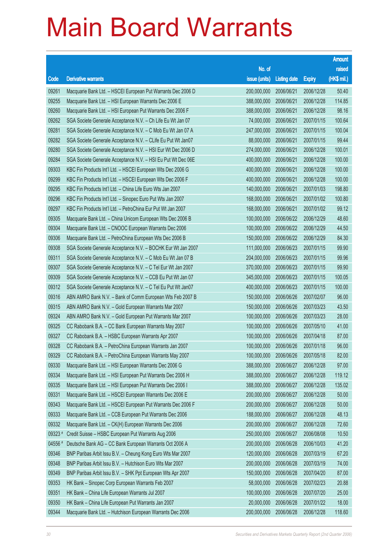|         |                                                              |                        |                     |               | <b>Amount</b> |
|---------|--------------------------------------------------------------|------------------------|---------------------|---------------|---------------|
|         |                                                              | No. of                 |                     |               | raised        |
| Code    | <b>Derivative warrants</b>                                   | issue (units)          | <b>Listing date</b> | <b>Expiry</b> | (HK\$ mil.)   |
| 09261   | Macquarie Bank Ltd. - HSCEI European Put Warrants Dec 2006 D | 200,000,000            | 2006/06/21          | 2006/12/28    | 50.40         |
| 09255   | Macquarie Bank Ltd. - HSI European Warrants Dec 2006 E       | 388,000,000            | 2006/06/21          | 2006/12/28    | 114.85        |
| 09260   | Macquarie Bank Ltd. - HSI European Put Warrants Dec 2006 F   | 388,000,000            | 2006/06/21          | 2006/12/28    | 98.16         |
| 09262   | SGA Societe Generale Acceptance N.V. - Ch Life Eu Wt Jan 07  | 74,000,000             | 2006/06/21          | 2007/01/15    | 100.64        |
| 09281   | SGA Societe Generale Acceptance N.V. - C Mob Eu Wt Jan 07 A  | 247,000,000            | 2006/06/21          | 2007/01/15    | 100.04        |
| 09282   | SGA Societe Generale Acceptance N.V. - CLife Eu Put Wt Jan07 | 88,000,000             | 2006/06/21          | 2007/01/15    | 99.44         |
| 09280   | SGA Societe Generale Acceptance N.V. - HSI Eur Wt Dec 2006 D | 274,000,000            | 2006/06/21          | 2006/12/28    | 100.01        |
| 09284   | SGA Societe Generale Acceptance N.V. - HSI Eu Put Wt Dec 06E | 400,000,000            | 2006/06/21          | 2006/12/28    | 100.00        |
| 09303   | KBC Fin Products Int'l Ltd. - HSCEI European Wts Dec 2006 G  | 400,000,000            | 2006/06/21          | 2006/12/28    | 100.00        |
| 09299   | KBC Fin Products Int'l Ltd. - HSCEI European Wts Dec 2006 F  | 400,000,000            | 2006/06/21          | 2006/12/28    | 100.00        |
| 09295   | KBC Fin Products Int'l Ltd. - China Life Euro Wts Jan 2007   | 140,000,000            | 2006/06/21          | 2007/01/03    | 198.80        |
| 09296   | KBC Fin Products Int'l Ltd. - Sinopec Euro Put Wts Jan 2007  | 168,000,000            | 2006/06/21          | 2007/01/02    | 100.80        |
| 09297   | KBC Fin Products Int'l Ltd. - PetroChina Eur Put Wt Jan 2007 | 168,000,000            | 2006/06/21          | 2007/01/02    | 99.12         |
| 09305   | Macquarie Bank Ltd. - China Unicom European Wts Dec 2006 B   | 100,000,000            | 2006/06/22          | 2006/12/29    | 48.60         |
| 09304   | Macquarie Bank Ltd. - CNOOC European Warrants Dec 2006       | 100,000,000            | 2006/06/22          | 2006/12/29    | 44.50         |
| 09306   | Macquarie Bank Ltd. - PetroChina European Wts Dec 2006 B     | 150,000,000            | 2006/06/22          | 2006/12/29    | 84.30         |
| 09308   | SGA Societe Generale Acceptance N.V. - BOCHK Eur Wt Jan 2007 | 111,000,000            | 2006/06/23          | 2007/01/15    | 99.90         |
| 09311   | SGA Societe Generale Acceptance N.V. - C Mob Eu Wt Jan 07 B  | 204,000,000            | 2006/06/23          | 2007/01/15    | 99.96         |
| 09307   | SGA Societe Generale Acceptance N.V. - C Tel Eur Wt Jan 2007 | 370,000,000            | 2006/06/23          | 2007/01/15    | 99.90         |
| 09309   | SGA Societe Generale Acceptance N.V. - CCB Eu Put Wt Jan 07  | 345,000,000            | 2006/06/23          | 2007/01/15    | 100.05        |
| 09312   | SGA Societe Generale Acceptance N.V. - C Tel Eu Put Wt Jan07 | 400,000,000            | 2006/06/23          | 2007/01/15    | 100.00        |
| 09316   | ABN AMRO Bank N.V. - Bank of Comm European Wts Feb 2007 B    | 150,000,000            | 2006/06/26          | 2007/02/07    | 96.00         |
| 09315   | ABN AMRO Bank N.V. - Gold European Warrants Mar 2007         | 150,000,000            | 2006/06/26          | 2007/03/23    | 43.50         |
| 09324   | ABN AMRO Bank N.V. - Gold European Put Warrants Mar 2007     | 100,000,000            | 2006/06/26          | 2007/03/23    | 28.00         |
| 09325   | CC Rabobank B.A. - CC Bank European Warrants May 2007        | 100,000,000            | 2006/06/26          | 2007/05/10    | 41.00         |
| 09327   | CC Rabobank B.A. - HSBC European Warrants Apr 2007           | 100,000,000            | 2006/06/26          | 2007/04/18    | 87.00         |
| 09328   | CC Rabobank B.A. - PetroChina European Warrants Jan 2007     | 100,000,000 2006/06/26 |                     | 2007/01/18    | 96.00         |
| 09329   | CC Rabobank B.A. - PetroChina European Warrants May 2007     | 100,000,000            | 2006/06/26          | 2007/05/18    | 82.00         |
| 09330   | Macquarie Bank Ltd. - HSI European Warrants Dec 2006 G       | 388,000,000            | 2006/06/27          | 2006/12/28    | 97.00         |
| 09334   | Macquarie Bank Ltd. - HSI European Put Warrants Dec 2006 H   | 388,000,000            | 2006/06/27          | 2006/12/28    | 119.12        |
| 09335   | Macquarie Bank Ltd. - HSI European Put Warrants Dec 2006 I   | 388,000,000            | 2006/06/27          | 2006/12/28    | 135.02        |
| 09331   | Macquarie Bank Ltd. - HSCEI European Warrants Dec 2006 E     | 200,000,000            | 2006/06/27          | 2006/12/28    | 50.00         |
| 09343   | Macquarie Bank Ltd. - HSCEI European Put Warrants Dec 2006 F | 200,000,000            | 2006/06/27          | 2006/12/28    | 50.00         |
| 09333   | Macquarie Bank Ltd. - CCB European Put Warrants Dec 2006     | 188,000,000            | 2006/06/27          | 2006/12/28    | 48.13         |
| 09332   | Macquarie Bank Ltd. - CK(H) European Warrants Dec 2006       | 200,000,000            | 2006/06/27          | 2006/12/28    | 72.60         |
| 09323 # | Credit Suisse - HSBC European Put Warrants Aug 2006          | 250,000,000            | 2006/06/27          | 2006/08/08    | 10.50         |
| 04556 # | Deutsche Bank AG - CC Bank European Warrants Oct 2006 A      | 200,000,000            | 2006/06/28          | 2006/10/03    | 41.20         |
| 09346   | BNP Paribas Arbit Issu B.V. - Cheung Kong Euro Wts Mar 2007  | 120,000,000            | 2006/06/28          | 2007/03/19    | 67.20         |
| 09348   | BNP Paribas Arbit Issu B.V. - Hutchison Euro Wts Mar 2007    | 200,000,000            | 2006/06/28          | 2007/03/19    | 74.00         |
| 09349   | BNP Paribas Arbit Issu B.V. - SHK Ppt European Wts Apr 2007  | 150,000,000            | 2006/06/28          | 2007/04/20    | 87.00         |
| 09353   | HK Bank - Sinopec Corp European Warrants Feb 2007            | 58,000,000             | 2006/06/28          | 2007/02/23    | 20.88         |
| 09351   | HK Bank - China Life European Warrants Jul 2007              | 100,000,000            | 2006/06/28          | 2007/07/20    | 25.00         |
| 09350   | HK Bank - China Life European Put Warrants Jan 2007          | 20,000,000             | 2006/06/28          | 2007/01/22    | 18.00         |
| 09344   | Macquarie Bank Ltd. - Hutchison European Warrants Dec 2006   | 200,000,000            | 2006/06/28          | 2006/12/28    | 118.60        |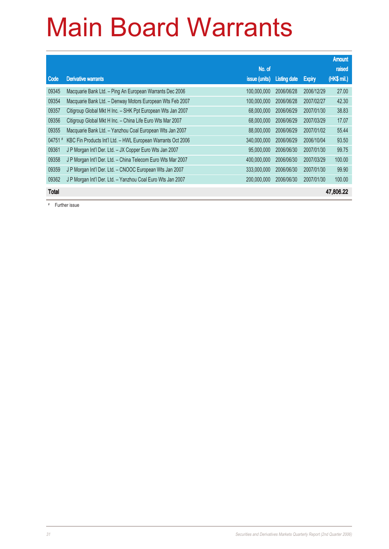|              |                                                              |               |                     |               | <b>Amount</b> |
|--------------|--------------------------------------------------------------|---------------|---------------------|---------------|---------------|
|              |                                                              | No. of        |                     |               | raised        |
| Code         | <b>Derivative warrants</b>                                   | issue (units) | <b>Listing date</b> | <b>Expiry</b> | (HK\$ mil.)   |
| 09345        | Macquarie Bank Ltd. - Ping An European Warrants Dec 2006     | 100,000,000   | 2006/06/28          | 2006/12/29    | 27.00         |
| 09354        | Macquarie Bank Ltd. - Denway Motors European Wts Feb 2007    | 100,000,000   | 2006/06/28          | 2007/02/27    | 42.30         |
| 09357        | Citigroup Global Mkt H Inc. - SHK Ppt European Wts Jan 2007  | 68,000,000    | 2006/06/29          | 2007/01/30    | 38.83         |
| 09356        | Citigroup Global Mkt H Inc. - China Life Euro Wts Mar 2007   | 68,000,000    | 2006/06/29          | 2007/03/29    | 17.07         |
| 09355        | Macquarie Bank Ltd. - Yanzhou Coal European Wts Jan 2007     | 88,000,000    | 2006/06/29          | 2007/01/02    | 55.44         |
| 04751        | KBC Fin Products Int'l Ltd. - HWL European Warrants Oct 2006 | 340,000,000   | 2006/06/29          | 2006/10/04    | 93.50         |
| 09361        | J P Morgan Int'l Der. Ltd. - JX Copper Euro Wts Jan 2007     | 95,000,000    | 2006/06/30          | 2007/01/30    | 99.75         |
| 09358        | J P Morgan Int'l Der. Ltd. - China Telecom Euro Wts Mar 2007 | 400,000,000   | 2006/06/30          | 2007/03/29    | 100.00        |
| 09359        | J P Morgan Int'l Der. Ltd. - CNOOC European Wts Jan 2007     | 333,000,000   | 2006/06/30          | 2007/01/30    | 99.90         |
| 09362        | J P Morgan Int'l Der. Ltd. - Yanzhou Coal Euro Wts Jan 2007  | 200,000,000   | 2006/06/30          | 2007/01/30    | 100.00        |
| <b>Total</b> |                                                              |               |                     |               | 47,806.22     |

# Further issue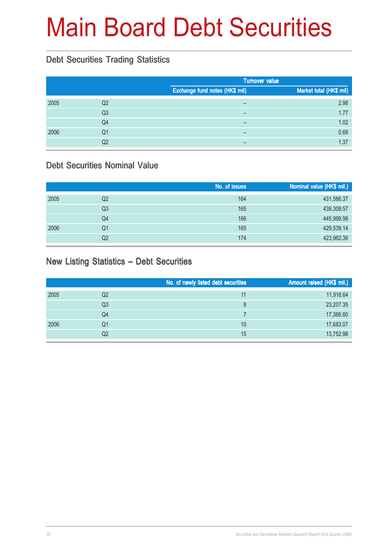# Main Board Debt Securities

#### Debt Securities Trading Statistics

|      |                |                                       | <b>Turnover value</b>   |  |  |
|------|----------------|---------------------------------------|-------------------------|--|--|
|      |                | <b>Exchange fund notes (HK\$ mil)</b> | Market total (HK\$ mil) |  |  |
| 2005 | Q2             |                                       | 2.98                    |  |  |
|      | Q <sub>3</sub> |                                       | 1.77                    |  |  |
|      | Q4             |                                       | 1.02                    |  |  |
| 2006 | Q1             |                                       | 0.68                    |  |  |
|      | Q2             |                                       | 1.37                    |  |  |

#### Debt Securities Nominal Value

|      |                | No. of issues | Nominal value (HK\$ mil.) |
|------|----------------|---------------|---------------------------|
| 2005 | Q <sub>2</sub> | 164           | 431,586.37                |
|      | Q3             | 165           | 439,309.57                |
|      | Q4             | 166           | 445,999.99                |
| 2006 | Q1             | 165           | 429,539.14                |
|      | Q2             | 174           | 423,962.36                |

#### New Listing Statistics – Debt Securities

|      |                | No. of newly listed debt securities | Amount raised (HK\$ mil.) |
|------|----------------|-------------------------------------|---------------------------|
| 2005 | Q2             | 11                                  | 11,916.64                 |
|      | Q <sub>3</sub> | 8                                   | 23,207.35                 |
|      | Q4             |                                     | 17,366.80                 |
| 2006 | Q1             | 10                                  | 17,683.07                 |
|      | Q2             | 15                                  | 13,752.98                 |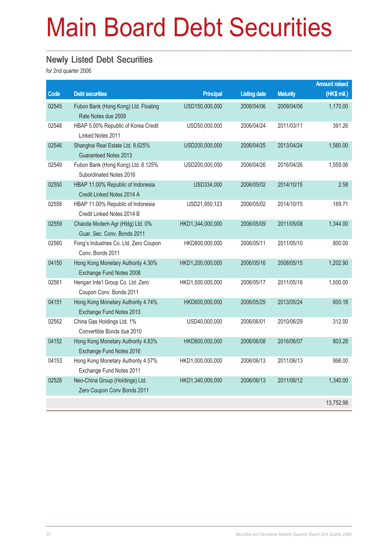# Main Board Debt Securities

#### Newly Listed Debt Securities

|       |                                        |                  |                     |                 | <b>Amount raised</b> |
|-------|----------------------------------------|------------------|---------------------|-----------------|----------------------|
| Code  | <b>Debt securities</b>                 | <b>Principal</b> | <b>Listing date</b> | <b>Maturity</b> | (HK\$ mil.)          |
| 02545 | Fubon Bank (Hong Kong) Ltd. Floating   | USD150,000,000   | 2006/04/06          | 2009/04/06      | 1,170.00             |
|       | Rate Notes due 2009                    |                  |                     |                 |                      |
| 02548 | HBAP 5.00% Republic of Korea Credit    | USD50,000,000    | 2006/04/24          | 2011/03/11      | 391.26               |
|       | Linked Notes 2011                      |                  |                     |                 |                      |
| 02546 | Shanghai Real Estate Ltd. 8.625%       | USD200,000,000   | 2006/04/25          | 2013/04/24      | 1,560.00             |
|       | <b>Guaranteed Notes 2013</b>           |                  |                     |                 |                      |
| 02549 | Fubon Bank (Hong Kong) Ltd. 6.125%     | USD200,000,000   | 2006/04/26          | 2016/04/26      | 1,559.06             |
|       | Subordinated Notes 2016                |                  |                     |                 |                      |
| 02550 | HBAP 11.00% Republic of Indonesia      | USD334,000       | 2006/05/02          | 2014/10/15      | 2.58                 |
|       | Credit Linked Notes 2014 A             |                  |                     |                 |                      |
| 02558 | HBAP 11.00% Republic of Indonesia      | USD21,950,123    | 2006/05/02          | 2014/10/15      | 169.71               |
|       | Credit Linked Notes 2014 B             |                  |                     |                 |                      |
| 02559 | Chaoda Modern Agr (Hldg) Ltd. 0%       | HKD1,344,000,000 | 2006/05/09          | 2011/05/08      | 1,344.00             |
|       | Guar. Sec. Conv. Bonds 2011            |                  |                     |                 |                      |
| 02560 | Fong's Industries Co. Ltd. Zero Coupon | HKD800,000,000   | 2006/05/11          | 2011/05/10      | 800.00               |
|       | Conv. Bonds 2011                       |                  |                     |                 |                      |
| 04150 | Hong Kong Monetary Authority 4.30%     | HKD1,200,000,000 | 2006/05/16          | 2008/05/15      | 1,202.90             |
|       | Exchange Fund Notes 2008               |                  |                     |                 |                      |
| 02561 | Hengan Inte'l Group Co. Ltd. Zero      | HKD1,500,000,000 | 2006/05/17          | 2011/05/16      | 1,500.00             |
|       | Coupon Conv. Bonds 2011                |                  |                     |                 |                      |
| 04151 | Hong Kong Monetary Authority 4.74%     | HKD600,000,000   | 2006/05/25          | 2013/05/24      | 600.18               |
|       | Exchange Fund Notes 2013               |                  |                     |                 |                      |
| 02562 | China Gas Holdings Ltd. 1%             | USD40,000,000    | 2006/06/01          | 2010/06/29      | 312.00               |
|       | Convertible Bonds due 2010             |                  |                     |                 |                      |
| 04152 | Hong Kong Monetary Authority 4.83%     | HKD800,000,000   | 2006/06/08          | 2016/06/07      | 803.28               |
|       | Exchange Fund Notes 2016               |                  |                     |                 |                      |
| 04153 | Hong Kong Monetary Authority 4.57%     | HKD1,000,000,000 | 2006/06/13          | 2011/06/13      | 998.00               |
|       | Exchange Fund Notes 2011               |                  |                     |                 |                      |
| 02528 | Neo-China Group (Holdings) Ltd.        | HKD1,340,000,000 | 2006/06/13          | 2011/06/12      | 1,340.00             |
|       | Zero Coupon Conv Bonds 2011            |                  |                     |                 |                      |
|       |                                        |                  |                     |                 | 13,752.98            |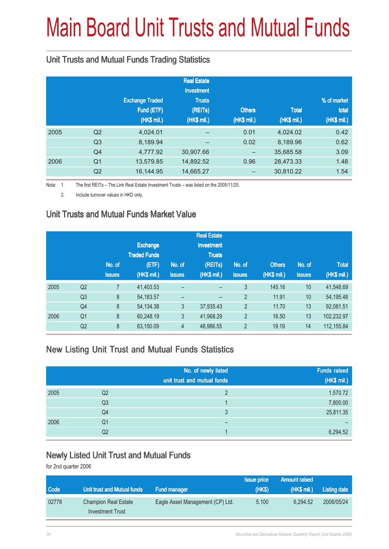# Main Board Unit Trusts and Mutual Funds

#### Unit Trusts and Mutual Funds Trading Statistics

|                |                        | <b>Real Estate</b><br><b>Investment</b> |               |              |             |
|----------------|------------------------|-----------------------------------------|---------------|--------------|-------------|
|                | <b>Exchange Traded</b> | <b>Trusts</b>                           |               |              | % of market |
|                | Fund (ETF)             | (REITs)                                 | <b>Others</b> | <b>Total</b> | total       |
|                | (HK\$ mil.)            | (HK\$ mil.)                             | (HK\$ mil.)   | (HK\$ mil.)  | (HK\$ mil.) |
| Q <sub>2</sub> | 4,024.01               |                                         | 0.01          | 4,024.02     | 0.42        |
| Q <sub>3</sub> | 8,189.94               | -                                       | 0.02          | 8,189.96     | 0.62        |
| Q <sub>4</sub> | 4,777.92               | 30,907.66                               |               | 35,685.58    | 3.09        |
| Q <sub>1</sub> | 13,579.85              | 14,892.52                               | 0.96          | 28,473.33    | 1.48        |
| Q2             | 16,144.95              | 14,665.27                               |               | 30,810.22    | 1.54        |
|                |                        |                                         |               |              |             |

Note: 1. The first REITs – The Link Real Estate Investment Trusts – was listed on the 2005/11/25.

2. Include turnover values in HKD only.

#### Unit Trusts and Mutual Funds Market Value

|      |                |               |                     |                | <b>Real Estate</b> |                |               |               |              |
|------|----------------|---------------|---------------------|----------------|--------------------|----------------|---------------|---------------|--------------|
|      |                |               | <b>Exchange</b>     |                | <b>Investment</b>  |                |               |               |              |
|      |                |               | <b>Traded Funds</b> |                | <b>Trusts</b>      |                |               |               |              |
|      |                | No. of        | (ETF)               | No. of         | (REITs)            | No. of         | <b>Others</b> | No. of        | <b>Total</b> |
|      |                | <b>issues</b> | (HK\$ mil.)         | <b>issues</b>  | (HK\$ mil.)        | <b>issues</b>  | (HK\$ mil.)   | <b>issues</b> | (HK\$ mil.)  |
| 2005 | Q2             |               | 41,403.53           | -              |                    | 3              | 145.16        | 10            | 41,548.69    |
|      | Q <sub>3</sub> | 8             | 54, 183. 57         | -              | -                  | $\overline{2}$ | 11.91         | 10            | 54,195.48    |
|      | Q <sub>4</sub> | 8             | 54, 134. 38         | 3              | 37,935.43          | $\overline{2}$ | 11.70         | 13            | 92,081.51    |
| 2006 | Q <sub>1</sub> | 8             | 60,248.19           | 3              | 41,968.29          | $\overline{2}$ | 16.50         | 13            | 102,232.97   |
|      | Q <sub>2</sub> | 8             | 63,150.09           | $\overline{4}$ | 48,986.55          | $\overline{2}$ | 19.19         | 14            | 112,155.84   |

#### New Listing Unit Trust and Mutual Funds Statistics

|      |                | No. of newly listed         | <b>Funds raised</b> |
|------|----------------|-----------------------------|---------------------|
|      |                | unit trust and mutual funds | (HK\$ mil.)         |
| 2005 | Q <sub>2</sub> |                             | 1,570.72            |
|      | Q <sub>3</sub> |                             | 7,800.00            |
|      | Q4             | 3                           | 25,811.35           |
| 2006 | Q <sub>1</sub> |                             |                     |
|      | Q2             |                             | 6,294.52            |

#### Newly Listed Unit Trust and Mutual Funds

|             |                             |                                  | <b>Issue price</b> | <b>Amount raised</b> |                     |
|-------------|-----------------------------|----------------------------------|--------------------|----------------------|---------------------|
| <b>Code</b> | Unit trust and Mutual funds | <b>Fund manager</b>              | (HKS)              | (HK\$ mi.)           | <b>Listing date</b> |
| 02778       | <b>Champion Real Estate</b> | Eagle Asset Management (CP) Ltd. | 5.100              | 6.294.52             | 2006/05/24          |
|             | Investment Trust            |                                  |                    |                      |                     |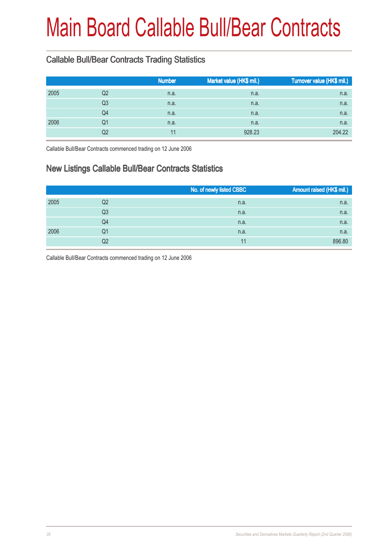# Main Board Callable Bull/Bear Contracts

### Callable Bull/Bear Contracts Trading Statistics

|      |                | <b>Number</b> | Market value (HK\$ mil.) | Turnover value (HK\$ mil.) |
|------|----------------|---------------|--------------------------|----------------------------|
| 2005 | Q2             | n.a.          | n.a.                     | n.a.                       |
|      | Q <sub>3</sub> | n.a.          | n.a.                     | n.a.                       |
|      | Q4             | n.a.          | n.a.                     | n.a.                       |
| 2006 | Q1             | n.a.          | n.a.                     | n.a.                       |
|      | Q2             |               | 928.23                   | 204.22                     |

Callable Bull/Bear Contracts commenced trading on 12 June 2006

#### New Listings Callable Bull/Bear Contracts Statistics

|      |    | No. of newly listed CBBC | Amount raised (HK\$ mil.) |
|------|----|--------------------------|---------------------------|
| 2005 | Q2 | n.a.                     | n.a.                      |
|      | Q3 | n.a.                     | n.a.                      |
|      | Q4 | n.a.                     | n.a.                      |
| 2006 | Q1 | n.a.                     | n.a.                      |
|      | Q2 | 11                       | 896.80                    |

Callable Bull/Bear Contracts commenced trading on 12 June 2006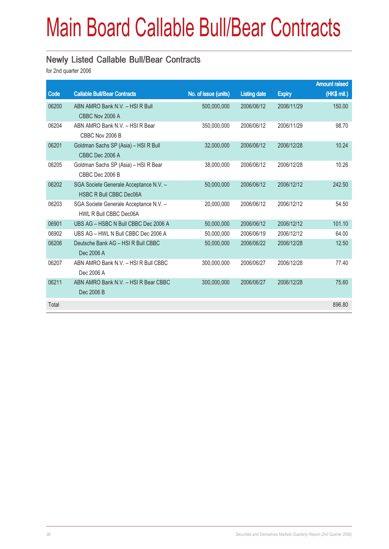# Main Board Callable Bull/Bear Contracts

#### Newly Listed Callable Bull/Bear Contracts

|       |                                                                  |                      |                     |               | <b>Amount raised</b> |
|-------|------------------------------------------------------------------|----------------------|---------------------|---------------|----------------------|
| Code  | <b>Callable Bull/Bear Contracts</b>                              | No. of issue (units) | <b>Listing date</b> | <b>Expiry</b> | $(HK$$ mil.)         |
| 06200 | ABN AMRO Bank N.V. - HSI R Bull                                  | 500,000,000          | 2006/06/12          | 2006/11/29    | 150.00               |
|       | CBBC Nov 2006 A                                                  |                      |                     |               |                      |
| 06204 | ABN AMRO Bank N.V. - HSI R Bear<br>CBBC Nov 2006 B               | 350,000,000          | 2006/06/12          | 2006/11/29    | 98.70                |
| 06201 | Goldman Sachs SP (Asia) - HSI R Bull                             | 32,000,000           | 2006/06/12          | 2006/12/28    | 10.24                |
|       | CBBC Dec 2006 A                                                  |                      |                     |               |                      |
| 06205 | Goldman Sachs SP (Asia) - HSI R Bear<br>CBBC Dec 2006 B          | 38,000,000           | 2006/06/12          | 2006/12/28    | 10.26                |
| 06202 | SGA Societe Generale Acceptance N.V. -                           | 50,000,000           | 2006/06/12          | 2006/12/12    | 242.50               |
|       | <b>HSBC R Bull CBBC Dec06A</b>                                   |                      |                     |               |                      |
| 06203 | SGA Societe Generale Acceptance N.V. -<br>HWL R Bull CBBC Dec06A | 20,000,000           | 2006/06/12          | 2006/12/12    | 54.50                |
| 06901 | UBS AG - HSBC N Bull CBBC Dec 2006 A                             | 50,000,000           | 2006/06/12          | 2006/12/12    | 101.10               |
| 06902 | UBS AG - HWL N Bull CBBC Dec 2006 A                              | 50,000,000           | 2006/06/19          | 2006/12/12    | 64.00                |
| 06206 | Deutsche Bank AG - HSI R Bull CBBC                               | 50,000,000           | 2006/06/22          | 2006/12/28    | 12.50                |
|       | Dec 2006 A                                                       |                      |                     |               |                      |
| 06207 | ABN AMRO Bank N.V. - HSI R Bull CBBC<br>Dec 2006 A               | 300.000.000          | 2006/06/27          | 2006/12/28    | 77.40                |
| 06211 | ABN AMRO Bank N.V. - HSI R Bear CBBC                             | 300,000,000          | 2006/06/27          | 2006/12/28    | 75.60                |
|       | Dec 2006 B                                                       |                      |                     |               |                      |
| Total |                                                                  |                      |                     |               | 896.80               |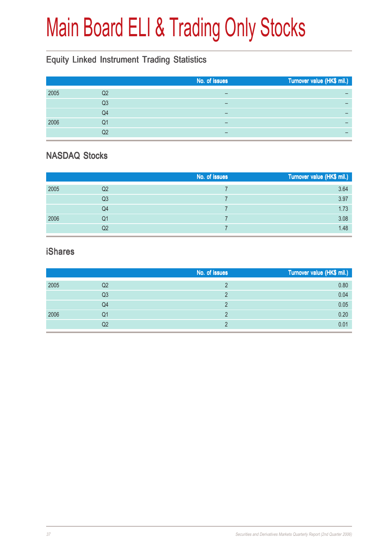# Main Board ELI & Trading Only Stocks

## Equity Linked Instrument Trading Statistics

|      |    | No. of issues | Turnover value (HK\$ mil.) |
|------|----|---------------|----------------------------|
| 2005 | Q2 | –             |                            |
|      | Q3 |               | -                          |
|      | Q4 |               |                            |
| 2006 | Q1 | –             | -                          |
|      | Q2 |               | -                          |

#### NASDAQ Stocks

|      |                | No. of issues | Turnover value (HK\$ mil.) |
|------|----------------|---------------|----------------------------|
| 2005 | Q2             |               | 3.64                       |
|      | Q <sub>3</sub> |               | 3.97                       |
|      | Q4             |               | 1.73                       |
| 2006 | Q1             |               | 3.08                       |
|      | Q2             |               | 1.48                       |

#### iShares

|      |                | No. of issues | Turnover value (HK\$ mil.) |
|------|----------------|---------------|----------------------------|
| 2005 | Q2             |               | 0.80                       |
|      | Q <sub>3</sub> |               | 0.04                       |
|      | Q4             |               | 0.05                       |
| 2006 | Q1             |               | 0.20                       |
|      | Q2             |               | 0.01                       |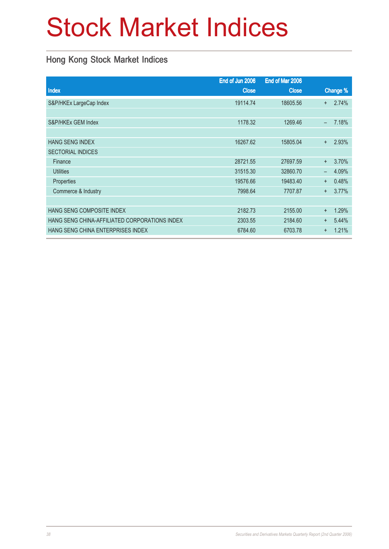# Stock Market Indices

### Hong Kong Stock Market Indices

|                                               | End of Jun 2006 | End of Mar 2006 |           |          |
|-----------------------------------------------|-----------------|-----------------|-----------|----------|
| Index                                         | <b>Close</b>    | <b>Close</b>    |           | Change % |
| S&P/HKEx LargeCap Index                       | 19114.74        | 18605.56        | $\pm$     | 2.74%    |
|                                               |                 |                 |           |          |
| S&P/HKEx GEM Index                            | 1178.32         | 1269.46         | $\equiv$  | 7.18%    |
|                                               |                 |                 |           |          |
| <b>HANG SENG INDEX</b>                        | 16267.62        | 15805.04        | $+$       | 2.93%    |
| <b>SECTORIAL INDICES</b>                      |                 |                 |           |          |
| Finance                                       | 28721.55        | 27697.59        | $+$       | 3.70%    |
| <b>Utilities</b>                              | 31515.30        | 32860.70        | —         | 4.09%    |
| Properties                                    | 19576.66        | 19483.40        | $+$       | 0.48%    |
| Commerce & Industry                           | 7998.64         | 7707.87         | $\pm$     | 3.77%    |
|                                               |                 |                 |           |          |
| HANG SENG COMPOSITE INDEX                     | 2182.73         | 2155.00         | $+$       | 1.29%    |
| HANG SENG CHINA-AFFILIATED CORPORATIONS INDEX | 2303.55         | 2184.60         | $+$       | 5.44%    |
| HANG SENG CHINA ENTERPRISES INDEX             | 6784.60         | 6703.78         | $\ddot{}$ | 1.21%    |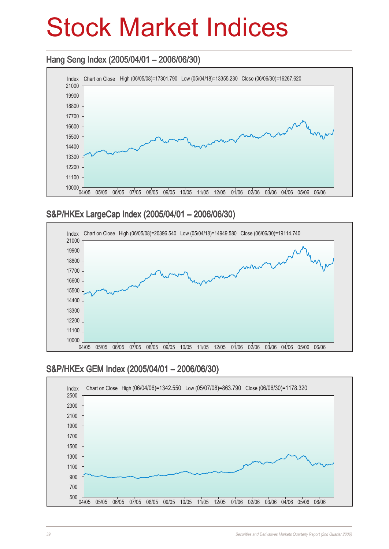## Stock Market Indices

### Hang Seng Index (2005/04/01 – 2006/06/30) Hang Seng 2006/06/30)



#### S&P/HKEx LargeCap Index (2005/04/01 – 2006/06/30)



#### S&P/HKEx GEM Index (2005/04/01 – 2006/06/30)

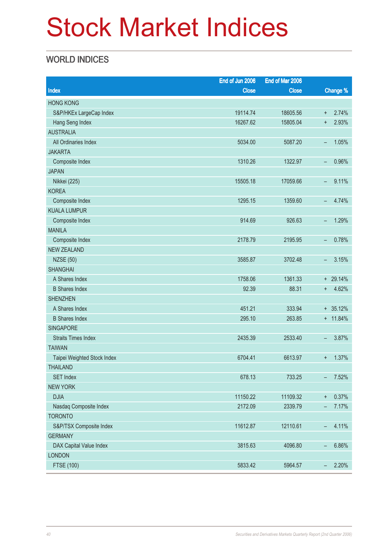# Stock Market Indices

### WORLD INDICES

|                             | End of Jun 2006 | End of Mar 2006 |                          |            |
|-----------------------------|-----------------|-----------------|--------------------------|------------|
| Index                       | <b>Close</b>    | <b>Close</b>    |                          | Change %   |
| <b>HONG KONG</b>            |                 |                 |                          |            |
| S&P/HKEx LargeCap Index     | 19114.74        | 18605.56        | $\ddagger$               | 2.74%      |
| Hang Seng Index             | 16267.62        | 15805.04        | $\ddot{}$                | 2.93%      |
| <b>AUSTRALIA</b>            |                 |                 |                          |            |
| All Ordinaries Index        | 5034.00         | 5087.20         | -                        | 1.05%      |
| <b>JAKARTA</b>              |                 |                 |                          |            |
| Composite Index             | 1310.26         | 1322.97         | -                        | 0.96%      |
| <b>JAPAN</b>                |                 |                 |                          |            |
| Nikkei (225)                | 15505.18        | 17059.66        | -                        | 9.11%      |
| <b>KOREA</b>                |                 |                 |                          |            |
| Composite Index             | 1295.15         | 1359.60         | $\overline{\phantom{0}}$ | 4.74%      |
| <b>KUALA LUMPUR</b>         |                 |                 |                          |            |
| Composite Index             | 914.69          | 926.63          | -                        | 1.29%      |
| <b>MANILA</b>               |                 |                 |                          |            |
| Composite Index             | 2178.79         | 2195.95         | -                        | 0.78%      |
| <b>NEW ZEALAND</b>          |                 |                 |                          |            |
| <b>NZSE (50)</b>            | 3585.87         | 3702.48         | -                        | 3.15%      |
| <b>SHANGHAI</b>             |                 |                 |                          |            |
| A Shares Index              | 1758.06         | 1361.33         |                          | $+ 29.14%$ |
| <b>B</b> Shares Index       | 92.39           | 88.31           | $\ddot{}$                | 4.62%      |
| <b>SHENZHEN</b>             |                 |                 |                          |            |
| A Shares Index              | 451.21          | 333.94          |                          | $+ 35.12%$ |
| <b>B</b> Shares Index       | 295.10          | 263.85          |                          | $+ 11.84%$ |
| <b>SINGAPORE</b>            |                 |                 |                          |            |
| <b>Straits Times Index</b>  | 2435.39         | 2533.40         | -                        | 3.87%      |
| <b>TAIWAN</b>               |                 |                 |                          |            |
| Taipei Weighted Stock Index | 6704.41         | 6613.97         | $\ddot{}$                | 1.37%      |
| <b>THAILAND</b>             |                 |                 |                          |            |
| <b>SET Index</b>            | 678.13          | 733.25          | -                        | 7.52%      |
| <b>NEW YORK</b>             |                 |                 |                          |            |
| <b>DJIA</b>                 | 11150.22        | 11109.32        | $\ddagger$               | 0.37%      |
| Nasdaq Composite Index      | 2172.09         | 2339.79         | $\overline{\phantom{m}}$ | 7.17%      |
| <b>TORONTO</b>              |                 |                 |                          |            |
| S&P/TSX Composite Index     | 11612.87        | 12110.61        | $\overline{\phantom{m}}$ | 4.11%      |
| <b>GERMANY</b>              |                 |                 |                          |            |
| DAX Capital Value Index     | 3815.63         | 4096.80         | -                        | 6.86%      |
| <b>LONDON</b>               |                 |                 |                          |            |
| <b>FTSE (100)</b>           | 5833.42         | 5964.57         | $\overline{\phantom{m}}$ | 2.20%      |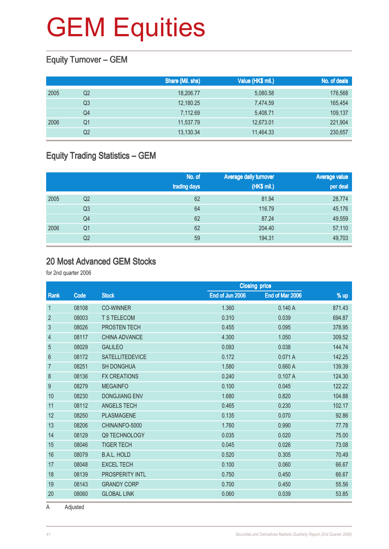### Equity Turnover – GEM

|      |    | Share (Mil. shs) | Value (HK\$ mil.) | No. of deals |
|------|----|------------------|-------------------|--------------|
| 2005 | Q2 | 18,206.77        | 5,080.58          | 176,568      |
|      | Q3 | 12,180.25        | 7,474.59          | 165,454      |
|      | Q4 | 7,112.69         | 5.408.71          | 109,137      |
| 2006 | Q1 | 11,537.79        | 12,673.01         | 221,904      |
|      | Q2 | 13,130.34        | 11,464.33         | 230,657      |

### Equity Trading Statistics – GEM

|      |                | No. of<br>trading days | Average daily turnover<br>(HK\$ mil.) | <b>Average value</b><br>per deal |
|------|----------------|------------------------|---------------------------------------|----------------------------------|
| 2005 | Q <sub>2</sub> | 62                     | 81.94                                 | 28,774                           |
|      | Q3             | 64                     | 116.79                                | 45,176                           |
|      | Q4             | 62                     | 87.24                                 | 49,559                           |
| 2006 | Q1             | 62                     | 204.40                                | 57,110                           |
|      | Q2             | 59                     | 194.31                                | 49,703                           |

#### 20 Most Advanced GEM Stocks

for 2nd quarter 2006

|                |       |                        | <b>Closing price</b> |                 |        |
|----------------|-------|------------------------|----------------------|-----------------|--------|
| Rank           | Code  | <b>Stock</b>           | End of Jun 2006      | End of Mar 2006 | % up   |
| $\mathbf{1}$   | 08108 | <b>CO-WINNER</b>       | 1.360                | 0.140A          | 871.43 |
| $\overline{2}$ | 08003 | <b>T S TELECOM</b>     | 0.310                | 0.039           | 694.87 |
| $\mathfrak{S}$ | 08026 | PROSTEN TECH           | 0.455                | 0.095           | 378.95 |
| $\overline{4}$ | 08117 | <b>CHINA ADVANCE</b>   | 4.300                | 1.050           | 309.52 |
| $\overline{5}$ | 08029 | <b>GALILEO</b>         | 0.093                | 0.038           | 144.74 |
| $6\,$          | 08172 | <b>SATELLITEDEVICE</b> | 0.172                | 0.071A          | 142.25 |
| $\overline{7}$ | 08251 | <b>SH DONGHUA</b>      | 1.580                | 0.660A          | 139.39 |
| 8              | 08136 | <b>FX CREATIONS</b>    | 0.240                | 0.107A          | 124.30 |
| 9              | 08279 | <b>MEGAINFO</b>        | 0.100                | 0.045           | 122.22 |
| 10             | 08230 | <b>DONGJIANG ENV</b>   | 1.680                | 0.820           | 104.88 |
| 11             | 08112 | <b>ANGELS TECH</b>     | 0.465                | 0.230           | 102.17 |
| 12             | 08250 | <b>PLASMAGENE</b>      | 0.135                | 0.070           | 92.86  |
| 13             | 08206 | CHINAINFO-5000         | 1.760                | 0.990           | 77.78  |
| 14             | 08129 | <b>Q9 TECHNOLOGY</b>   | 0.035                | 0.020           | 75.00  |
| 15             | 08046 | <b>TIGER TECH</b>      | 0.045                | 0.026           | 73.08  |
| 16             | 08079 | <b>B.A.L. HOLD</b>     | 0.520                | 0.305           | 70.49  |
| 17             | 08048 | <b>EXCEL TECH</b>      | 0.100                | 0.060           | 66.67  |
| 18             | 08139 | PROSPERITY INTL        | 0.750                | 0.450           | 66.67  |
| 19             | 08143 | <b>GRANDY CORP</b>     | 0.700                | 0.450           | 55.56  |
| 20             | 08060 | <b>GLOBAL LINK</b>     | 0.060                | 0.039           | 53.85  |

A Adjusted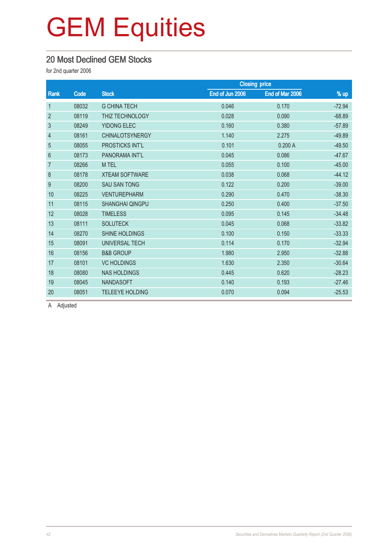### 20 Most Declined GEM Stocks

for 2nd quarter 2006

|                |       |                        |                 | <b>Closing price</b> |          |  |
|----------------|-------|------------------------|-----------------|----------------------|----------|--|
| Rank           | Code  | <b>Stock</b>           | End of Jun 2006 | End of Mar 2006      | % up     |  |
| $\mathbf{1}$   | 08032 | <b>G CHINA TECH</b>    | 0.046           | 0.170                | $-72.94$ |  |
| $\overline{2}$ | 08119 | THIZ TECHNOLOGY        | 0.028           | 0.090                | $-68.89$ |  |
| 3              | 08249 | <b>YIDONG ELEC</b>     | 0.160           | 0.380                | $-57.89$ |  |
| 4              | 08161 | <b>CHINALOTSYNERGY</b> | 1.140           | 2.275                | $-49.89$ |  |
| 5              | 08055 | <b>PROSTICKS INT'L</b> | 0.101           | 0.200A               | $-49.50$ |  |
| 6              | 08173 | PANORAMA INT'L         | 0.045           | 0.086                | $-47.67$ |  |
| $\overline{7}$ | 08266 | M TEL                  | 0.055           | 0.100                | $-45.00$ |  |
| 8              | 08178 | <b>XTEAM SOFTWARE</b>  | 0.038           | 0.068                | $-44.12$ |  |
| 9              | 08200 | <b>SAU SAN TONG</b>    | 0.122           | 0.200                | $-39.00$ |  |
| 10             | 08225 | <b>VENTUREPHARM</b>    | 0.290           | 0.470                | $-38.30$ |  |
| 11             | 08115 | <b>SHANGHAI QINGPU</b> | 0.250           | 0.400                | $-37.50$ |  |
| 12             | 08028 | <b>TIMELESS</b>        | 0.095           | 0.145                | $-34.48$ |  |
| 13             | 08111 | <b>SOLUTECK</b>        | 0.045           | 0.068                | $-33.82$ |  |
| 14             | 08270 | SHINE HOLDINGS         | 0.100           | 0.150                | $-33.33$ |  |
| 15             | 08091 | <b>UNIVERSAL TECH</b>  | 0.114           | 0.170                | $-32.94$ |  |
| 16             | 08156 | <b>B&amp;B GROUP</b>   | 1.980           | 2.950                | $-32.88$ |  |
| 17             | 08101 | <b>VC HOLDINGS</b>     | 1.630           | 2.350                | $-30.64$ |  |
| 18             | 08080 | <b>NAS HOLDINGS</b>    | 0.445           | 0.620                | $-28.23$ |  |
| 19             | 08045 | <b>NANDASOFT</b>       | 0.140           | 0.193                | $-27.46$ |  |
| 20             | 08051 | <b>TELEEYE HOLDING</b> | 0.070           | 0.094                | $-25.53$ |  |

A Adjusted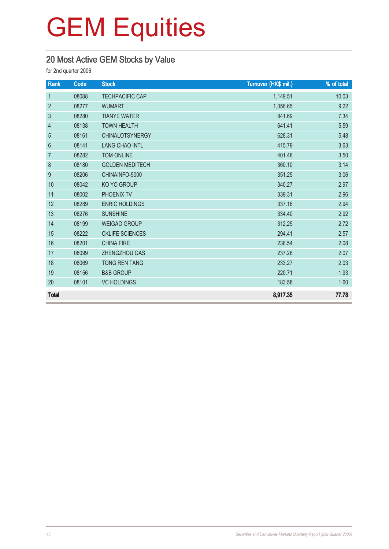## 20 Most Active GEM Stocks by Value

| Rank                     | Code  | <b>Stock</b>           | Turnover (HK\$ mil.) | % of total |
|--------------------------|-------|------------------------|----------------------|------------|
| $\mathbf{1}$             | 08088 | <b>TECHPACIFIC CAP</b> | 1,149.51             | 10.03      |
| $\overline{2}$           | 08277 | <b>WUMART</b>          | 1,056.65             | 9.22       |
| $\mathfrak{S}$           | 08280 | <b>TIANYE WATER</b>    | 841.69               | 7.34       |
| $\overline{\mathcal{A}}$ | 08138 | <b>TOWN HEALTH</b>     | 641.41               | 5.59       |
| $\overline{5}$           | 08161 | <b>CHINALOTSYNERGY</b> | 628.31               | 5.48       |
| 6                        | 08141 | <b>LANG CHAO INTL</b>  | 415.79               | 3.63       |
| $\overline{7}$           | 08282 | <b>TOM ONLINE</b>      | 401.48               | 3.50       |
| 8                        | 08180 | <b>GOLDEN MEDITECH</b> | 360.10               | 3.14       |
| 9                        | 08206 | CHINAINFO-5000         | 351.25               | 3.06       |
| 10                       | 08042 | KO YO GROUP            | 340.27               | 2.97       |
| 11                       | 08002 | PHOENIX TV             | 339.31               | 2.96       |
| 12                       | 08289 | <b>ENRIC HOLDINGS</b>  | 337.16               | 2.94       |
| 13                       | 08276 | <b>SUNSHINE</b>        | 334.40               | 2.92       |
| 14                       | 08199 | <b>WEIGAO GROUP</b>    | 312.25               | 2.72       |
| 15                       | 08222 | <b>CKLIFE SCIENCES</b> | 294.41               | 2.57       |
| 16                       | 08201 | <b>CHINA FIRE</b>      | 238.54               | 2.08       |
| 17                       | 08099 | ZHENGZHOU GAS          | 237.26               | 2.07       |
| 18                       | 08069 | <b>TONG REN TANG</b>   | 233.27               | 2.03       |
| 19                       | 08156 | <b>B&amp;B GROUP</b>   | 220.71               | 1.93       |
| 20                       | 08101 | <b>VC HOLDINGS</b>     | 183.58               | 1.60       |
| <b>Total</b>             |       |                        | 8,917.35             | 77.78      |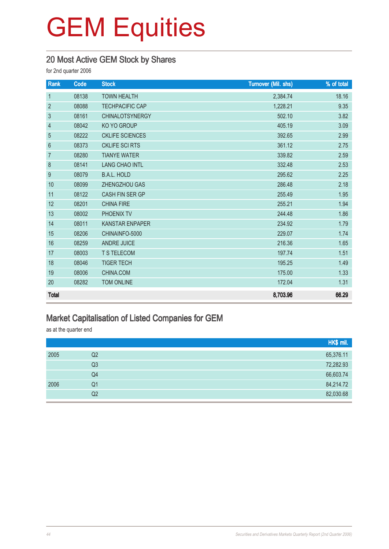#### 20 Most Active GEM Stock by Shares

for 2nd quarter 2006

| Rank           | Code  | <b>Stock</b>           | <b>Turnover (Mil. shs)</b> | % of total |
|----------------|-------|------------------------|----------------------------|------------|
| $\mathbf{1}$   | 08138 | <b>TOWN HEALTH</b>     | 2,384.74                   | 18.16      |
| $\overline{2}$ | 08088 | <b>TECHPACIFIC CAP</b> | 1,228.21                   | 9.35       |
| $\mathfrak{S}$ | 08161 | <b>CHINALOTSYNERGY</b> | 502.10                     | 3.82       |
| 4              | 08042 | KO YO GROUP            | 405.19                     | 3.09       |
| 5              | 08222 | <b>CKLIFE SCIENCES</b> | 392.65                     | 2.99       |
| $6\phantom{a}$ | 08373 | <b>CKLIFE SCI RTS</b>  | 361.12                     | 2.75       |
| $\overline{7}$ | 08280 | <b>TIANYE WATER</b>    | 339.82                     | 2.59       |
| 8              | 08141 | <b>LANG CHAO INTL</b>  | 332.48                     | 2.53       |
| 9              | 08079 | <b>B.A.L. HOLD</b>     | 295.62                     | 2.25       |
| 10             | 08099 | ZHENGZHOU GAS          | 286.48                     | 2.18       |
| 11             | 08122 | CASH FIN SER GP        | 255.49                     | 1.95       |
| 12             | 08201 | <b>CHINA FIRE</b>      | 255.21                     | 1.94       |
| 13             | 08002 | PHOENIX TV             | 244.48                     | 1.86       |
| 14             | 08011 | <b>KANSTAR ENPAPER</b> | 234.92                     | 1.79       |
| 15             | 08206 | CHINAINFO-5000         | 229.07                     | 1.74       |
| 16             | 08259 | <b>ANDRE JUICE</b>     | 216.36                     | 1.65       |
| 17             | 08003 | <b>T S TELECOM</b>     | 197.74                     | 1.51       |
| 18             | 08046 | <b>TIGER TECH</b>      | 195.25                     | 1.49       |
| 19             | 08006 | CHINA.COM              | 175.00                     | 1.33       |
| 20             | 08282 | <b>TOM ONLINE</b>      | 172.04                     | 1.31       |
| <b>Total</b>   |       |                        | 8,703.96                   | 66.29      |

#### Market Capitalisation of Listed Companies for GEM

as at the quarter end

|      |                | HK\$ mil. |
|------|----------------|-----------|
| 2005 | Q <sub>2</sub> | 65,376.11 |
|      | Q <sub>3</sub> | 72,282.93 |
|      | Q4             | 66,603.74 |
| 2006 | Q <sub>1</sub> | 84,214.72 |
|      | Q <sub>2</sub> | 82,030.68 |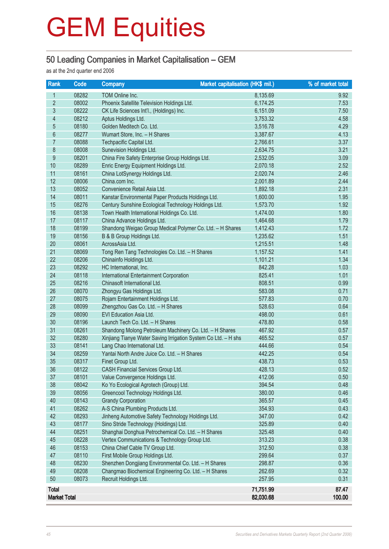#### 50 Leading Companies in Market Capitalisation – GEM

as at the 2nd quarter end 2006

| Rank                     | Code           | <b>Market capitalisation (HK\$ mil.)</b><br><b>Company</b>                                     |                  | % of market total |
|--------------------------|----------------|------------------------------------------------------------------------------------------------|------------------|-------------------|
| $\mathbf{1}$             | 08282          | TOM Online Inc.                                                                                | 8,135.69         | 9.92              |
| $\overline{2}$           | 08002          | Phoenix Satellite Television Holdings Ltd.                                                     | 6,174.25         | 7.53              |
| $\overline{3}$           | 08222          | CK Life Sciences Int'l., (Holdings) Inc.                                                       | 6,151.09         | 7.50              |
| $\overline{\mathcal{L}}$ | 08212          | Aptus Holdings Ltd.                                                                            | 3,753.32         | 4.58              |
| $\overline{5}$           | 08180          | Golden Meditech Co. Ltd.                                                                       | 3,516.78         | 4.29              |
| $\boldsymbol{6}$         | 08277          | Wumart Store, Inc. - H Shares                                                                  | 3,387.67         | 4.13              |
| 7                        | 08088          | Techpacific Capital Ltd.                                                                       | 2,766.61         | 3.37              |
| $\bf 8$                  | 08008          | Sunevision Holdings Ltd.                                                                       | 2,634.75         | 3.21              |
| $\overline{9}$           | 08201          | China Fire Safety Enterprise Group Holdings Ltd.                                               | 2,532.05         | 3.09              |
| 10                       | 08289          | Enric Energy Equipment Holdings Ltd.                                                           | 2,070.18         | 2.52              |
| 11                       | 08161          | China LotSynergy Holdings Ltd.                                                                 | 2,020.74         | 2.46              |
| 12                       | 08006          | China.com Inc.                                                                                 | 2,001.89         | 2.44              |
| 13                       | 08052          | Convenience Retail Asia Ltd.                                                                   | 1,892.18         | 2.31              |
| 14                       | 08011          | Kanstar Environmental Paper Products Holdings Ltd.                                             | 1,600.00         | 1.95              |
| 15                       | 08276          | Century Sunshine Ecological Technology Holdings Ltd.                                           | 1,573.70         | 1.92              |
| 16                       | 08138          | Town Health International Holdings Co. Ltd.                                                    | 1,474.00         | 1.80              |
| 17                       | 08117          | China Advance Holdings Ltd.                                                                    | 1,464.68         | 1.79              |
| 18                       | 08199          | Shandong Weigao Group Medical Polymer Co. Ltd. - H Shares                                      | 1,412.43         | 1.72              |
| 19                       | 08156          | B & B Group Holdings Ltd.                                                                      | 1,235.62         | 1.51              |
| 20                       | 08061          | AcrossAsia Ltd.                                                                                | 1,215.51         | 1.48              |
| 21                       | 08069          | Tong Ren Tang Technologies Co. Ltd. - H Shares                                                 | 1,157.52         | 1.41              |
| 22                       | 08206          | Chinainfo Holdings Ltd.                                                                        | 1,101.21         | 1.34              |
| 23                       | 08292          | HC International, Inc.                                                                         | 842.28           | 1.03              |
| 24                       | 08118          | International Entertainment Corporation                                                        | 825.41           | 1.01              |
| 25                       | 08216          | Chinasoft International Ltd.                                                                   | 808.51           | 0.99              |
| 26                       | 08070          | Zhongyu Gas Holdings Ltd.                                                                      | 583.08           | 0.71              |
| 27                       | 08075          | Rojam Entertainment Holdings Ltd.                                                              | 577.83           | 0.70              |
| 28                       | 08099          | Zhengzhou Gas Co. Ltd. - H Shares                                                              | 528.63           | 0.64              |
| 29                       | 08090          | EVI Education Asia Ltd.                                                                        | 498.00           | 0.61              |
| 30<br>31                 | 08196<br>08261 | Launch Tech Co. Ltd. - H Shares                                                                | 478.80<br>467.92 | 0.58<br>0.57      |
| 32                       | 08280          | Shandong Molong Petroleum Machinery Co. Ltd. - H Shares                                        | 465.52           | 0.57              |
| 33                       | 08141          | Xinjiang Tianye Water Saving Irrigation System Co Ltd. - H shs<br>Lang Chao International Ltd. | 444.66           | 0.54              |
| 34                       | 08259          | Yantai North Andre Juice Co. Ltd. - H Shares                                                   | 442.25           | 0.54              |
| 35                       | 08317          | Finet Group Ltd.                                                                               | 438.73           | 0.53              |
| 36                       | 08122          | <b>CASH Financial Services Group Ltd.</b>                                                      | 428.13           | 0.52              |
| 37                       | 08101          | Value Convergence Holdings Ltd.                                                                | 412.06           | 0.50              |
| 38                       | 08042          | Ko Yo Ecological Agrotech (Group) Ltd.                                                         | 394.54           | 0.48              |
| 39                       | 08056          | Greencool Technology Holdings Ltd.                                                             | 380.00           | 0.46              |
| 40                       | 08143          | <b>Grandy Corporation</b>                                                                      | 365.57           | 0.45              |
| 41                       | 08262          | A-S China Plumbing Products Ltd.                                                               | 354.93           | 0.43              |
| 42                       | 08293          | Jinheng Automotive Safety Technology Holdings Ltd.                                             | 347.00           | 0.42              |
| 43                       | 08177          | Sino Stride Technology (Holdings) Ltd.                                                         | 325.89           | 0.40              |
| 44                       | 08251          | Shanghai Donghua Petrochemical Co. Ltd. - H Shares                                             | 325.48           | 0.40              |
| 45                       | 08228          | Vertex Communications & Technology Group Ltd.                                                  | 313.23           | 0.38              |
| 46                       | 08153          | China Chief Cable TV Group Ltd.                                                                | 312.50           | 0.38              |
| 47                       | 08110          | First Mobile Group Holdings Ltd.                                                               | 299.64           | 0.37              |
| 48                       | 08230          | Shenzhen Dongjiang Environmental Co. Ltd. - H Shares                                           | 298.87           | 0.36              |
| 49                       | 08208          | Changmao Biochemical Engineering Co. Ltd. - H Shares                                           | 262.69           | 0.32              |
| 50                       | 08073          | Recruit Holdings Ltd.                                                                          | 257.95           | 0.31              |
| <b>Total</b>             |                |                                                                                                | 71,751.99        | 87.47             |
| <b>Market Total</b>      |                |                                                                                                | 82,030.68        | 100.00            |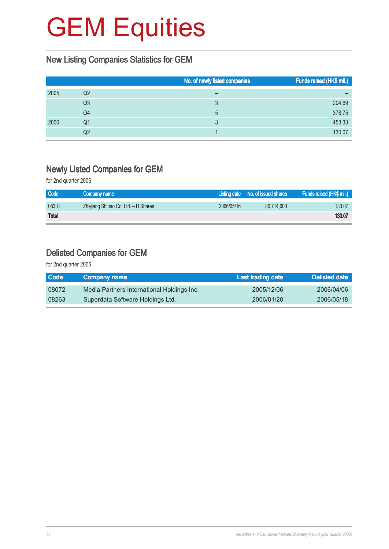#### New Listing Companies Statistics for GEM

|      |    | No. of newly listed companies | Funds raised (HK\$ mil.) |
|------|----|-------------------------------|--------------------------|
| 2005 | Q2 |                               |                          |
|      | Q3 |                               | 204.69                   |
|      | Q4 | 5                             | 378.75                   |
| 2006 | Q1 |                               | 453.33                   |
|      | Q2 |                               | 130.07                   |

#### Newly Listed Companies for GEM

for 2nd quarter 2006

| <b>Code</b>  | Company name                        |            | Listing date No. of issued shares | Funds raised (HK\$ mil.) |
|--------------|-------------------------------------|------------|-----------------------------------|--------------------------|
| 08331        | Zhejiang Shibao Co. Ltd. - H Shares | 2006/05/16 | 86.714.000                        | 130.07                   |
| <b>Total</b> |                                     |            |                                   | 130.07                   |

#### Delisted Companies for GEM

| <b>Code</b> | Company name                               | Last trading date | Delisted date |
|-------------|--------------------------------------------|-------------------|---------------|
| 08072       | Media Partners International Holdings Inc. | 2005/12/06        | 2006/04/06    |
| 08263       | Superdata Software Holdings Ltd.           | 2006/01/20        | 2006/05/18    |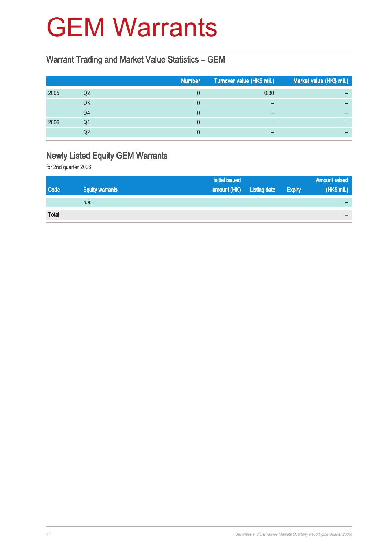## GEM Warrants

#### Warrant Trading and Market Value Statistics – GEM

|      |    | <b>Number</b> | Turnover value (HK\$ mil.) | Market value (HK\$ mil.) |
|------|----|---------------|----------------------------|--------------------------|
| 2005 | Q2 |               | 0.30                       |                          |
|      | Q3 |               |                            |                          |
|      | Q4 |               |                            |                          |
| 2006 | Q1 |               |                            |                          |
|      | Q2 |               |                            |                          |

## Newly Listed Equity GEM Warrants

|              |                        | <b>Initial issued</b>    |               | <b>Amount raised</b> |
|--------------|------------------------|--------------------------|---------------|----------------------|
| Code         | <b>Equity warrants</b> | amount (HK) Listing date | <b>Expiry</b> | (HK\$ mil.)          |
|              | n.a.                   |                          |               |                      |
| <b>Total</b> |                        |                          |               |                      |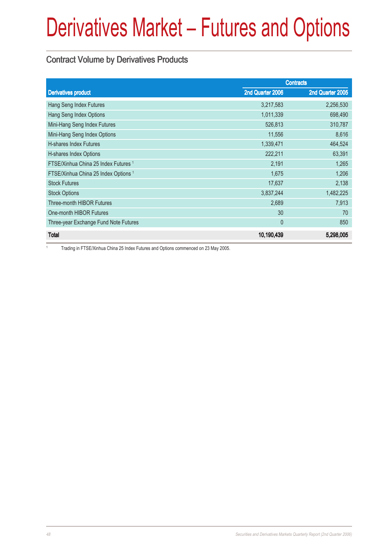#### Contract Volume by Derivatives Products

|                                                 | <b>Contracts</b> |                  |
|-------------------------------------------------|------------------|------------------|
| <b>Derivatives product</b>                      | 2nd Quarter 2006 | 2nd Quarter 2005 |
| Hang Seng Index Futures                         | 3,217,583        | 2,256,530        |
| Hang Seng Index Options                         | 1,011,339        | 698,490          |
| Mini-Hang Seng Index Futures                    | 526,813          | 310,787          |
| Mini-Hang Seng Index Options                    | 11,556           | 8,616            |
| <b>H-shares Index Futures</b>                   | 1,339,471        | 464,524          |
| H-shares Index Options                          | 222,211          | 63,391           |
| FTSE/Xinhua China 25 Index Futures 1            | 2,191            | 1,265            |
| FTSE/Xinhua China 25 Index Options <sup>1</sup> | 1,675            | 1,206            |
| <b>Stock Futures</b>                            | 17,637           | 2,138            |
| <b>Stock Options</b>                            | 3,837,244        | 1,482,225        |
| <b>Three-month HIBOR Futures</b>                | 2,689            | 7,913            |
| One-month HIBOR Futures                         | 30               | 70               |
| Three-year Exchange Fund Note Futures           | $\theta$         | 850              |
| <b>Total</b>                                    | 10,190,439       | 5,298,005        |

1 Trading in FTSE/Xinhua China 25 Index Futures and Options commenced on 23 May 2005.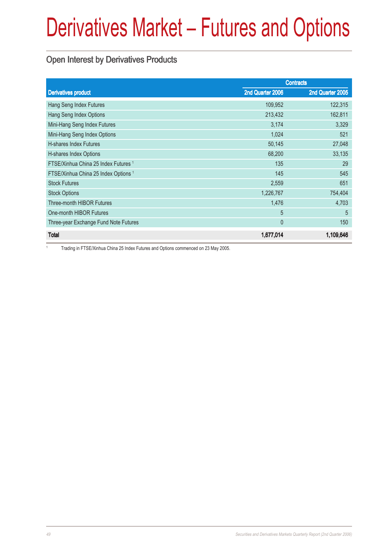### Open Interest by Derivatives Products

|                                                 |                  | <b>Contracts</b> |
|-------------------------------------------------|------------------|------------------|
| <b>Derivatives product</b>                      | 2nd Quarter 2006 | 2nd Quarter 2005 |
| Hang Seng Index Futures                         | 109,952          | 122,315          |
| Hang Seng Index Options                         | 213,432          | 162,811          |
| Mini-Hang Seng Index Futures                    | 3,174            | 3,329            |
| Mini-Hang Seng Index Options                    | 1,024            | 521              |
| <b>H-shares Index Futures</b>                   | 50,145           | 27,048           |
| H-shares Index Options                          | 68,200           | 33,135           |
| FTSE/Xinhua China 25 Index Futures 1            | 135              | 29               |
| FTSE/Xinhua China 25 Index Options <sup>1</sup> | 145              | 545              |
| <b>Stock Futures</b>                            | 2,559            | 651              |
| <b>Stock Options</b>                            | 1,226,767        | 754,404          |
| Three-month HIBOR Futures                       | 1,476            | 4,703            |
| One-month HIBOR Futures                         | 5                | 5                |
| Three-year Exchange Fund Note Futures           | $\mathbf{0}$     | 150              |
| <b>Total</b>                                    | 1,677,014        | 1,109,646        |

1 Trading in FTSE/Xinhua China 25 Index Futures and Options commenced on 23 May 2005.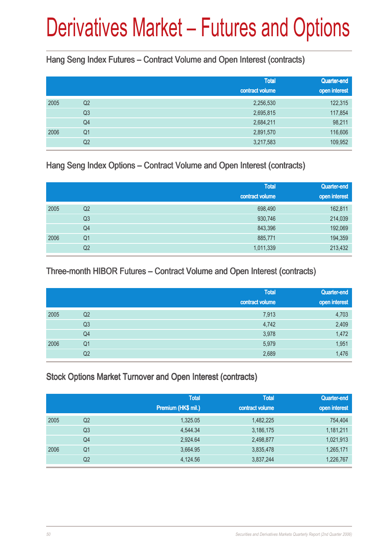Hang Seng Index Futures – Contract Volume and Open Interest (contracts)

|      |                | <b>Total</b><br>contract volume | Quarter-end<br>open interest |
|------|----------------|---------------------------------|------------------------------|
|      |                |                                 |                              |
| 2005 | Q2             | 2,256,530                       | 122,315                      |
|      | Q <sub>3</sub> | 2,695,815                       | 117,854                      |
|      | Q4             | 2,684,211                       | 98,211                       |
| 2006 | Q <sub>1</sub> | 2,891,570                       | 116,606                      |
|      | Q <sub>2</sub> | 3,217,583                       | 109,952                      |

Hang Seng Index Options – Contract Volume and Open Interest (contracts)

|      |                | <b>Total</b><br>contract volume | Quarter-end<br>open interest |
|------|----------------|---------------------------------|------------------------------|
| 2005 | Q <sub>2</sub> | 698,490                         | 162,811                      |
|      | Q <sub>3</sub> | 930,746                         | 214,039                      |
|      | Q4             | 843,396                         | 192,069                      |
| 2006 | Q <sub>1</sub> | 885,771                         | 194,359                      |
|      | Q <sub>2</sub> | 1,011,339                       | 213,432                      |

#### Three-month HIBOR Futures – Contract Volume and Open Interest (contracts)

|      |                | <b>Total</b><br>contract volume | Quarter-end<br>open interest |
|------|----------------|---------------------------------|------------------------------|
| 2005 | Q <sub>2</sub> | 7,913                           | 4,703                        |
|      | Q <sub>3</sub> | 4,742                           | 2,409                        |
|      | Q4             | 3,978                           | 1,472                        |
| 2006 | Q <sub>1</sub> | 5,979                           | 1,951                        |
|      | Q2             | 2,689                           | 1,476                        |

#### Stock Options Market Turnover and Open Interest (contracts)

|      |                | <b>Total</b><br>Premium (HK\$ mil.) | <b>Total</b><br>contract volume | Quarter-end<br>open interest |
|------|----------------|-------------------------------------|---------------------------------|------------------------------|
| 2005 | Q2             | 1,325.05                            | 1,482,225                       | 754,404                      |
|      | Q <sub>3</sub> | 4,544.34                            | 3,186,175                       | 1,181,211                    |
|      | Q4             | 2,924.64                            | 2,498,877                       | 1,021,913                    |
| 2006 | Q <sub>1</sub> | 3,664.95                            | 3,835,478                       | 1,265,171                    |
|      | Q <sub>2</sub> | 4,124.56                            | 3,837,244                       | 1,226,767                    |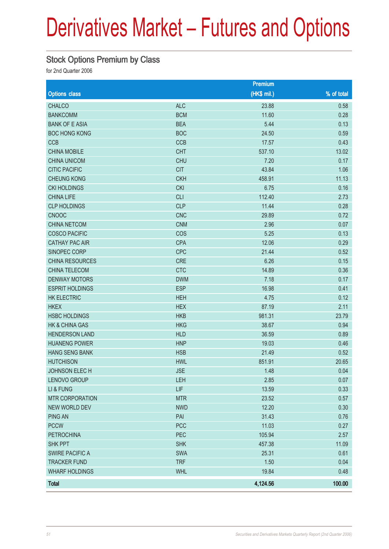### Stock Options Premium by Class

|                           |            | <b>Premium</b> |            |
|---------------------------|------------|----------------|------------|
| <b>Options class</b>      |            | (HK\$ mil.)    | % of total |
| <b>CHALCO</b>             | <b>ALC</b> | 23.88          | 0.58       |
| <b>BANKCOMM</b>           | <b>BCM</b> | 11.60          | 0.28       |
| <b>BANK OF E ASIA</b>     | <b>BEA</b> | 5.44           | 0.13       |
| <b>BOC HONG KONG</b>      | <b>BOC</b> | 24.50          | 0.59       |
| CCB                       | CCB        | 17.57          | 0.43       |
| <b>CHINA MOBILE</b>       | <b>CHT</b> | 537.10         | 13.02      |
| <b>CHINA UNICOM</b>       | <b>CHU</b> | 7.20           | 0.17       |
| <b>CITIC PACIFIC</b>      | <b>CIT</b> | 43.84          | 1.06       |
| <b>CHEUNG KONG</b>        | <b>CKH</b> | 458.91         | 11.13      |
| <b>CKI HOLDINGS</b>       | <b>CKI</b> | 6.75           | 0.16       |
| <b>CHINA LIFE</b>         | <b>CLI</b> | 112.40         | 2.73       |
| <b>CLP HOLDINGS</b>       | <b>CLP</b> | 11.44          | 0.28       |
| <b>CNOOC</b>              | <b>CNC</b> | 29.89          | 0.72       |
| <b>CHINA NETCOM</b>       | <b>CNM</b> | 2.96           | 0.07       |
| <b>COSCO PACIFIC</b>      | COS        | 5.25           | 0.13       |
| <b>CATHAY PAC AIR</b>     | <b>CPA</b> | 12.06          | 0.29       |
| SINOPEC CORP              | <b>CPC</b> | 21.44          | 0.52       |
| CHINA RESOURCES           | CRE        | 6.26           | 0.15       |
| CHINA TELECOM             | <b>CTC</b> | 14.89          | 0.36       |
| <b>DENWAY MOTORS</b>      | <b>DWM</b> | 7.18           | 0.17       |
| <b>ESPRIT HOLDINGS</b>    | <b>ESP</b> | 16.98          | 0.41       |
| <b>HK ELECTRIC</b>        | <b>HEH</b> | 4.75           | 0.12       |
| <b>HKEX</b>               | <b>HEX</b> | 87.19          | 2.11       |
| <b>HSBC HOLDINGS</b>      | <b>HKB</b> | 981.31         | 23.79      |
| <b>HK &amp; CHINA GAS</b> | <b>HKG</b> | 38.67          | 0.94       |
| <b>HENDERSON LAND</b>     | <b>HLD</b> | 36.59          | 0.89       |
| <b>HUANENG POWER</b>      | <b>HNP</b> | 19.03          | 0.46       |
| <b>HANG SENG BANK</b>     | <b>HSB</b> | 21.49          | 0.52       |
| <b>HUTCHISON</b>          | <b>HWL</b> | 851.91         | 20.65      |
| <b>JOHNSON ELECH</b>      | <b>JSE</b> | 1.48           | 0.04       |
| LENOVO GROUP              | LEH        | 2.85           | 0.07       |
| LI & FUNG                 | LIF        | 13.59          | 0.33       |
| <b>MTR CORPORATION</b>    | <b>MTR</b> | 23.52          | 0.57       |
| <b>NEW WORLD DEV</b>      | <b>NWD</b> | 12.20          | 0.30       |
| <b>PING AN</b>            | PAI        | 31.43          | 0.76       |
| <b>PCCW</b>               | PCC        | 11.03          | 0.27       |
| <b>PETROCHINA</b>         | PEC        | 105.94         | 2.57       |
| SHK PPT                   | <b>SHK</b> | 457.38         | 11.09      |
| <b>SWIRE PACIFIC A</b>    | SWA        | 25.31          | 0.61       |
| <b>TRACKER FUND</b>       | <b>TRF</b> | 1.50           | 0.04       |
| <b>WHARF HOLDINGS</b>     | <b>WHL</b> | 19.84          | 0.48       |
| <b>Total</b>              |            | 4,124.56       | 100.00     |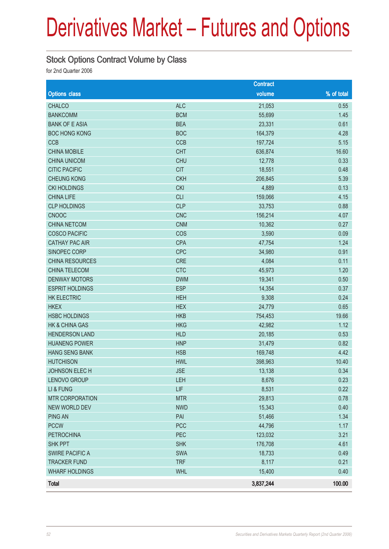#### Stock Options Contract Volume by Class

|                           |            | <b>Contract</b> |              |
|---------------------------|------------|-----------------|--------------|
| <b>Options class</b>      |            | volume          | $%$ of total |
| <b>CHALCO</b>             | <b>ALC</b> | 21,053          | 0.55         |
| <b>BANKCOMM</b>           | <b>BCM</b> | 55,699          | 1.45         |
| <b>BANK OF E ASIA</b>     | <b>BEA</b> | 23,331          | 0.61         |
| <b>BOC HONG KONG</b>      | <b>BOC</b> | 164,379         | 4.28         |
| <b>CCB</b>                | CCB        | 197,724         | 5.15         |
| <b>CHINA MOBILE</b>       | <b>CHT</b> | 636,874         | 16.60        |
| <b>CHINA UNICOM</b>       | <b>CHU</b> | 12,778          | 0.33         |
| <b>CITIC PACIFIC</b>      | <b>CIT</b> | 18,551          | 0.48         |
| <b>CHEUNG KONG</b>        | <b>CKH</b> | 206,845         | 5.39         |
| <b>CKI HOLDINGS</b>       | <b>CKI</b> | 4,889           | 0.13         |
| <b>CHINA LIFE</b>         | CLI        | 159,066         | 4.15         |
| <b>CLP HOLDINGS</b>       | <b>CLP</b> | 33,753          | 0.88         |
| <b>CNOOC</b>              | <b>CNC</b> | 156,214         | 4.07         |
| <b>CHINA NETCOM</b>       | <b>CNM</b> | 10,362          | 0.27         |
| <b>COSCO PACIFIC</b>      | COS        | 3,590           | 0.09         |
| <b>CATHAY PAC AIR</b>     | <b>CPA</b> | 47,754          | 1.24         |
| SINOPEC CORP              | <b>CPC</b> | 34,980          | 0.91         |
| CHINA RESOURCES           | <b>CRE</b> | 4,084           | 0.11         |
| CHINA TELECOM             | <b>CTC</b> | 45,973          | 1.20         |
| <b>DENWAY MOTORS</b>      | <b>DWM</b> | 19,341          | 0.50         |
| <b>ESPRIT HOLDINGS</b>    | <b>ESP</b> | 14,354          | 0.37         |
| <b>HK ELECTRIC</b>        | <b>HEH</b> | 9,308           | 0.24         |
| <b>HKEX</b>               | <b>HEX</b> | 24,779          | 0.65         |
| <b>HSBC HOLDINGS</b>      | <b>HKB</b> | 754,453         | 19.66        |
| <b>HK &amp; CHINA GAS</b> | <b>HKG</b> | 42,982          | 1.12         |
| <b>HENDERSON LAND</b>     | <b>HLD</b> | 20,185          | 0.53         |
| <b>HUANENG POWER</b>      | <b>HNP</b> | 31,479          | 0.82         |
| <b>HANG SENG BANK</b>     | <b>HSB</b> | 169,748         | 4.42         |
| <b>HUTCHISON</b>          | <b>HWL</b> | 398,963         | 10.40        |
| <b>JOHNSON ELECH</b>      | <b>JSE</b> | 13,138          | 0.34         |
| LENOVO GROUP              | <b>LEH</b> | 8,676           | 0.23         |
| LI & FUNG                 | LIF        | 8,531           | 0.22         |
| <b>MTR CORPORATION</b>    | <b>MTR</b> | 29,813          | 0.78         |
| NEW WORLD DEV             | <b>NWD</b> | 15,343          | 0.40         |
| <b>PING AN</b>            | PAI        | 51,466          | 1.34         |
| <b>PCCW</b>               | <b>PCC</b> | 44,796          | 1.17         |
| <b>PETROCHINA</b>         | PEC        | 123,032         | 3.21         |
| <b>SHK PPT</b>            | <b>SHK</b> | 176,708         | 4.61         |
| <b>SWIRE PACIFIC A</b>    | <b>SWA</b> | 18,733          | 0.49         |
| <b>TRACKER FUND</b>       | <b>TRF</b> | 8,117           | 0.21         |
| <b>WHARF HOLDINGS</b>     | <b>WHL</b> | 15,400          | 0.40         |
| <b>Total</b>              |            | 3,837,244       | 100.00       |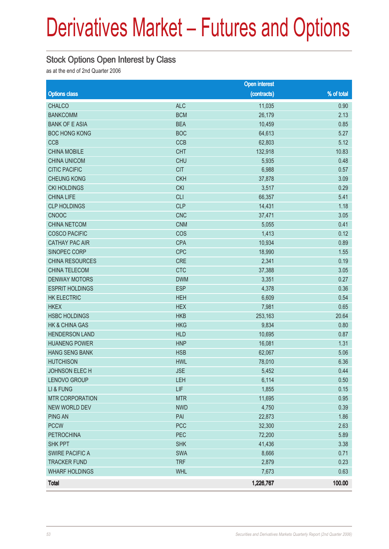### Stock Options Open Interest by Class

as at the end of 2nd Quarter 2006

|                           |            | <b>Open interest</b> |            |
|---------------------------|------------|----------------------|------------|
| <b>Options class</b>      |            | (contracts)          | % of total |
| <b>CHALCO</b>             | <b>ALC</b> | 11,035               | 0.90       |
| <b>BANKCOMM</b>           | <b>BCM</b> | 26,179               | 2.13       |
| <b>BANK OF E ASIA</b>     | <b>BEA</b> | 10,459               | 0.85       |
| <b>BOC HONG KONG</b>      | <b>BOC</b> | 64,613               | 5.27       |
| <b>CCB</b>                | CCB        | 62,803               | 5.12       |
| <b>CHINA MOBILE</b>       | <b>CHT</b> | 132,918              | 10.83      |
| <b>CHINA UNICOM</b>       | <b>CHU</b> | 5,935                | 0.48       |
| <b>CITIC PACIFIC</b>      | <b>CIT</b> | 6,988                | 0.57       |
| <b>CHEUNG KONG</b>        | <b>CKH</b> | 37,878               | 3.09       |
| <b>CKI HOLDINGS</b>       | <b>CKI</b> | 3,517                | 0.29       |
| <b>CHINA LIFE</b>         | <b>CLI</b> | 66,357               | 5.41       |
| <b>CLP HOLDINGS</b>       | <b>CLP</b> | 14,431               | 1.18       |
| <b>CNOOC</b>              | <b>CNC</b> | 37,471               | 3.05       |
| <b>CHINA NETCOM</b>       | <b>CNM</b> | 5,055                | 0.41       |
| <b>COSCO PACIFIC</b>      | COS        | 1,413                | 0.12       |
| <b>CATHAY PAC AIR</b>     | <b>CPA</b> | 10,934               | 0.89       |
| SINOPEC CORP              | <b>CPC</b> | 18,990               | 1.55       |
| CHINA RESOURCES           | <b>CRE</b> | 2,341                | 0.19       |
| CHINA TELECOM             | <b>CTC</b> | 37,388               | 3.05       |
| <b>DENWAY MOTORS</b>      | <b>DWM</b> | 3,351                | 0.27       |
| <b>ESPRIT HOLDINGS</b>    | <b>ESP</b> | 4,378                | 0.36       |
| <b>HK ELECTRIC</b>        | <b>HEH</b> | 6,609                | 0.54       |
| <b>HKEX</b>               | <b>HEX</b> | 7,981                | 0.65       |
| <b>HSBC HOLDINGS</b>      | <b>HKB</b> | 253,163              | 20.64      |
| <b>HK &amp; CHINA GAS</b> | <b>HKG</b> | 9,834                | 0.80       |
| <b>HENDERSON LAND</b>     | <b>HLD</b> | 10,695               | 0.87       |
| <b>HUANENG POWER</b>      | <b>HNP</b> | 16,081               | 1.31       |
| <b>HANG SENG BANK</b>     | <b>HSB</b> | 62,067               | 5.06       |
| <b>HUTCHISON</b>          | <b>HWL</b> | 78,010               | 6.36       |
| JOHNSON ELECH             | <b>JSE</b> | 5,452                | 0.44       |
| LENOVO GROUP              | <b>LEH</b> | 6,114                | 0.50       |
| LI & FUNG                 | LIF        | 1,855                | 0.15       |
| <b>MTR CORPORATION</b>    | <b>MTR</b> | 11,695               | 0.95       |
| NEW WORLD DEV             | <b>NWD</b> | 4,750                | 0.39       |
| <b>PING AN</b>            | PAI        | 22,873               | 1.86       |
| <b>PCCW</b>               | PCC        | 32,300               | 2.63       |
| <b>PETROCHINA</b>         | PEC        | 72,200               | 5.89       |
| <b>SHK PPT</b>            | <b>SHK</b> | 41,436               | 3.38       |
| <b>SWIRE PACIFIC A</b>    | SWA        | 8,666                | 0.71       |
| <b>TRACKER FUND</b>       | <b>TRF</b> | 2,879                | 0.23       |
| <b>WHARF HOLDINGS</b>     | <b>WHL</b> | 7,673                | 0.63       |
| Total                     |            | 1,226,767            | 100.00     |